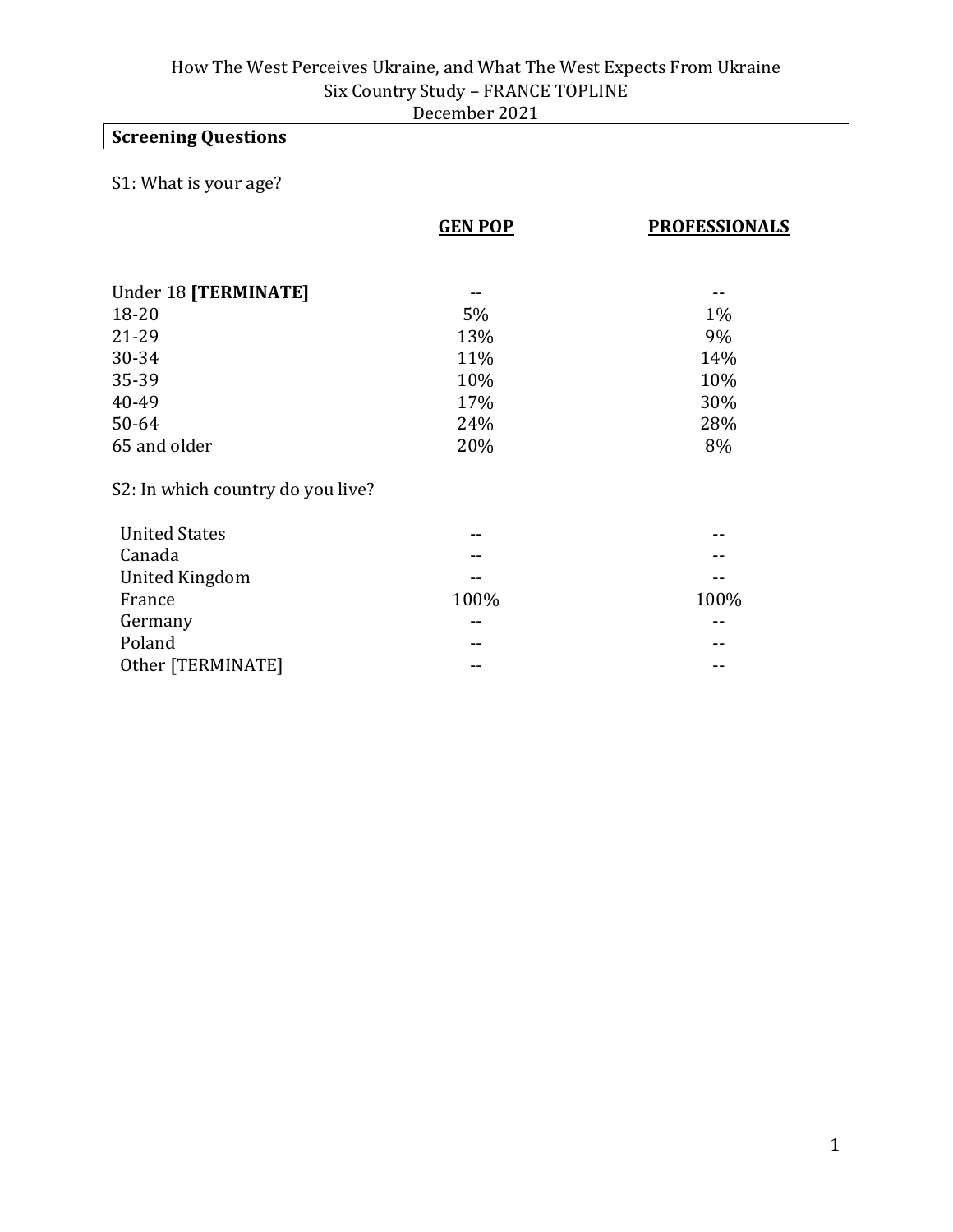## **Screening Questions**

## S1: What is your age?

|                                   | <b>GEN POP</b> | <b>PROFESSIONALS</b> |
|-----------------------------------|----------------|----------------------|
|                                   |                |                      |
| Under 18 [TERMINATE]              |                |                      |
| 18-20                             | 5%             | $1\%$                |
| 21-29                             | 13%            | 9%                   |
| 30-34                             | 11%            | 14%                  |
| 35-39                             | 10%            | 10%                  |
| 40-49                             | 17%            | 30%                  |
| 50-64                             | 24%            | 28%                  |
| 65 and older                      | 20%            | 8%                   |
| S2: In which country do you live? |                |                      |
| <b>United States</b>              | --             |                      |
| Canada                            |                |                      |
| <b>United Kingdom</b>             |                |                      |
| France                            | 100%           | 100%                 |
| Germany                           | --             |                      |
| Poland                            |                |                      |
| Other [TERMINATE]                 | --             |                      |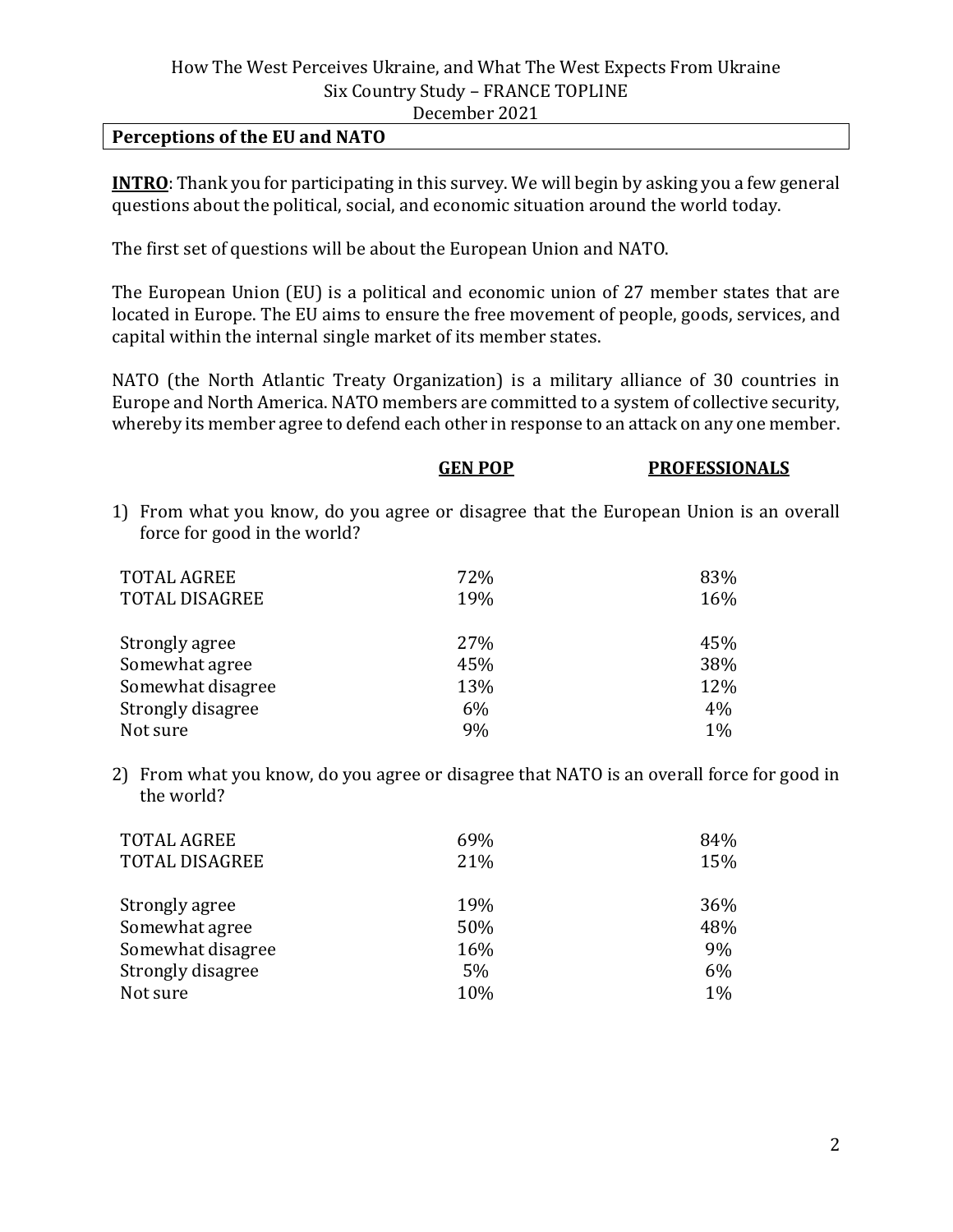#### **Perceptions of the EU and NATO**

**INTRO**: Thank you for participating in this survey. We will begin by asking you a few general questions about the political, social, and economic situation around the world today.

The first set of questions will be about the European Union and NATO.

The European Union (EU) is a political and economic union of 27 member states that are located in Europe. The EU aims to ensure the free movement of people, goods, services, and capital within the internal single market of its member states.

NATO (the North Atlantic Treaty Organization) is a military alliance of 30 countries in Europe and North America. NATO members are committed to a system of collective security, whereby its member agree to defend each other in response to an attack on any one member.

| GEN POP | <b>PROFESSIONALS</b>                                                                  |
|---------|---------------------------------------------------------------------------------------|
|         | 1) From what you know, do you agree or disagree that the European Union is an overall |
| 72%     | 83%                                                                                   |
| 19%     | 16%                                                                                   |
| 27%     | 45%                                                                                   |
| 45%     | 38%                                                                                   |
| 13%     | 12%                                                                                   |
| 6%      | 4%                                                                                    |
| 9%      | 1%                                                                                    |
|         |                                                                                       |

2) From what you know, do you agree or disagree that NATO is an overall force for good in the world?

| <b>TOTAL AGREE</b>    | 69% | 84% |
|-----------------------|-----|-----|
| <b>TOTAL DISAGREE</b> | 21% | 15% |
| Strongly agree        | 19% | 36% |
| Somewhat agree        | 50% | 48% |
| Somewhat disagree     | 16% | 9%  |
| Strongly disagree     | 5%  | 6%  |
| Not sure              | 10% | 1%  |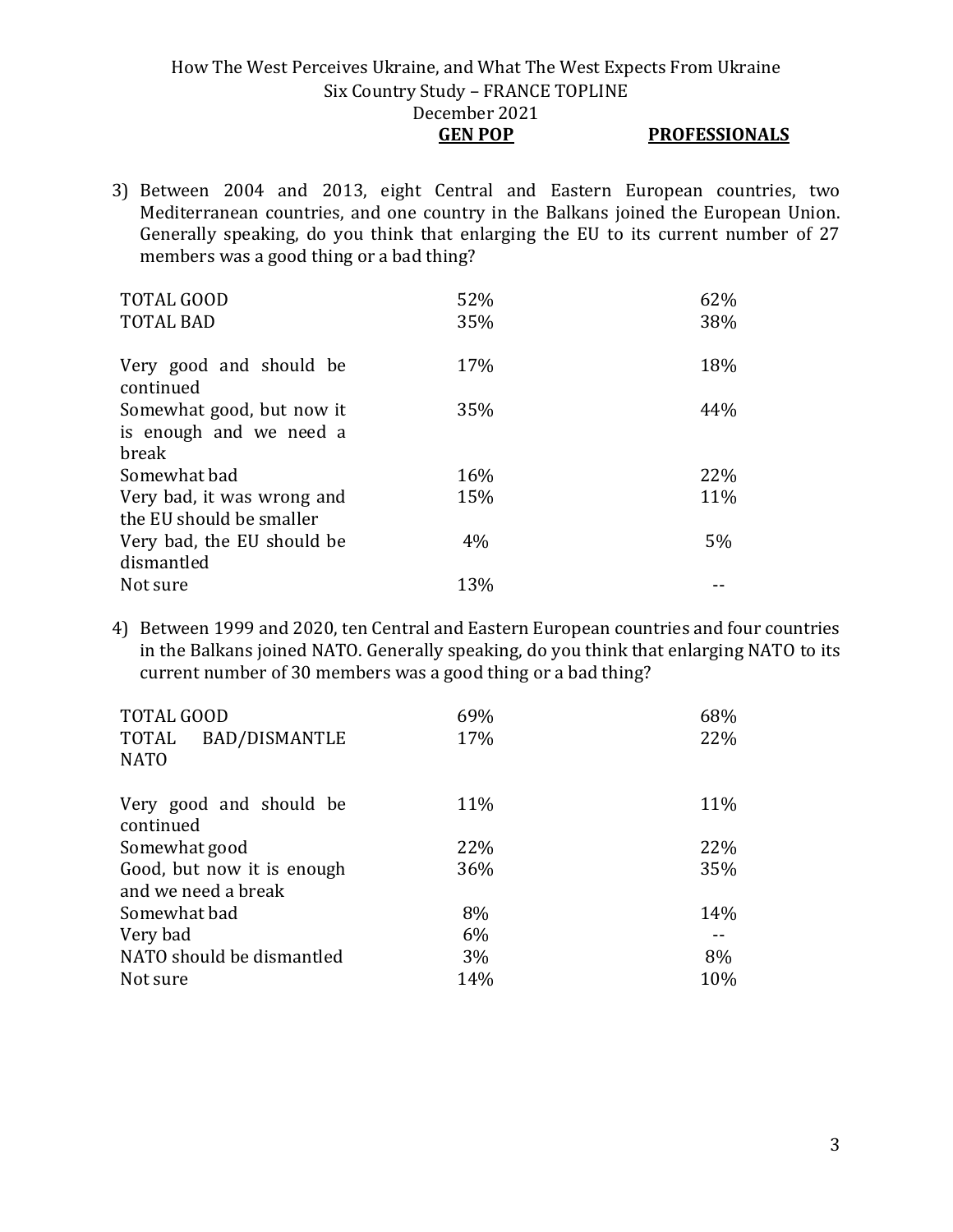- **GEN POP PROFESSIONALS**
- 3) Between 2004 and 2013, eight Central and Eastern European countries, two Mediterranean countries, and one country in the Balkans joined the European Union. Generally speaking, do you think that enlarging the EU to its current number of 27 members was a good thing or a bad thing?

| <b>TOTAL GOOD</b>                    | 52% | 62% |
|--------------------------------------|-----|-----|
| <b>TOTAL BAD</b>                     | 35% | 38% |
|                                      | 17% | 18% |
| Very good and should be<br>continued |     |     |
| Somewhat good, but now it            | 35% | 44% |
| is enough and we need a              |     |     |
| break                                |     |     |
| Somewhat bad                         | 16% | 22% |
| Very bad, it was wrong and           | 15% | 11% |
| the EU should be smaller             |     |     |
| Very bad, the EU should be           | 4%  | 5%  |
| dismantled                           |     |     |
| Not sure                             | 13% |     |

4) Between 1999 and 2020, ten Central and Eastern European countries and four countries in the Balkans joined NATO. Generally speaking, do you think that enlarging NATO to its current number of 30 members was a good thing or a bad thing?

| <b>TOTAL GOOD</b><br><b>BAD/DISMANTLE</b><br>TOTAL<br><b>NATO</b> | 69%<br>17% | 68%<br>22% |
|-------------------------------------------------------------------|------------|------------|
| Very good and should be<br>continued                              | 11%        | 11%        |
| Somewhat good                                                     | 22%        | 22%        |
| Good, but now it is enough<br>and we need a break                 | 36%        | 35%        |
| Somewhat bad                                                      | 8%         | 14%        |
| Very bad                                                          | 6%         |            |
| NATO should be dismantled                                         | 3%         | 8%         |
| Not sure                                                          | 14%        | 10%        |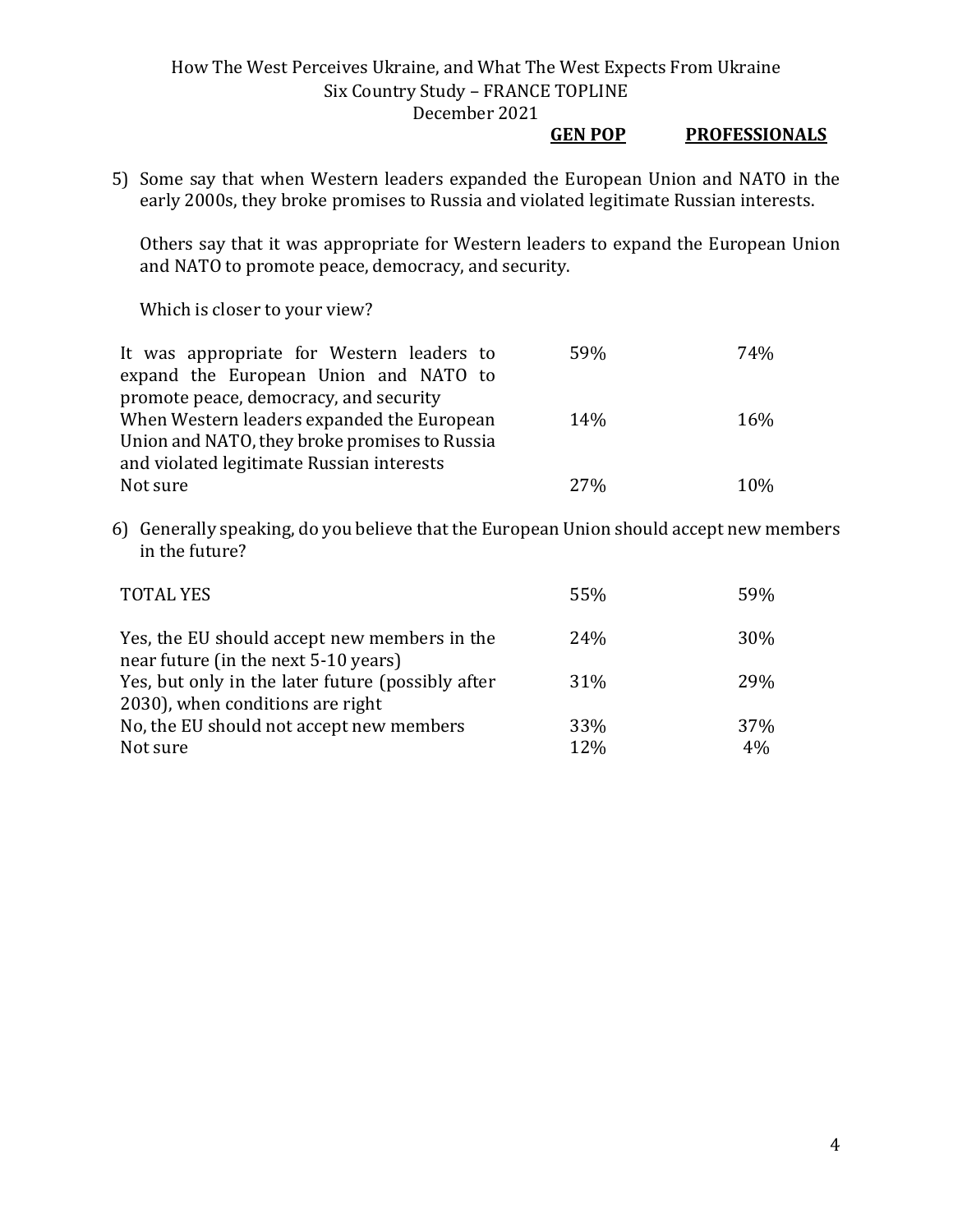#### **GEN POP PROFESSIONALS**

5) Some say that when Western leaders expanded the European Union and NATO in the early 2000s, they broke promises to Russia and violated legitimate Russian interests.

Others say that it was appropriate for Western leaders to expand the European Union and NATO to promote peace, democracy, and security.

Which is closer to your view?

| It was appropriate for Western leaders to     | 59%  | 74% |
|-----------------------------------------------|------|-----|
| expand the European Union and NATO to         |      |     |
| promote peace, democracy, and security        |      |     |
| When Western leaders expanded the European    | 14%  | 16% |
| Union and NATO, they broke promises to Russia |      |     |
| and violated legitimate Russian interests     |      |     |
| Not sure                                      | 2.7% | 10% |

6) Generally speaking, do you believe that the European Union should accept new members in the future?

| <b>TOTAL YES</b>                                                                      | 55% | 59% |
|---------------------------------------------------------------------------------------|-----|-----|
| Yes, the EU should accept new members in the<br>near future (in the next 5-10 years)  | 24% | 30% |
| Yes, but only in the later future (possibly after<br>2030), when conditions are right | 31% | 29% |
| No, the EU should not accept new members                                              | 33% | 37% |
| Not sure                                                                              | 12% | 4%  |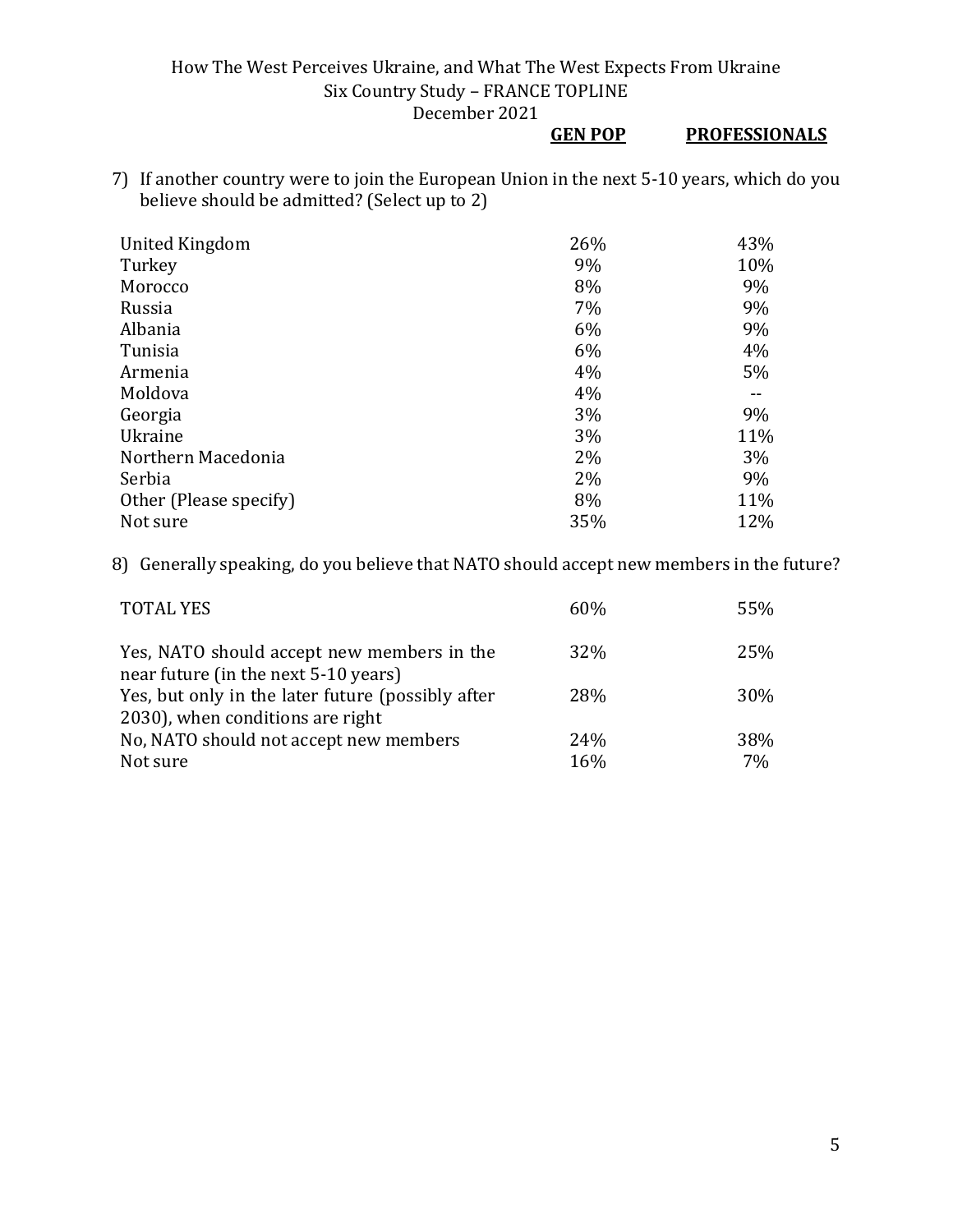#### **GEN POP PROFESSIONALS**

7) If another country were to join the European Union in the next 5-10 years, which do you believe should be admitted? (Select up to 2)

| United Kingdom         | 26% | 43% |
|------------------------|-----|-----|
| Turkey                 | 9%  | 10% |
| Morocco                | 8%  | 9%  |
| Russia                 | 7%  | 9%  |
| Albania                | 6%  | 9%  |
| Tunisia                | 6%  | 4%  |
| Armenia                | 4%  | 5%  |
| Moldova                | 4%  |     |
| Georgia                | 3%  | 9%  |
| Ukraine                | 3%  | 11% |
| Northern Macedonia     | 2%  | 3%  |
| Serbia                 | 2%  | 9%  |
| Other (Please specify) | 8%  | 11% |
| Not sure               | 35% | 12% |

8) Generally speaking, do you believe that NATO should accept new members in the future?

| <b>TOTAL YES</b>                                                                   | 60% | 55% |
|------------------------------------------------------------------------------------|-----|-----|
| Yes, NATO should accept new members in the<br>near future (in the next 5-10 years) | 32% | 25% |
| Yes, but only in the later future (possibly after                                  | 28% | 30% |
| 2030), when conditions are right                                                   |     |     |
| No, NATO should not accept new members                                             | 24% | 38% |
| Not sure                                                                           | 16% | 7%  |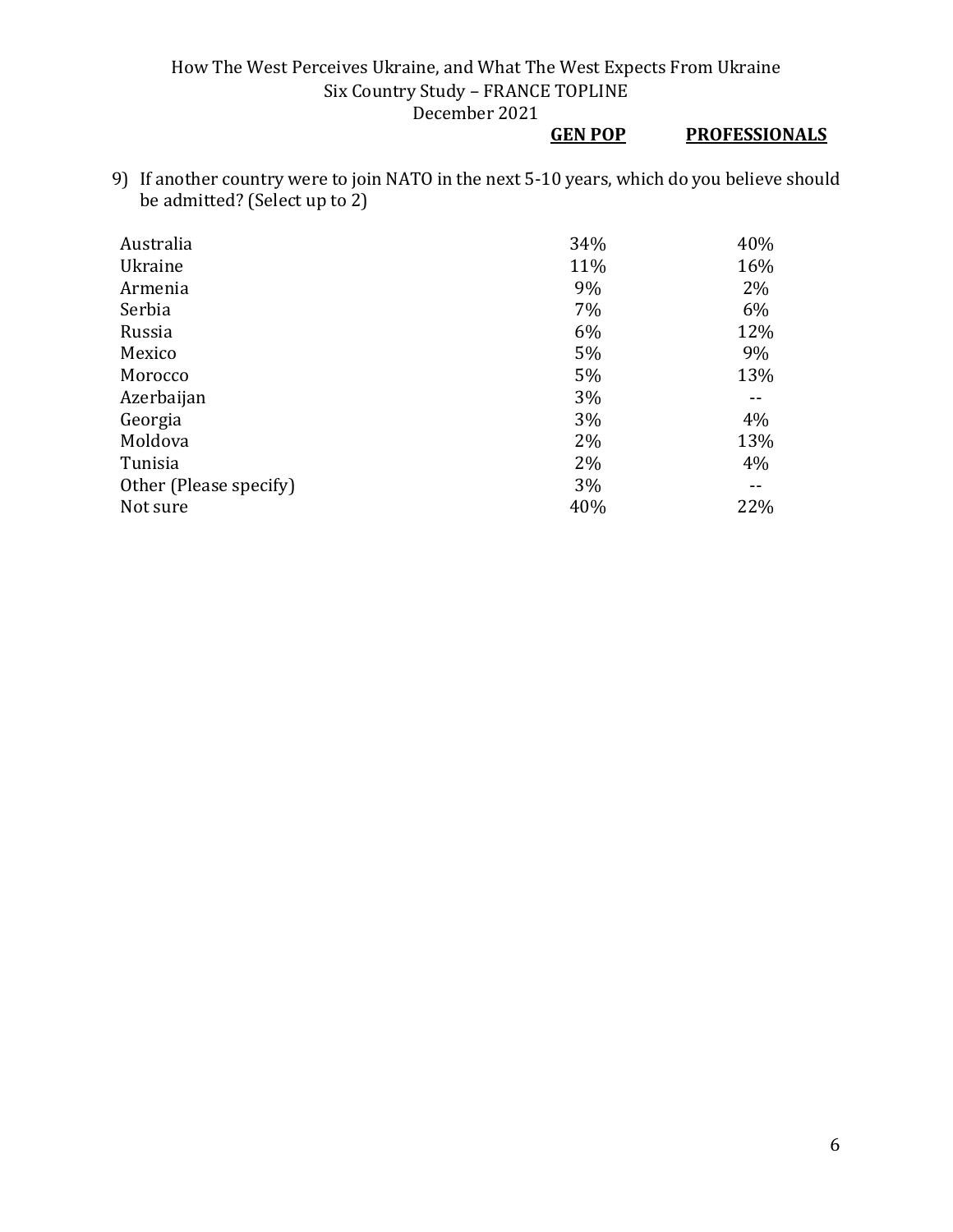## **GEN POP PROFESSIONALS**

9) If another country were to join NATO in the next 5-10 years, which do you believe should be admitted? (Select up to 2)

| Australia              | 34% | 40% |
|------------------------|-----|-----|
| Ukraine                | 11% | 16% |
| Armenia                | 9%  | 2%  |
| Serbia                 | 7%  | 6%  |
| Russia                 | 6%  | 12% |
| Mexico                 | 5%  | 9%  |
| Morocco                | 5%  | 13% |
| Azerbaijan             | 3%  |     |
| Georgia                | 3%  | 4%  |
| Moldova                | 2%  | 13% |
| Tunisia                | 2%  | 4%  |
| Other (Please specify) | 3%  | --  |
| Not sure               | 40% | 22% |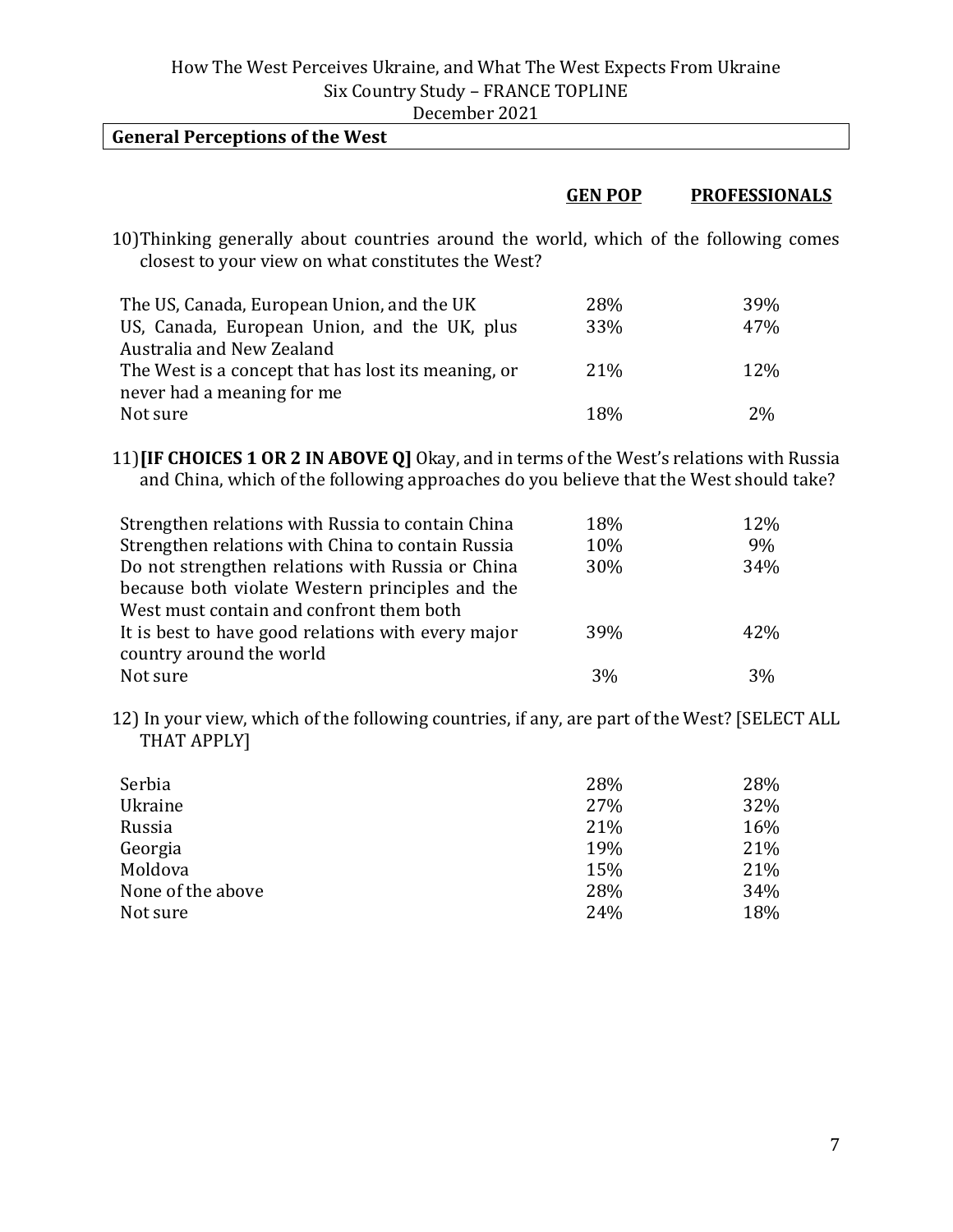|  | December 2021 |  |  |  |
|--|---------------|--|--|--|
|--|---------------|--|--|--|

| <b>General Perceptions of the West</b>                                                                                                      |                  |                      |
|---------------------------------------------------------------------------------------------------------------------------------------------|------------------|----------------------|
|                                                                                                                                             |                  | <b>PROFESSIONALS</b> |
|                                                                                                                                             | <b>GEN POP</b>   |                      |
| 10) Thinking generally about countries around the world, which of the following comes<br>closest to your view on what constitutes the West? |                  |                      |
| The US, Canada, European Union, and the UK                                                                                                  | 28%              | 39%                  |
| IIS Canada Furonean Union and the IIK plus                                                                                                  | 330 <sub>0</sub> | 47%                  |

| 03, Ganada, European Omon, and the UK, plus         | .C.C.           | 4770       |
|-----------------------------------------------------|-----------------|------------|
| Australia and New Zealand                           |                 |            |
| The West is a concept that has lost its meaning, or | 21 <sup>%</sup> | <b>12%</b> |
| never had a meaning for me                          |                 |            |
| Not sure                                            | 18%             | $2\%$      |

11)**[IF CHOICES 1 OR 2 IN ABOVE Q]** Okay, and in terms of the West's relations with Russia and China, which of the following approaches do you believe that the West should take?

| Strengthen relations with Russia to contain China  | 18% | 12% |
|----------------------------------------------------|-----|-----|
| Strengthen relations with China to contain Russia  | 10% | 9%  |
| Do not strengthen relations with Russia or China   | 30% | 34% |
| because both violate Western principles and the    |     |     |
| West must contain and confront them both           |     |     |
| It is best to have good relations with every major | 39% | 42% |
| country around the world                           |     |     |
| Not sure                                           | 3%  | 3%  |

12) In your view, which of the following countries, if any, are part of the West? [SELECT ALL THAT APPLY]

| Serbia            | 28% | 28% |
|-------------------|-----|-----|
| Ukraine           | 27% | 32% |
| Russia            | 21% | 16% |
| Georgia           | 19% | 21% |
| Moldova           | 15% | 21% |
| None of the above | 28% | 34% |
| Not sure          | 24% | 18% |

 $\overline{\phantom{a}}$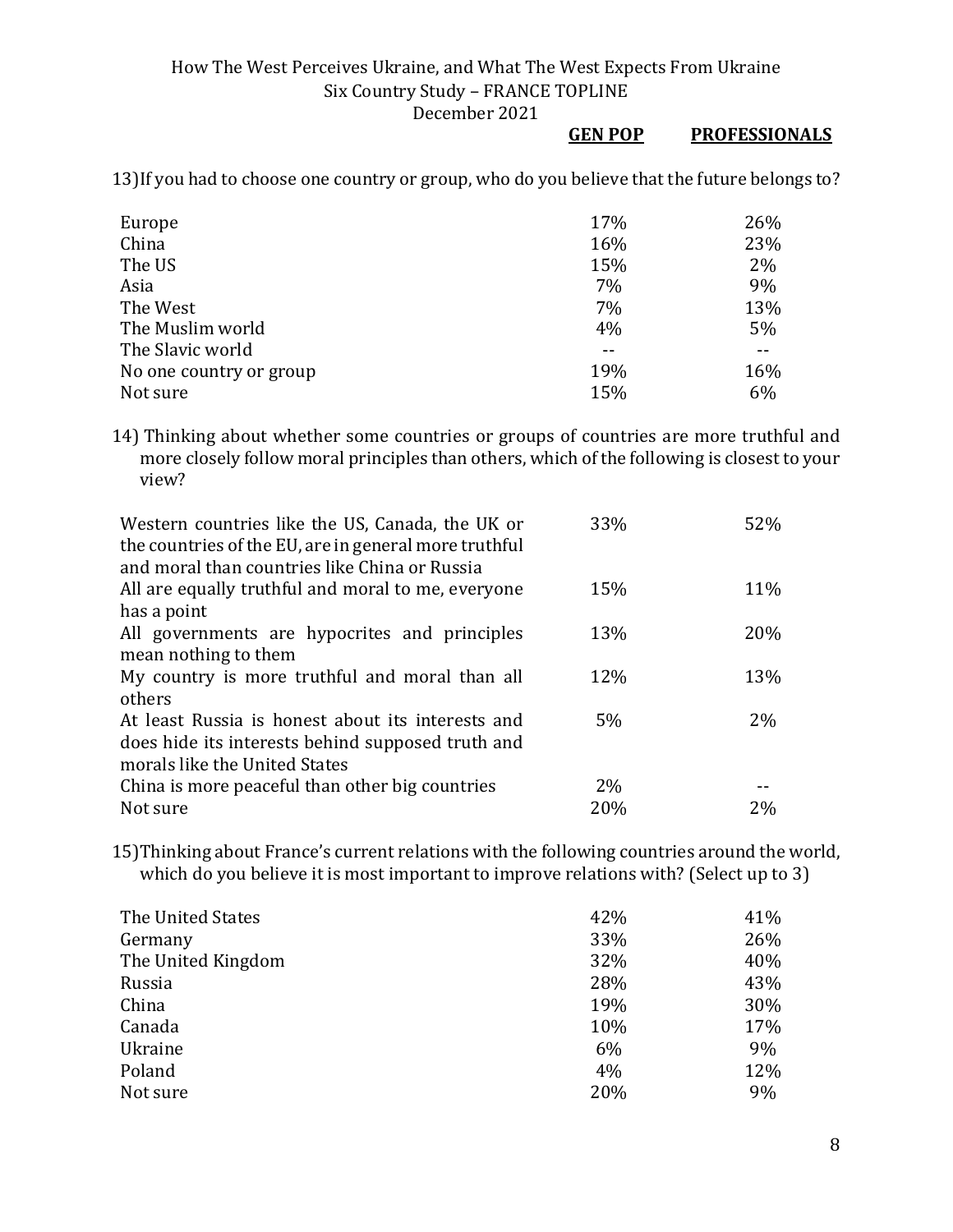#### **GEN POP PROFESSIONALS**

13)If you had to choose one country or group, who do you believe that the future belongs to?

| Europe                  | 17% | 26% |
|-------------------------|-----|-----|
| China                   | 16% | 23% |
| The US                  | 15% | 2%  |
| Asia                    | 7%  | 9%  |
| The West                | 7%  | 13% |
| The Muslim world        | 4%  | 5%  |
| The Slavic world        |     |     |
| No one country or group | 19% | 16% |
| Not sure                | 15% | 6%  |

14) Thinking about whether some countries or groups of countries are more truthful and more closely follow moral principles than others, which of the following is closest to your view?

| Western countries like the US, Canada, the UK or      | 33% | 52% |
|-------------------------------------------------------|-----|-----|
| the countries of the EU, are in general more truthful |     |     |
| and moral than countries like China or Russia         |     |     |
| All are equally truthful and moral to me, everyone    | 15% | 11% |
| has a point                                           |     |     |
| All governments are hypocrites and principles         | 13% | 20% |
| mean nothing to them                                  |     |     |
| My country is more truthful and moral than all        | 12% | 13% |
| others                                                |     |     |
| At least Russia is honest about its interests and     | 5%  | 2%  |
| does hide its interests behind supposed truth and     |     |     |
| morals like the United States                         |     |     |
| China is more peaceful than other big countries       | 2%  |     |
| Not sure                                              | 20% | 2%  |

15)Thinking about France's current relations with the following countries around the world, which do you believe it is most important to improve relations with? (Select up to 3)

| The United States  | 42% | 41% |
|--------------------|-----|-----|
| Germany            | 33% | 26% |
| The United Kingdom | 32% | 40% |
| Russia             | 28% | 43% |
| China              | 19% | 30% |
| Canada             | 10% | 17% |
| Ukraine            | 6%  | 9%  |
| Poland             | 4%  | 12% |
| Not sure           | 20% | 9%  |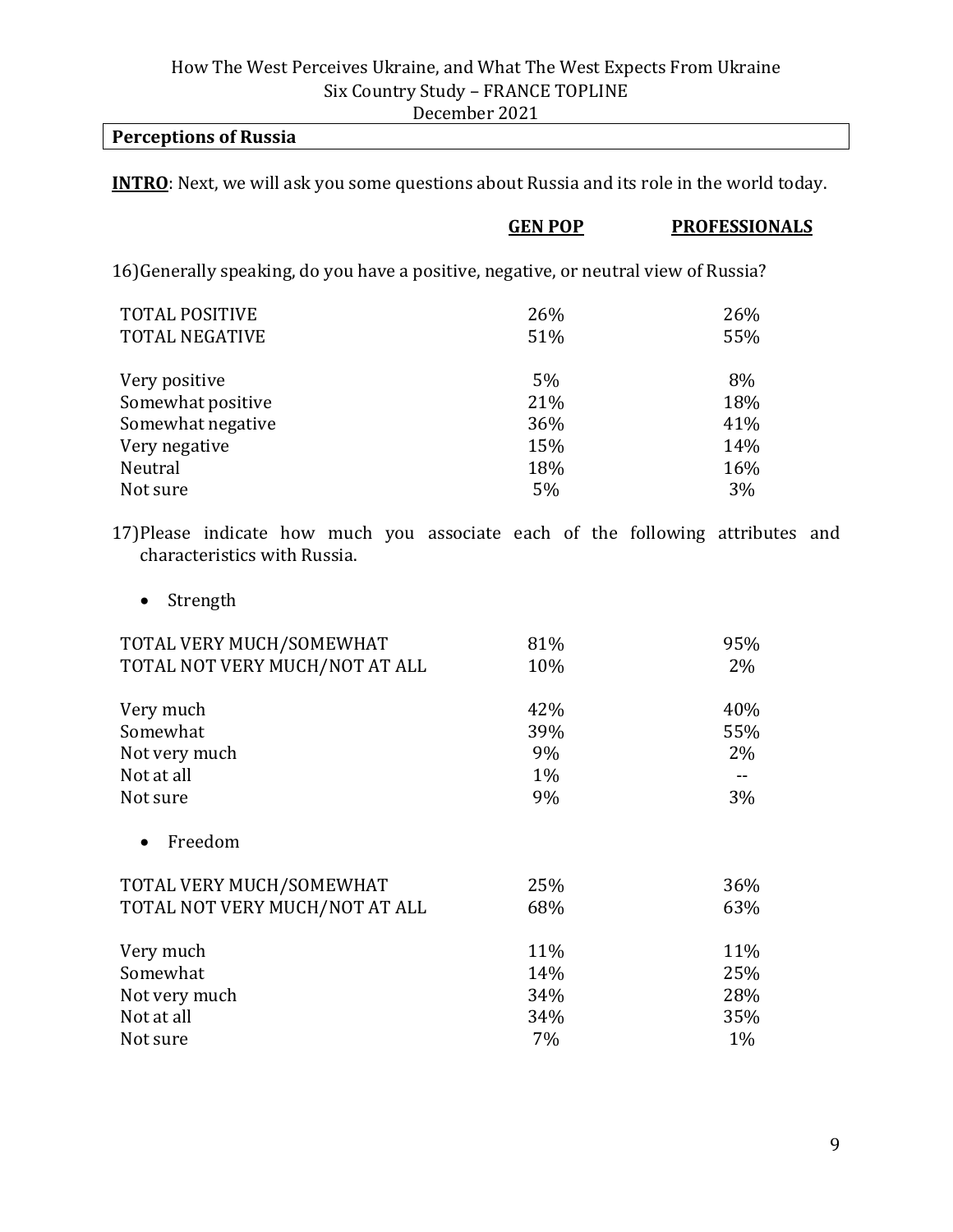#### **Perceptions of Russia**

**INTRO**: Next, we will ask you some questions about Russia and its role in the world today.

|                                                                                      | <b>GEN POP</b> | <b>PROFESSIONALS</b> |
|--------------------------------------------------------------------------------------|----------------|----------------------|
| 16) Generally speaking, do you have a positive, negative, or neutral view of Russia? |                |                      |
| <b>TOTAL POSITIVE</b>                                                                | 26%            | 26%                  |
| <b>TOTAL NEGATIVE</b>                                                                | 51%            | 55%                  |
| Very positive                                                                        | 5%             | 8%                   |
| Somewhat positive                                                                    | 21%            | 18%                  |
| Somewhat negative                                                                    | 36%            | 41%                  |
| Very negative                                                                        | 15%            | 14%                  |
| Neutral                                                                              | 18%            | 16%                  |
| Not sure                                                                             | 5%             | 3%                   |
|                                                                                      |                |                      |

17)Please indicate how much you associate each of the following attributes and characteristics with Russia.

• Strength

| TOTAL VERY MUCH/SOMEWHAT       | 81%   | 95%   |
|--------------------------------|-------|-------|
| TOTAL NOT VERY MUCH/NOT AT ALL | 10%   | 2%    |
| Very much                      | 42%   | 40%   |
| Somewhat                       | 39%   | 55%   |
| Not very much                  | 9%    | 2%    |
| Not at all                     | $1\%$ |       |
| Not sure                       | 9%    | 3%    |
| Freedom                        |       |       |
| TOTAL VERY MUCH/SOMEWHAT       | 25%   | 36%   |
| TOTAL NOT VERY MUCH/NOT AT ALL | 68%   | 63%   |
| Very much                      | 11%   | 11%   |
| Somewhat                       | 14%   | 25%   |
| Not very much                  | 34%   | 28%   |
| Not at all                     | 34%   | 35%   |
| Not sure                       | 7%    | $1\%$ |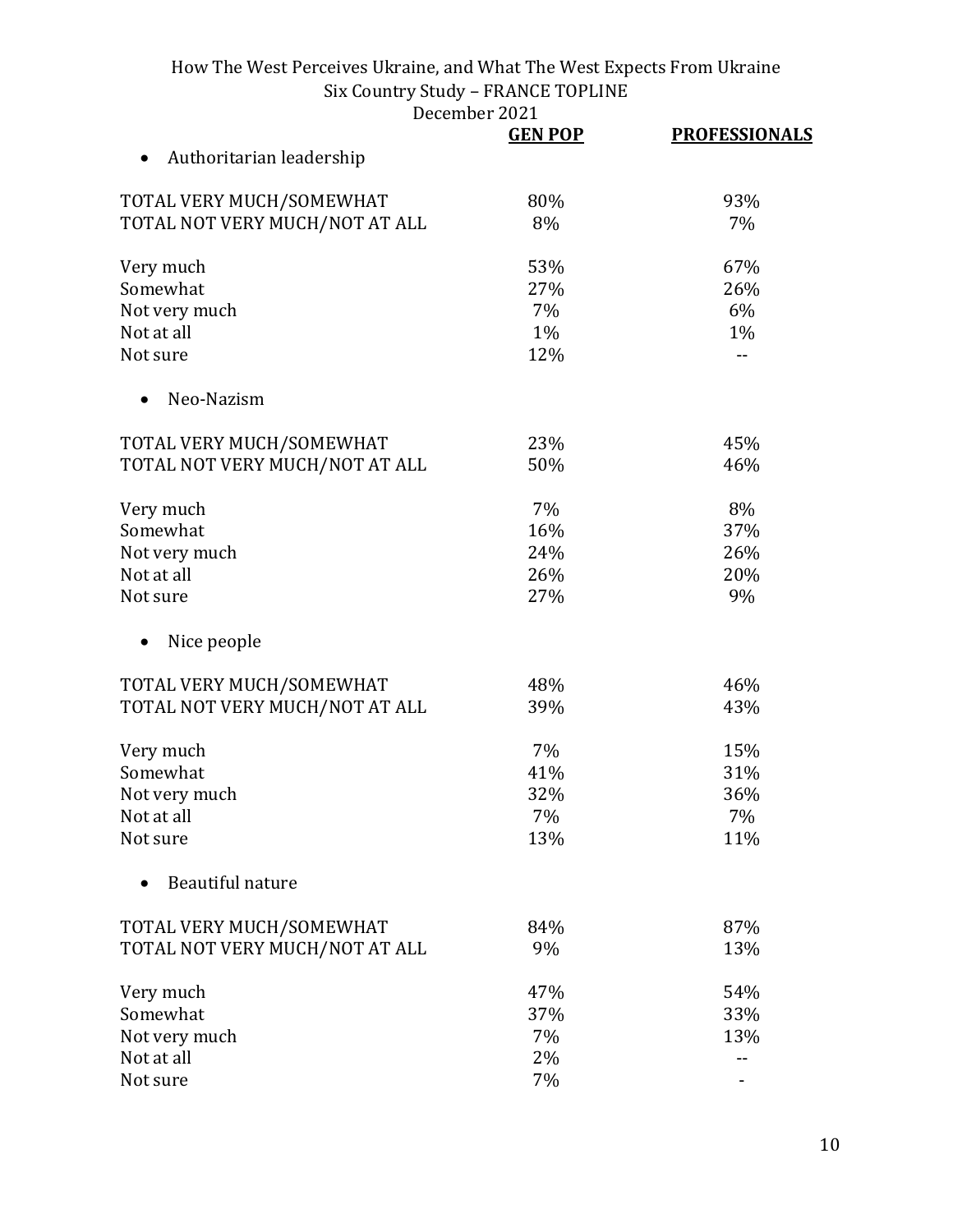December 2021<br> **GEN POP** 

|                                | <b>GEN POP</b> | <b>PROFESSIONALS</b> |
|--------------------------------|----------------|----------------------|
| Authoritarian leadership       |                |                      |
| TOTAL VERY MUCH/SOMEWHAT       | 80%            | 93%                  |
| TOTAL NOT VERY MUCH/NOT AT ALL | 8%             | 7%                   |
| Very much                      | 53%            | 67%                  |
| Somewhat                       | 27%            | 26%                  |
| Not very much                  | 7%             | 6%                   |
| Not at all                     | 1%             | $1\%$                |
| Not sure                       | 12%            | --                   |
| Neo-Nazism                     |                |                      |
| TOTAL VERY MUCH/SOMEWHAT       | 23%            | 45%                  |
| TOTAL NOT VERY MUCH/NOT AT ALL | 50%            | 46%                  |
| Very much                      | 7%             | 8%                   |
| Somewhat                       | 16%            | 37%                  |
| Not very much                  | 24%            | 26%                  |
| Not at all                     | 26%            | 20%                  |
| Not sure                       | 27%            | 9%                   |
| Nice people                    |                |                      |
| TOTAL VERY MUCH/SOMEWHAT       | 48%            | 46%                  |
| TOTAL NOT VERY MUCH/NOT AT ALL | 39%            | 43%                  |
| Very much                      | 7%             | 15%                  |
| Somewhat                       | 41%            | 31%                  |
| Not very much                  | 32%            | 36%                  |
| Not at all                     | 7%             | 7%                   |
| Not sure                       | 13%            | 11%                  |
| Beautiful nature               |                |                      |
| TOTAL VERY MUCH/SOMEWHAT       | 84%            | 87%                  |
| TOTAL NOT VERY MUCH/NOT AT ALL | 9%             | 13%                  |
| Very much                      | 47%            | 54%                  |
| Somewhat                       | 37%            | 33%                  |
| Not very much                  | 7%             | 13%                  |
| Not at all                     | 2%             |                      |
| Not sure                       | 7%             |                      |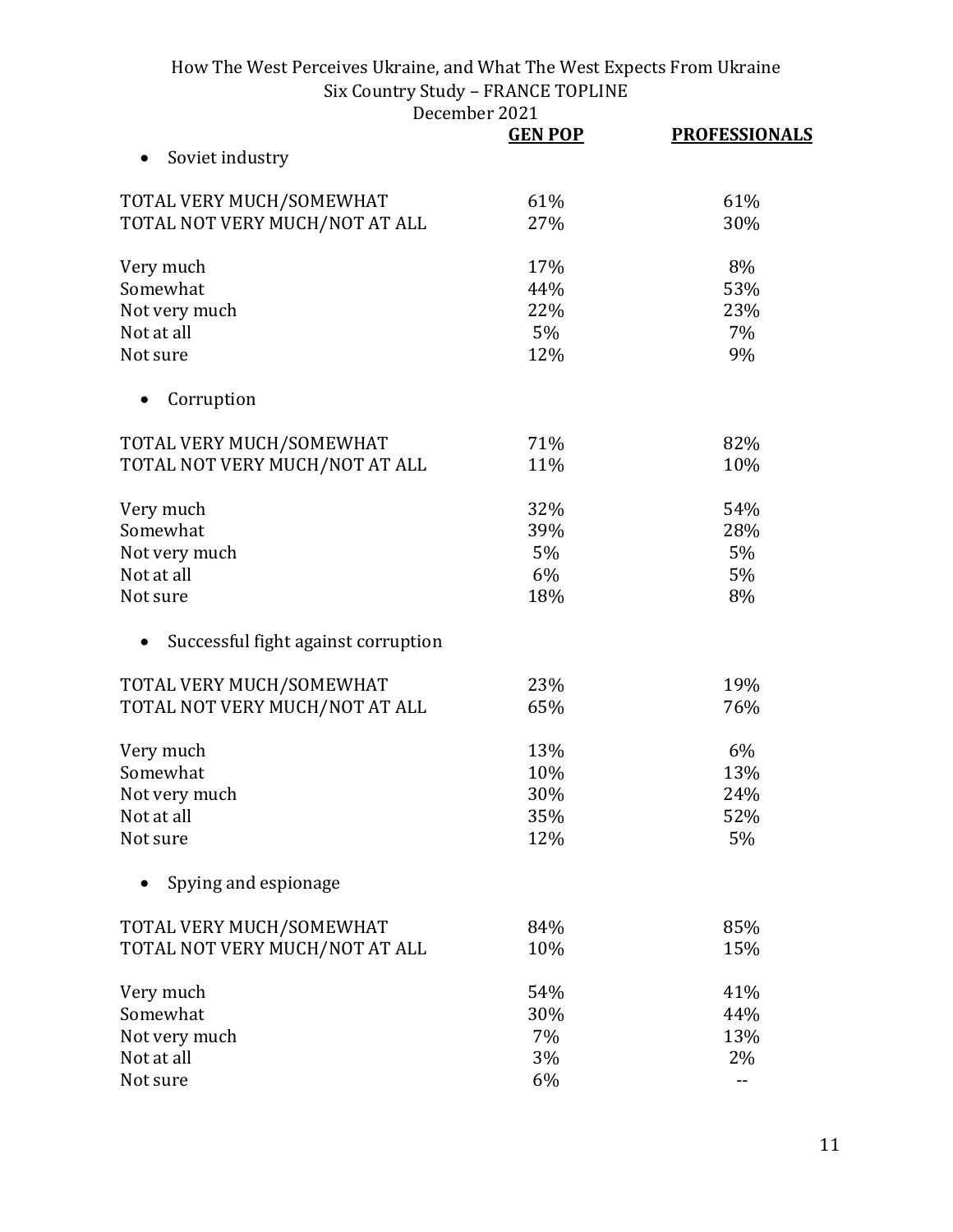|                                     | <b>GEN POP</b> | <b>PROFESSIONALS</b> |
|-------------------------------------|----------------|----------------------|
| Soviet industry                     |                |                      |
| TOTAL VERY MUCH/SOMEWHAT            | 61%            | 61%                  |
| TOTAL NOT VERY MUCH/NOT AT ALL      | 27%            | 30%                  |
| Very much                           | 17%            | 8%                   |
| Somewhat                            | 44%            | 53%                  |
| Not very much                       | 22%            | 23%                  |
| Not at all                          | 5%             | 7%                   |
| Not sure                            | 12%            | 9%                   |
| Corruption<br>$\bullet$             |                |                      |
| TOTAL VERY MUCH/SOMEWHAT            | 71%            | 82%                  |
| TOTAL NOT VERY MUCH/NOT AT ALL      | 11%            | 10%                  |
| Very much                           | 32%            | 54%                  |
| Somewhat                            | 39%            | 28%                  |
| Not very much                       | 5%             | 5%                   |
| Not at all                          | 6%             | 5%                   |
| Not sure                            | 18%            | 8%                   |
| Successful fight against corruption |                |                      |
| TOTAL VERY MUCH/SOMEWHAT            | 23%            | 19%                  |
| TOTAL NOT VERY MUCH/NOT AT ALL      | 65%            | 76%                  |
| Very much                           | 13%            | 6%                   |
| Somewhat                            | 10%            | 13%                  |
| Not very much                       | 30%            | 24%                  |
| Not at all                          | 35%            | 52%                  |
| Not sure                            | 12%            | 5%                   |
| Spying and espionage                |                |                      |
| TOTAL VERY MUCH/SOMEWHAT            | 84%            | 85%                  |
| TOTAL NOT VERY MUCH/NOT AT ALL      | 10%            | 15%                  |
| Very much                           | 54%            | 41%                  |
| Somewhat                            | 30%            | 44%                  |
| Not very much                       | 7%             | 13%                  |
| Not at all                          | 3%             | 2%                   |
| Not sure                            | 6%             |                      |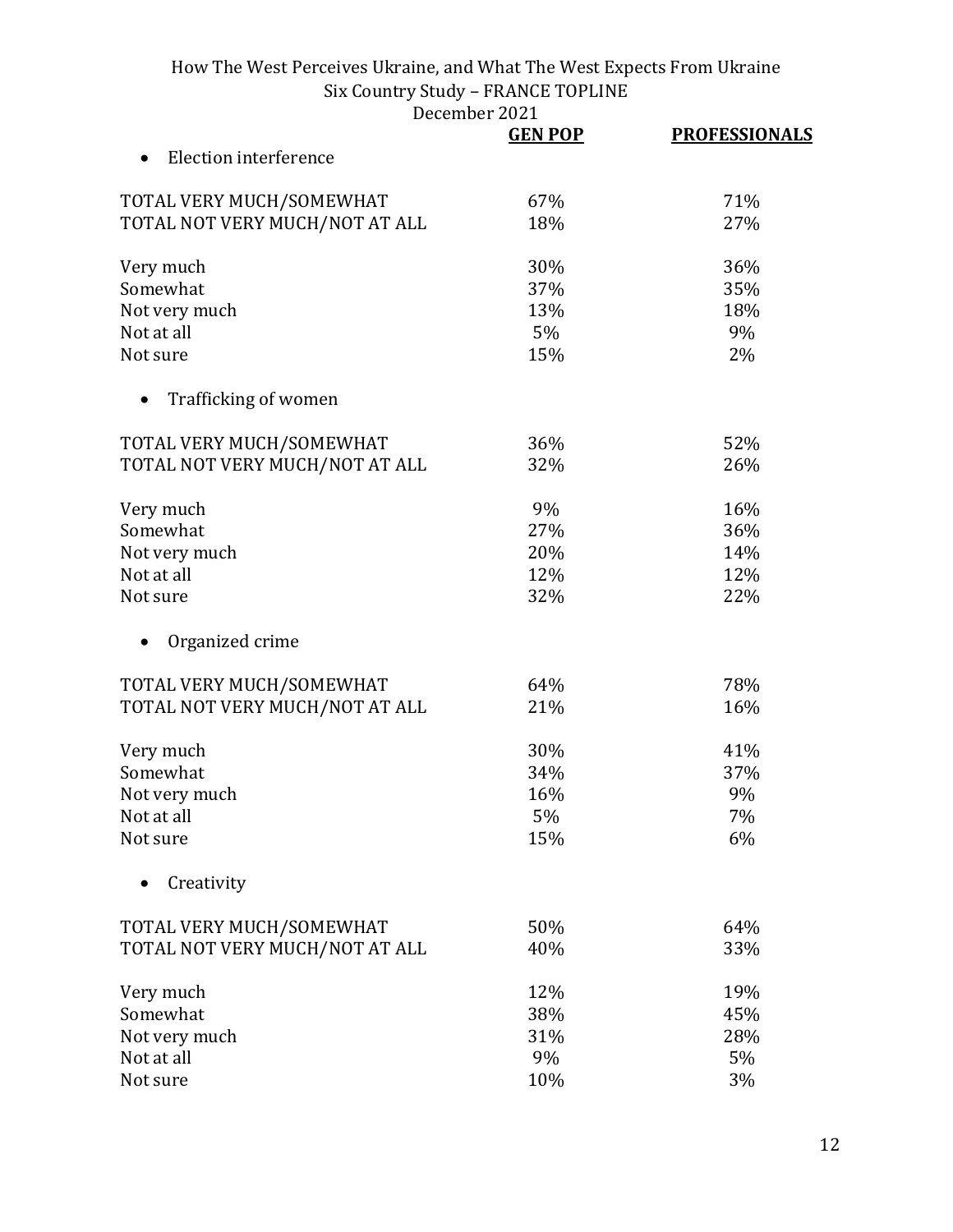December 2021<br> **GEN POP** 

|                                | <b>GEN POP</b> | <b>PROFESSIONALS</b> |
|--------------------------------|----------------|----------------------|
| Election interference          |                |                      |
| TOTAL VERY MUCH/SOMEWHAT       | 67%            | 71%                  |
| TOTAL NOT VERY MUCH/NOT AT ALL | 18%            | 27%                  |
| Very much                      | 30%            | 36%                  |
| Somewhat                       | 37%            | 35%                  |
| Not very much                  | 13%            | 18%                  |
| Not at all                     | 5%             | 9%                   |
| Not sure                       | 15%            | 2%                   |
| Trafficking of women           |                |                      |
| TOTAL VERY MUCH/SOMEWHAT       | 36%            | 52%                  |
| TOTAL NOT VERY MUCH/NOT AT ALL | 32%            | 26%                  |
| Very much                      | 9%             | 16%                  |
| Somewhat                       | 27%            | 36%                  |
| Not very much                  | 20%            | 14%                  |
| Not at all                     | 12%            | 12%                  |
| Not sure                       | 32%            | 22%                  |
| Organized crime                |                |                      |
| TOTAL VERY MUCH/SOMEWHAT       | 64%            | 78%                  |
| TOTAL NOT VERY MUCH/NOT AT ALL | 21%            | 16%                  |
| Very much                      | 30%            | 41%                  |
| Somewhat                       | 34%            | 37%                  |
| Not very much                  | 16%            | 9%                   |
| Not at all                     | 5%             | 7%                   |
| Not sure                       | 15%            | 6%                   |
| Creativity                     |                |                      |
| TOTAL VERY MUCH/SOMEWHAT       | 50%            | 64%                  |
| TOTAL NOT VERY MUCH/NOT AT ALL | 40%            | 33%                  |
| Very much                      | 12%            | 19%                  |
| Somewhat                       | 38%            | 45%                  |
| Not very much                  | 31%            | 28%                  |
| Not at all                     | 9%             | 5%                   |
| Not sure                       | 10%            | 3%                   |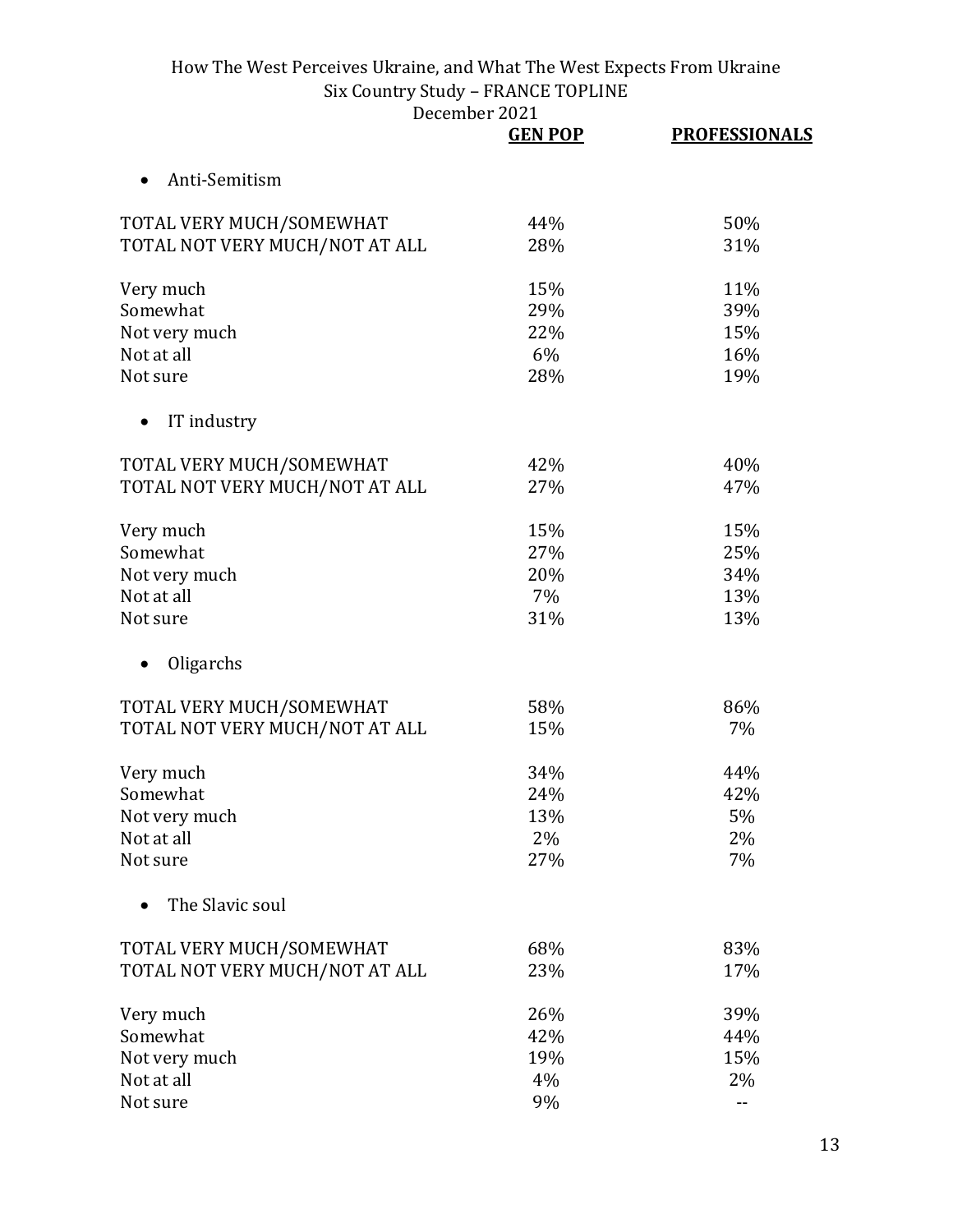|                                | <b>GEN POP</b> | <b>PROFESSIONALS</b> |
|--------------------------------|----------------|----------------------|
| Anti-Semitism                  |                |                      |
| TOTAL VERY MUCH/SOMEWHAT       | 44%            | 50%                  |
| TOTAL NOT VERY MUCH/NOT AT ALL | 28%            | 31%                  |
| Very much                      | 15%            | 11%                  |
| Somewhat                       | 29%            | 39%                  |
| Not very much                  | 22%            | 15%                  |
| Not at all                     | 6%             | 16%                  |
| Not sure                       | 28%            | 19%                  |
| IT industry                    |                |                      |
| TOTAL VERY MUCH/SOMEWHAT       | 42%            | 40%                  |
| TOTAL NOT VERY MUCH/NOT AT ALL | 27%            | 47%                  |
| Very much                      | 15%            | 15%                  |
| Somewhat                       | 27%            | 25%                  |
| Not very much                  | 20%            | 34%                  |
| Not at all                     | 7%             | 13%                  |
| Not sure                       | 31%            | 13%                  |
| Oligarchs                      |                |                      |
| TOTAL VERY MUCH/SOMEWHAT       | 58%            | 86%                  |
| TOTAL NOT VERY MUCH/NOT AT ALL | 15%            | 7%                   |
| Very much                      | 34%            | 44%                  |
| Somewhat                       | 24%            | 42%                  |
| Not very much                  | 13%            | 5%                   |
| Not at all                     | 2%             | 2%                   |
| Not sure                       | 27%            | 7%                   |
| The Slavic soul                |                |                      |
| TOTAL VERY MUCH/SOMEWHAT       | 68%            | 83%                  |
| TOTAL NOT VERY MUCH/NOT AT ALL | 23%            | 17%                  |
| Very much                      | 26%            | 39%                  |
| Somewhat                       | 42%            | 44%                  |
| Not very much                  | 19%            | 15%                  |
| Not at all                     | 4%             | 2%                   |
| Not sure                       | 9%             | --                   |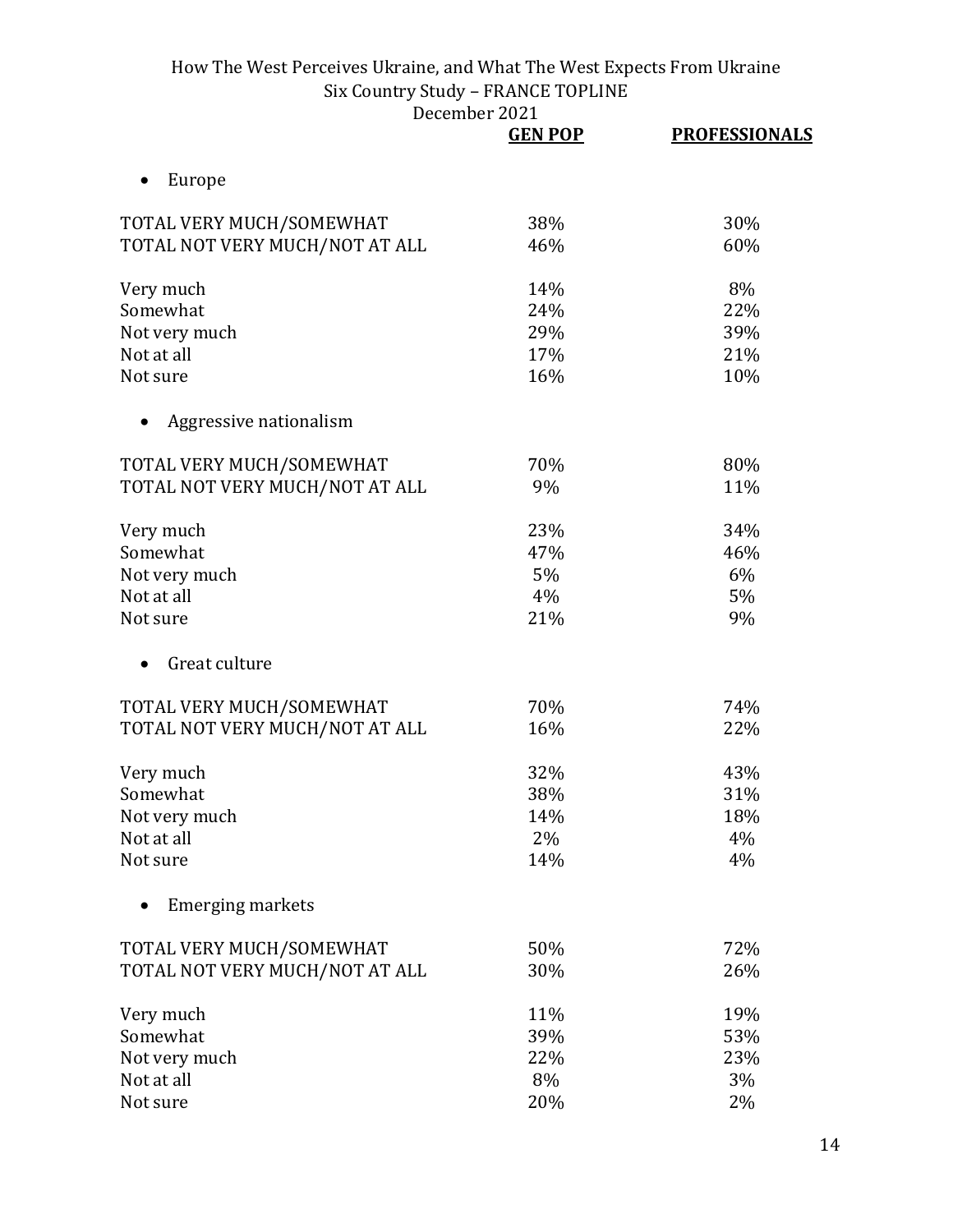|                                | <b>GEN POP</b> | <b>PROFESSIONALS</b> |
|--------------------------------|----------------|----------------------|
| Europe                         |                |                      |
| TOTAL VERY MUCH/SOMEWHAT       | 38%            | 30%                  |
| TOTAL NOT VERY MUCH/NOT AT ALL | 46%            | 60%                  |
| Very much                      | 14%            | 8%                   |
| Somewhat                       | 24%            | 22%                  |
| Not very much                  | 29%            | 39%                  |
| Not at all                     | 17%            | 21%                  |
| Not sure                       | 16%            | 10%                  |
| Aggressive nationalism         |                |                      |
| TOTAL VERY MUCH/SOMEWHAT       | 70%            | 80%                  |
| TOTAL NOT VERY MUCH/NOT AT ALL | 9%             | 11%                  |
| Very much                      | 23%            | 34%                  |
| Somewhat                       | 47%            | 46%                  |
| Not very much                  | 5%             | 6%                   |
| Not at all                     | 4%             | 5%                   |
| Not sure                       | 21%            | 9%                   |
| Great culture                  |                |                      |
| TOTAL VERY MUCH/SOMEWHAT       | 70%            | 74%                  |
| TOTAL NOT VERY MUCH/NOT AT ALL | 16%            | 22%                  |
| Very much                      | 32%            | 43%                  |
| Somewhat                       | 38%            | 31%                  |
| Not very much                  | 14%            | 18%                  |
| Not at all                     | 2%             | 4%                   |
| Not sure                       | 14%            | 4%                   |
| <b>Emerging markets</b>        |                |                      |
| TOTAL VERY MUCH/SOMEWHAT       | 50%            | 72%                  |
| TOTAL NOT VERY MUCH/NOT AT ALL | 30%            | 26%                  |
| Very much                      | 11%            | 19%                  |
| Somewhat                       | 39%            | 53%                  |
| Not very much                  | 22%            | 23%                  |
| Not at all                     | 8%             | 3%                   |
| Not sure                       | 20%            | 2%                   |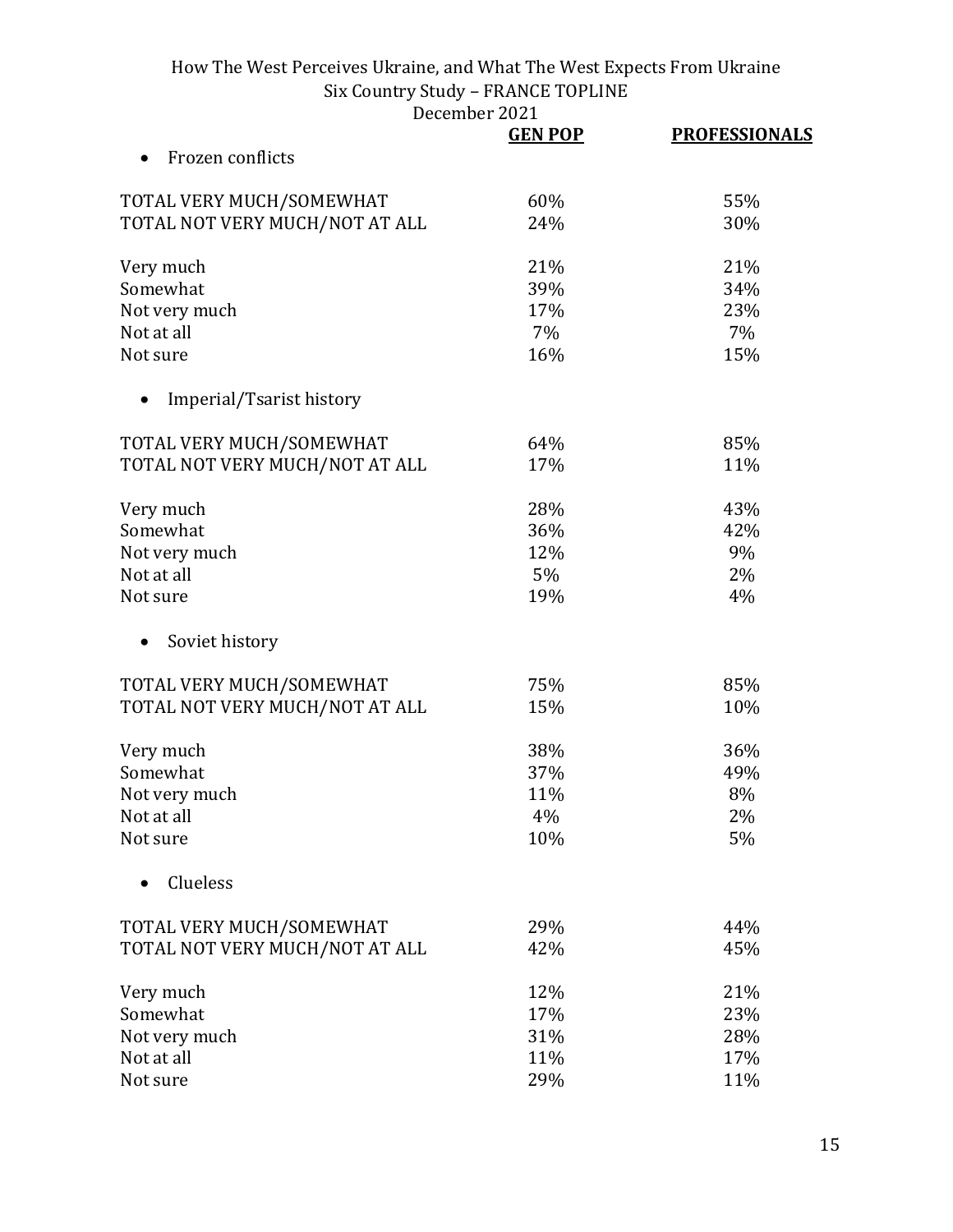|                                | <b>GEN POP</b> | <b>PROFESSIONALS</b> |
|--------------------------------|----------------|----------------------|
| Frozen conflicts               |                |                      |
| TOTAL VERY MUCH/SOMEWHAT       | 60%            | 55%                  |
| TOTAL NOT VERY MUCH/NOT AT ALL | 24%            | 30%                  |
| Very much                      | 21%            | 21%                  |
| Somewhat                       | 39%            | 34%                  |
| Not very much                  | 17%            | 23%                  |
| Not at all                     | 7%             | 7%                   |
| Not sure                       | 16%            | 15%                  |
| Imperial/Tsarist history       |                |                      |
| TOTAL VERY MUCH/SOMEWHAT       | 64%            | 85%                  |
| TOTAL NOT VERY MUCH/NOT AT ALL | 17%            | 11%                  |
| Very much                      | 28%            | 43%                  |
| Somewhat                       | 36%            | 42%                  |
| Not very much                  | 12%            | 9%                   |
| Not at all                     | 5%             | 2%                   |
| Not sure                       | 19%            | 4%                   |
| Soviet history                 |                |                      |
| TOTAL VERY MUCH/SOMEWHAT       | 75%            | 85%                  |
| TOTAL NOT VERY MUCH/NOT AT ALL | 15%            | 10%                  |
| Very much                      | 38%            | 36%                  |
| Somewhat                       | 37%            | 49%                  |
| Not very much                  | 11%            | 8%                   |
| Not at all                     | 4%             | 2%                   |
| Not sure                       | 10%            | 5%                   |
| Clueless                       |                |                      |
| TOTAL VERY MUCH/SOMEWHAT       | 29%            | 44%                  |
| TOTAL NOT VERY MUCH/NOT AT ALL | 42%            | 45%                  |
| Very much                      | 12%            | 21%                  |
| Somewhat                       | 17%            | 23%                  |
| Not very much                  | 31%            | 28%                  |
| Not at all                     | 11%            | 17%                  |
| Not sure                       | 29%            | 11%                  |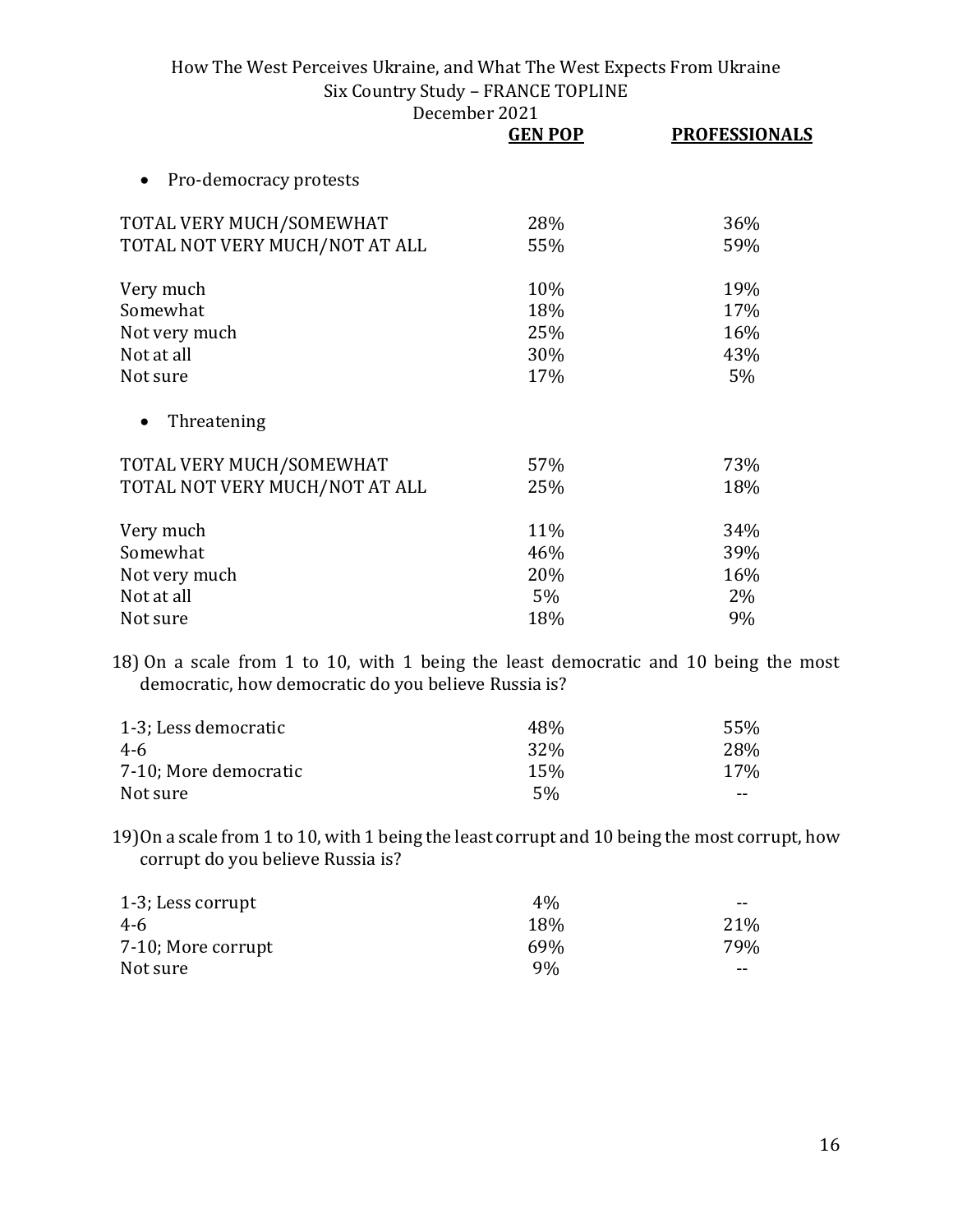December 2021

|                                | <b>GEN POP</b> | <b>PROFESSIONALS</b> |
|--------------------------------|----------------|----------------------|
| Pro-democracy protests         |                |                      |
| TOTAL VERY MUCH/SOMEWHAT       | 28%            | 36%                  |
| TOTAL NOT VERY MUCH/NOT AT ALL | 55%            | 59%                  |
| Very much                      | 10%            | 19%                  |
| Somewhat                       | 18%            | 17%                  |
| Not very much                  | 25%            | 16%                  |
| Not at all                     | 30%            | 43%                  |
| Not sure                       | 17%            | 5%                   |
| Threatening                    |                |                      |
| TOTAL VERY MUCH/SOMEWHAT       | 57%            | 73%                  |
| TOTAL NOT VERY MUCH/NOT AT ALL | 25%            | 18%                  |
| Very much                      | 11%            | 34%                  |
| Somewhat                       | 46%            | 39%                  |
| Not very much                  | 20%            | 16%                  |
| Not at all                     | 5%             | 2%                   |
| Not sure                       | 18%            | 9%                   |

18) On a scale from 1 to 10, with 1 being the least democratic and 10 being the most democratic, how democratic do you believe Russia is?

| 1-3; Less democratic  | 48%             | 55%   |
|-----------------------|-----------------|-------|
| 4-6                   | 32 <sup>%</sup> | 28%   |
| 7-10; More democratic | 15%             | 17%   |
| Not sure              | 5%              | $- -$ |

19)On a scale from 1 to 10, with 1 being the least corrupt and 10 being the most corrupt, how corrupt do you believe Russia is?

| 1-3; Less corrupt  | $4\%$           | --  |
|--------------------|-----------------|-----|
| 4-6                | 18%             | 21% |
| 7-10; More corrupt | 69 <sub>%</sub> | 79% |
| Not sure           | 9%              | --  |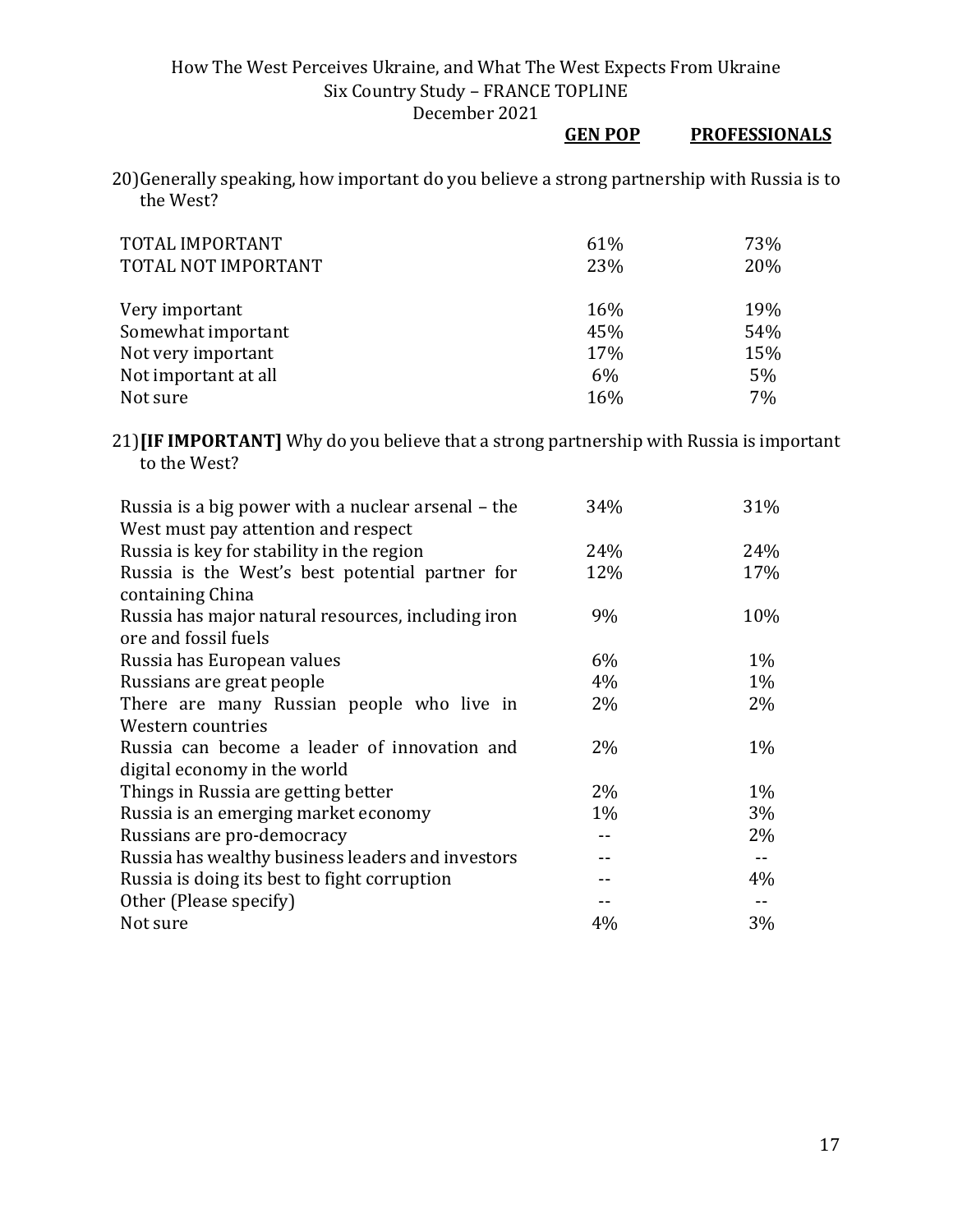## **GEN POP PROFESSIONALS**

20)Generally speaking, how important do you believe a strong partnership with Russia is to the West?

| TOTAL IMPORTANT<br>TOTAL NOT IMPORTANT | 61%<br>23% | 73%<br>20% |
|----------------------------------------|------------|------------|
| Very important                         | 16%        | 19%        |
| Somewhat important                     | 45%        | 54%        |
| Not very important                     | 17%        | 15%        |
| Not important at all                   | 6%         | 5%         |
| Not sure                               | 16%        | 7%         |

#### 21)**[IF IMPORTANT]** Why do you believe that a strong partnership with Russia is important to the West?

| Russia is a big power with a nuclear arsenal - the | 34%   | 31%   |
|----------------------------------------------------|-------|-------|
| West must pay attention and respect                |       |       |
| Russia is key for stability in the region          | 24%   | 24%   |
| Russia is the West's best potential partner for    | 12%   | 17%   |
| containing China                                   |       |       |
| Russia has major natural resources, including iron | 9%    | 10%   |
| ore and fossil fuels                               |       |       |
| Russia has European values                         | 6%    | $1\%$ |
| Russians are great people                          | 4%    | $1\%$ |
| There are many Russian people who live in          | $2\%$ | $2\%$ |
| Western countries                                  |       |       |
| Russia can become a leader of innovation and       | $2\%$ | $1\%$ |
| digital economy in the world                       |       |       |
| Things in Russia are getting better                | $2\%$ | $1\%$ |
| Russia is an emerging market economy               | $1\%$ | $3\%$ |
| Russians are pro-democracy                         | --    | 2%    |
| Russia has wealthy business leaders and investors  |       |       |
| Russia is doing its best to fight corruption       |       | 4%    |
| Other (Please specify)                             |       |       |
| Not sure                                           | 4%    | 3%    |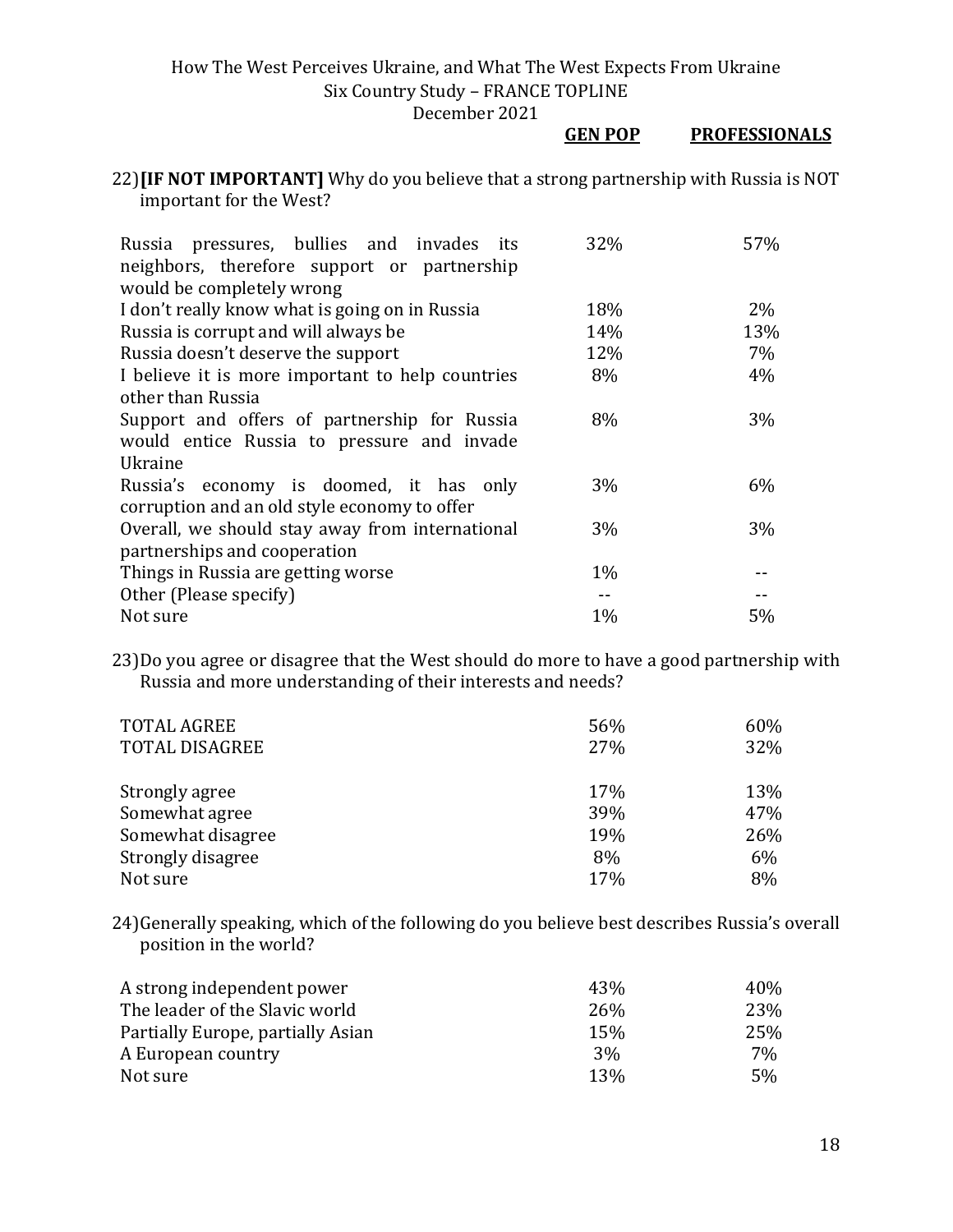December 2021

#### **GEN POP PROFESSIONALS**

22)**[IF NOT IMPORTANT]** Why do you believe that a strong partnership with Russia is NOT important for the West?

| Russia pressures, bullies and invades its<br>neighbors, therefore support or partnership | 32%   | 57%   |
|------------------------------------------------------------------------------------------|-------|-------|
| would be completely wrong                                                                |       |       |
| I don't really know what is going on in Russia                                           | 18%   | $2\%$ |
| Russia is corrupt and will always be                                                     | 14%   | 13%   |
| Russia doesn't deserve the support                                                       | 12%   | 7%    |
| I believe it is more important to help countries                                         | 8%    | 4%    |
| other than Russia                                                                        |       |       |
| Support and offers of partnership for Russia                                             | 8%    | 3%    |
| would entice Russia to pressure and invade                                               |       |       |
| Ukraine                                                                                  |       |       |
| Russia's economy is doomed, it has only                                                  | 3%    | $6\%$ |
| corruption and an old style economy to offer                                             |       |       |
| Overall, we should stay away from international                                          | 3%    | 3%    |
| partnerships and cooperation                                                             |       |       |
| Things in Russia are getting worse                                                       | $1\%$ |       |
| Other (Please specify)                                                                   |       |       |
| Not sure                                                                                 | 1%    | 5%    |

23)Do you agree or disagree that the West should do more to have a good partnership with Russia and more understanding of their interests and needs?

| <b>TOTAL AGREE</b>    | 56% | 60% |
|-----------------------|-----|-----|
| <b>TOTAL DISAGREE</b> | 27% | 32% |
| Strongly agree        | 17% | 13% |
| Somewhat agree        | 39% | 47% |
| Somewhat disagree     | 19% | 26% |
| Strongly disagree     | 8%  | 6%  |
| Not sure              | 17% | 8%  |

24)Generally speaking, which of the following do you believe best describes Russia's overall position in the world?

| A strong independent power        | 43%        | 40% |
|-----------------------------------|------------|-----|
| The leader of the Slavic world    | 26%        | 23% |
| Partially Europe, partially Asian | 15%        | 25% |
| A European country                | 3%         | 7%  |
| Not sure                          | <b>13%</b> | 5%  |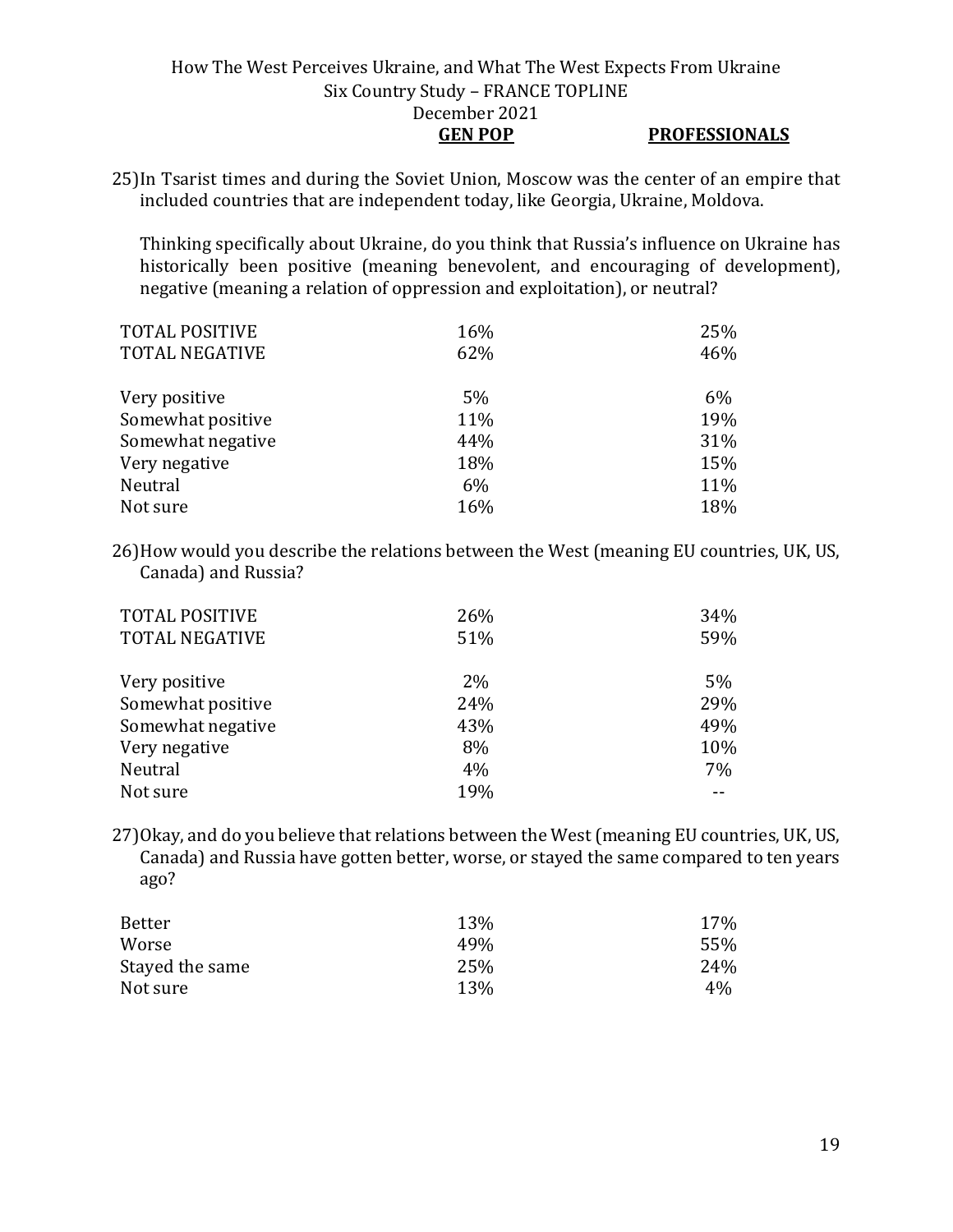#### How The West Perceives Ukraine, and What The West Expects From Ukraine Six Country Study – FRANCE TOPLINE December 2021 **GEN POP PROFESSIONALS**

25)In Tsarist times and during the Soviet Union, Moscow was the center of an empire that included countries that are independent today, like Georgia, Ukraine, Moldova.

Thinking specifically about Ukraine, do you think that Russia's influence on Ukraine has historically been positive (meaning benevolent, and encouraging of development), negative (meaning a relation of oppression and exploitation), or neutral?

| <b>TOTAL POSITIVE</b> | 16% | 25% |
|-----------------------|-----|-----|
| <b>TOTAL NEGATIVE</b> | 62% | 46% |
|                       |     |     |
| Very positive         | 5%  | 6%  |
| Somewhat positive     | 11% | 19% |
| Somewhat negative     | 44% | 31% |
| Very negative         | 18% | 15% |
| Neutral               | 6%  | 11% |
| Not sure              | 16% | 18% |

26)How would you describe the relations between the West (meaning EU countries, UK, US, Canada) and Russia?

| <b>TOTAL POSITIVE</b><br><b>TOTAL NEGATIVE</b> | 26%<br>51% | 34%<br>59% |
|------------------------------------------------|------------|------------|
| Very positive                                  | 2%         | 5%         |
| Somewhat positive                              | 24%        | 29%        |
| Somewhat negative                              | 43%        | 49%        |
| Very negative                                  | 8%         | 10%        |
| Neutral                                        | 4%         | 7%         |
| Not sure                                       | 19%        |            |

27)Okay, and do you believe that relations between the West (meaning EU countries, UK, US, Canada) and Russia have gotten better, worse, or stayed the same compared to ten years ago?

| Better          | 13% | 17%   |
|-----------------|-----|-------|
| Worse           | 49% | 55%   |
| Stayed the same | 25% | 24%   |
| Not sure        | 13% | $4\%$ |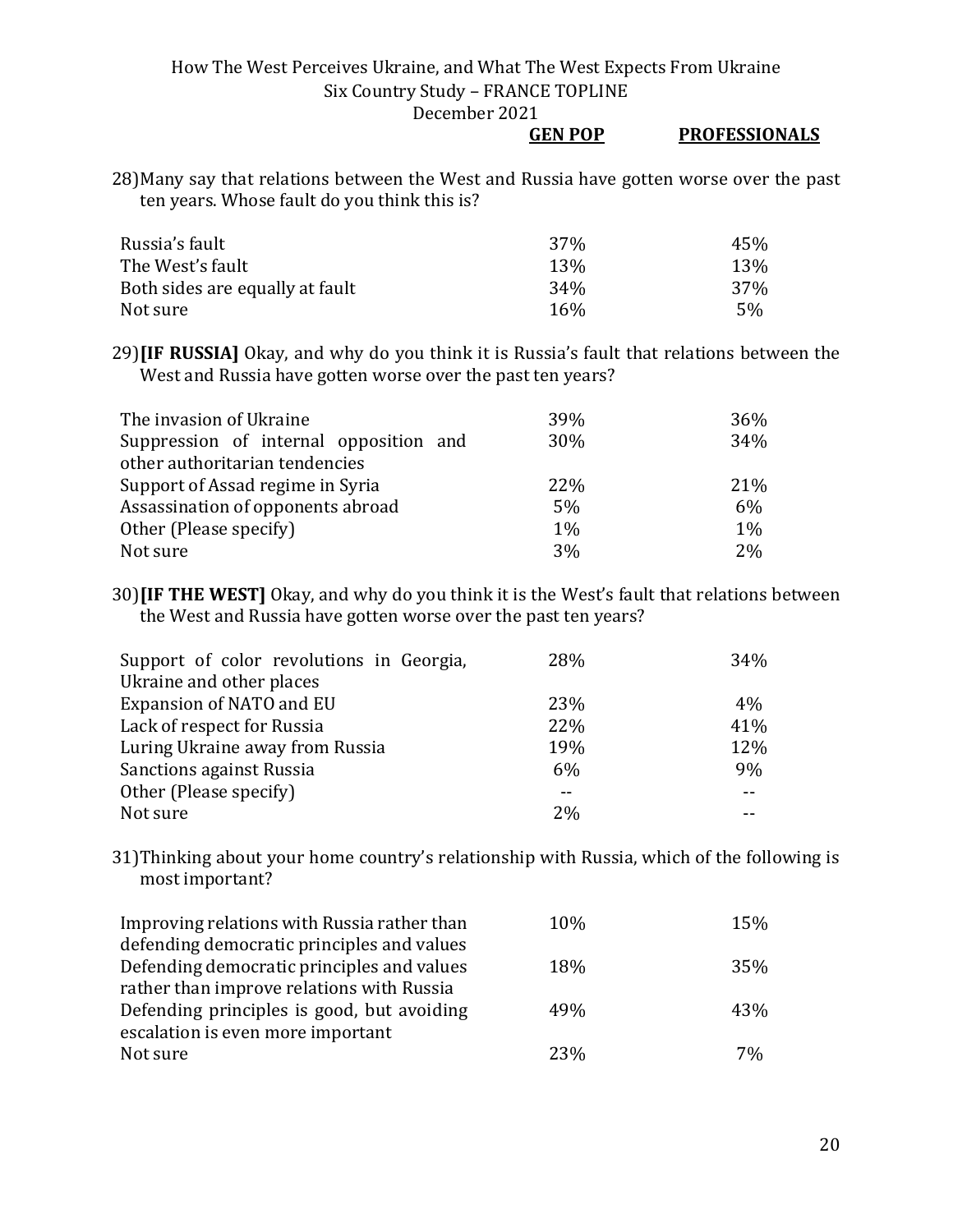December 2021

#### **GEN POP PROFESSIONALS**

28)Many say that relations between the West and Russia have gotten worse over the past ten years. Whose fault do you think this is?

| Russia's fault                  | 37 <sub>%</sub> | 45% |
|---------------------------------|-----------------|-----|
| The West's fault                | <b>13%</b>      | 13% |
| Both sides are equally at fault | 34 <sub>%</sub> | 37% |
| Not sure                        | 16%             | 5%  |

29)**[IF RUSSIA]** Okay, and why do you think it is Russia's fault that relations between the West and Russia have gotten worse over the past ten years?

| The invasion of Ukraine                | 39%   | 36%   |
|----------------------------------------|-------|-------|
| Suppression of internal opposition and | 30%   | 34%   |
| other authoritarian tendencies         |       |       |
| Support of Assad regime in Syria       | 22%   | 21%   |
| Assassination of opponents abroad      | 5%    | 6%    |
| Other (Please specify)                 | $1\%$ | $1\%$ |
| Not sure                               | 3%    | 2%    |

30)**[IF THE WEST]** Okay, and why do you think it is the West's fault that relations between the West and Russia have gotten worse over the past ten years?

| Support of color revolutions in Georgia, | 28% | 34%   |
|------------------------------------------|-----|-------|
| Ukraine and other places                 |     |       |
| Expansion of NATO and EU                 | 23% | 4%    |
| Lack of respect for Russia               | 22% | 41%   |
| Luring Ukraine away from Russia          | 19% | 12%   |
| <b>Sanctions against Russia</b>          | 6%  | 9%    |
| Other (Please specify)                   |     | $- -$ |
| Not sure                                 | 2%  |       |

31)Thinking about your home country's relationship with Russia, which of the following is most important?

| 10% | 15% |
|-----|-----|
|     |     |
| 18% | 35% |
|     |     |
| 49% | 43% |
|     |     |
| 23% | 7%  |
|     |     |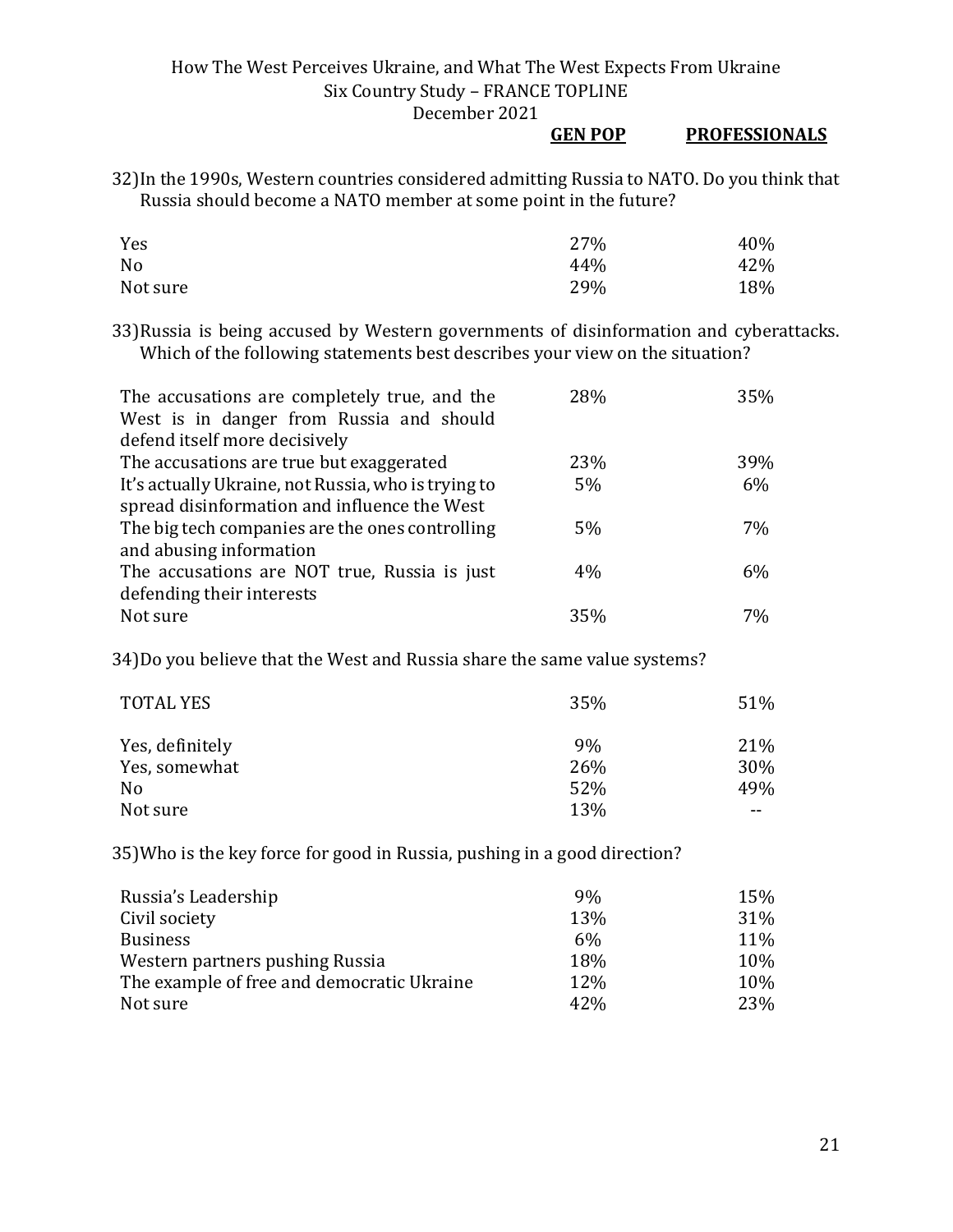#### **GEN POP PROFESSIONALS**

32)In the 1990s, Western countries considered admitting Russia to NATO. Do you think that Russia should become a NATO member at some point in the future?

| Yes      | 27% | 40% |
|----------|-----|-----|
| No       | 44% | 42% |
| Not sure | 29% | 18% |

33)Russia is being accused by Western governments of disinformation and cyberattacks. Which of the following statements best describes your view on the situation?

| The accusations are completely true, and the<br>West is in danger from Russia and should | 28% | 35% |
|------------------------------------------------------------------------------------------|-----|-----|
| defend itself more decisively                                                            |     |     |
| The accusations are true but exaggerated                                                 | 23% | 39% |
| It's actually Ukraine, not Russia, who is trying to                                      | 5%  | 6%  |
| spread disinformation and influence the West                                             |     |     |
| The big tech companies are the ones controlling                                          | 5%  | 7%  |
| and abusing information                                                                  |     |     |
| The accusations are NOT true, Russia is just                                             | 4%  | 6%  |
| defending their interests                                                                |     |     |
| Not sure                                                                                 | 35% | 7%  |

34)Do you believe that the West and Russia share the same value systems?

| <b>TOTAL YES</b> | 35% | 51%   |
|------------------|-----|-------|
| Yes, definitely  | 9%  | 21%   |
| Yes, somewhat    | 26% | 30%   |
| N <sub>0</sub>   | 52% | 49%   |
| Not sure         | 13% | $- -$ |

35)Who is the key force for good in Russia, pushing in a good direction?

| Russia's Leadership                        | 9%  | 15%        |
|--------------------------------------------|-----|------------|
| Civil society                              | 13% | <b>31%</b> |
| <b>Business</b>                            | 6%  | 11%        |
| Western partners pushing Russia            | 18% | 10%        |
| The example of free and democratic Ukraine | 12% | 10%        |
| Not sure                                   | 42% | 23%        |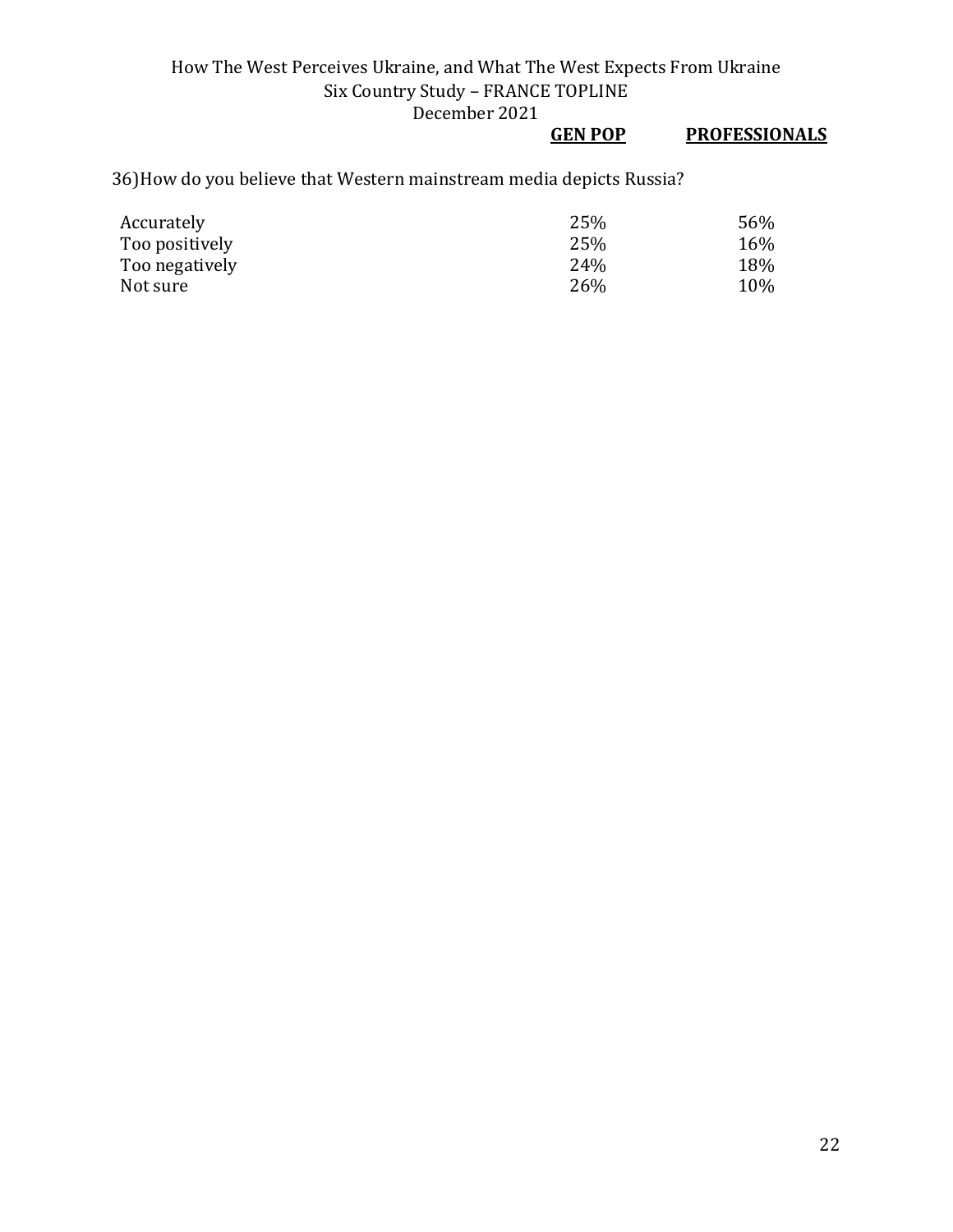## **GEN POP PROFESSIONALS**

36)How do you believe that Western mainstream media depicts Russia?

| Accurately     | 25% | 56% |
|----------------|-----|-----|
| Too positively | 25% | 16% |
| Too negatively | 24% | 18% |
| Not sure       | 26% | 10% |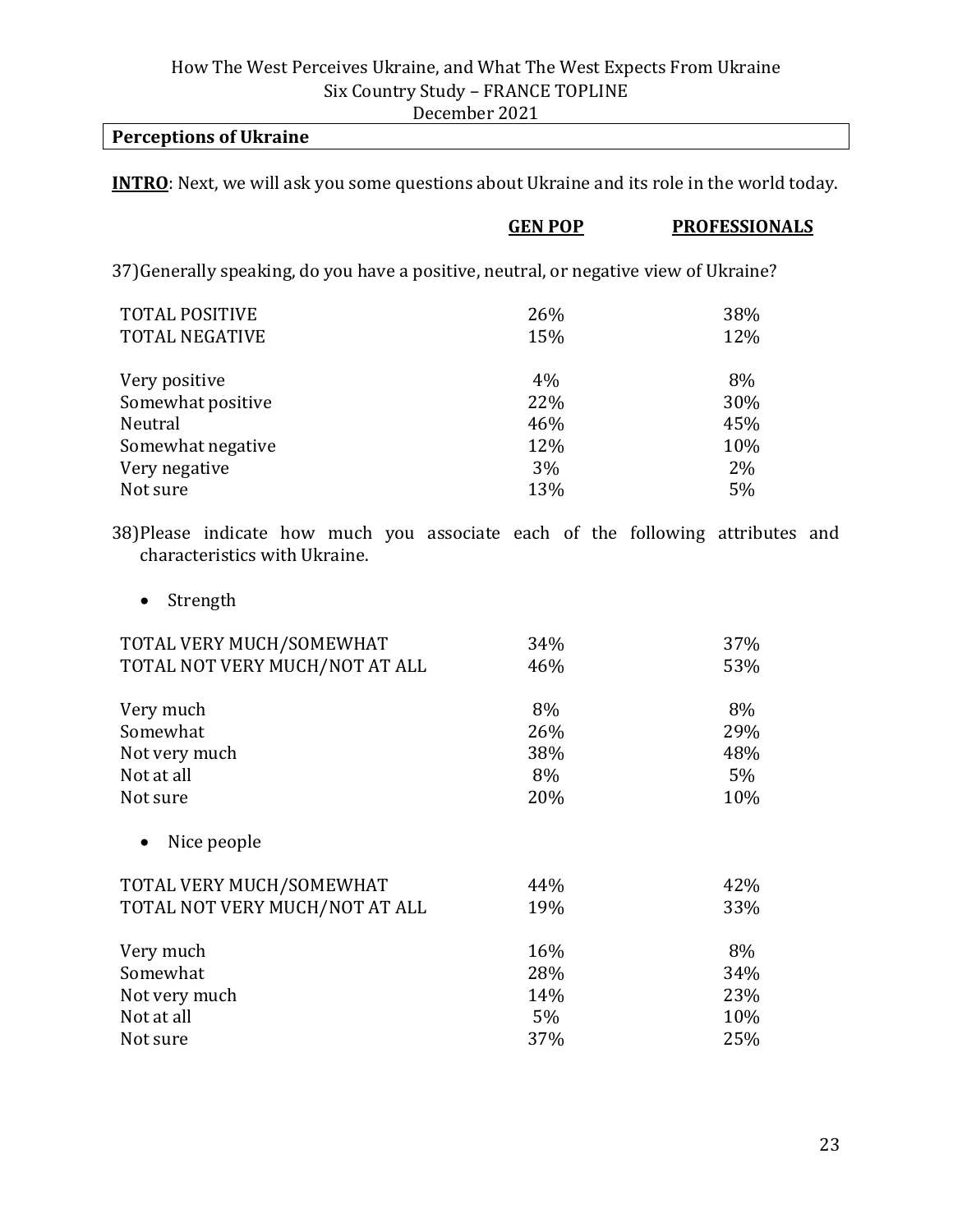### **Perceptions of Ukraine**

**INTRO**: Next, we will ask you some questions about Ukraine and its role in the world today.

|                                                                                                                  | <b>GEN POP</b> | <b>PROFESSIONALS</b> |
|------------------------------------------------------------------------------------------------------------------|----------------|----------------------|
| 37) Generally speaking, do you have a positive, neutral, or negative view of Ukraine?                            |                |                      |
| <b>TOTAL POSITIVE</b>                                                                                            | 26%            | 38%                  |
| <b>TOTAL NEGATIVE</b>                                                                                            | 15%            | 12%                  |
| Very positive                                                                                                    | 4%             | 8%                   |
| Somewhat positive                                                                                                | 22%            | 30%                  |
| Neutral                                                                                                          | 46%            | 45%                  |
| Somewhat negative                                                                                                | 12%            | 10%                  |
| Very negative                                                                                                    | 3%             | $2\%$                |
| Not sure                                                                                                         | 13%            | 5%                   |
| 38) Please indicate how much you associate each of the following attributes and<br>characteristics with Ukraine. |                |                      |

• Strength

| TOTAL VERY MUCH/SOMEWHAT       | 34% | 37%   |
|--------------------------------|-----|-------|
| TOTAL NOT VERY MUCH/NOT AT ALL | 46% | 53%   |
| Very much                      | 8%  | 8%    |
| Somewhat                       | 26% | 29%   |
| Not very much                  | 38% | 48%   |
| Not at all                     | 8%  | $5\%$ |
| Not sure                       | 20% | 10%   |
| Nice people                    |     |       |
| TOTAL VERY MUCH/SOMEWHAT       | 44% | 42%   |
| TOTAL NOT VERY MUCH/NOT AT ALL | 19% | 33%   |
| Very much                      | 16% | 8%    |
| Somewhat                       | 28% | 34%   |
| Not very much                  | 14% | 23%   |
| Not at all                     | 5%  | 10%   |
| Not sure                       | 37% | 25%   |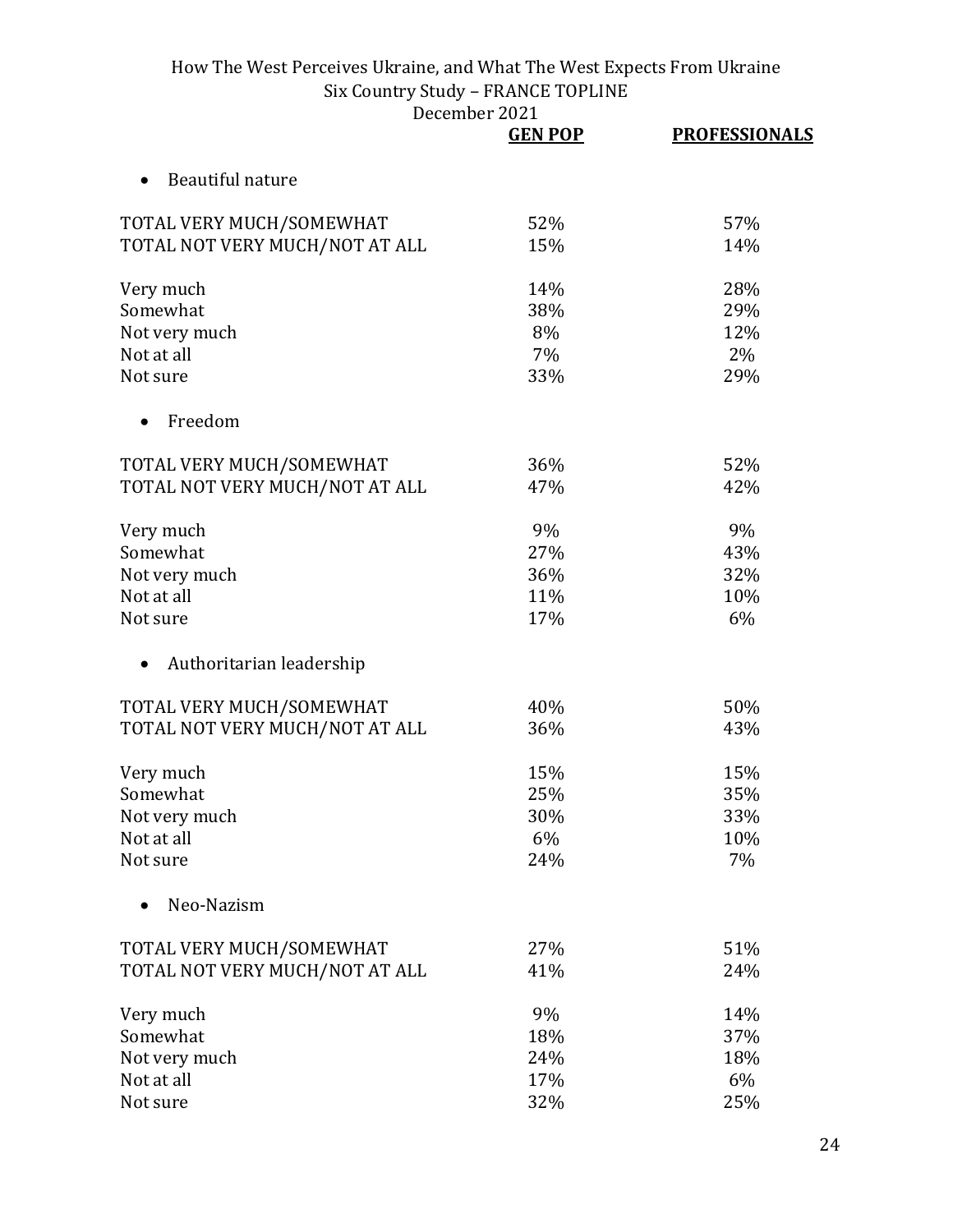|                                | <b>GEN POP</b> | <b>PROFESSIONALS</b> |
|--------------------------------|----------------|----------------------|
| Beautiful nature               |                |                      |
| TOTAL VERY MUCH/SOMEWHAT       | 52%            | 57%                  |
| TOTAL NOT VERY MUCH/NOT AT ALL | 15%            | 14%                  |
| Very much                      | 14%            | 28%                  |
| Somewhat                       | 38%            | 29%                  |
| Not very much                  | 8%             | 12%                  |
| Not at all                     | 7%             | 2%                   |
| Not sure                       | 33%            | 29%                  |
| Freedom                        |                |                      |
| TOTAL VERY MUCH/SOMEWHAT       | 36%            | 52%                  |
| TOTAL NOT VERY MUCH/NOT AT ALL | 47%            | 42%                  |
| Very much                      | 9%             | 9%                   |
| Somewhat                       | 27%            | 43%                  |
| Not very much                  | 36%            | 32%                  |
| Not at all                     | 11%            | 10%                  |
| Not sure                       | 17%            | 6%                   |
| Authoritarian leadership       |                |                      |
| TOTAL VERY MUCH/SOMEWHAT       | 40%            | 50%                  |
| TOTAL NOT VERY MUCH/NOT AT ALL | 36%            | 43%                  |
| Very much                      | 15%            | 15%                  |
| Somewhat                       | 25%            | 35%                  |
| Not very much                  | 30%            | 33%                  |
| Not at all                     | 6%             | 10%                  |
| Not sure                       | 24%            | 7%                   |
| Neo-Nazism                     |                |                      |
| TOTAL VERY MUCH/SOMEWHAT       | 27%            | 51%                  |
| TOTAL NOT VERY MUCH/NOT AT ALL | 41%            | 24%                  |
| Very much                      | 9%             | 14%                  |
| Somewhat                       | 18%            | 37%                  |
| Not very much                  | 24%            | 18%                  |
| Not at all                     | 17%            | 6%                   |
| Not sure                       | 32%            | 25%                  |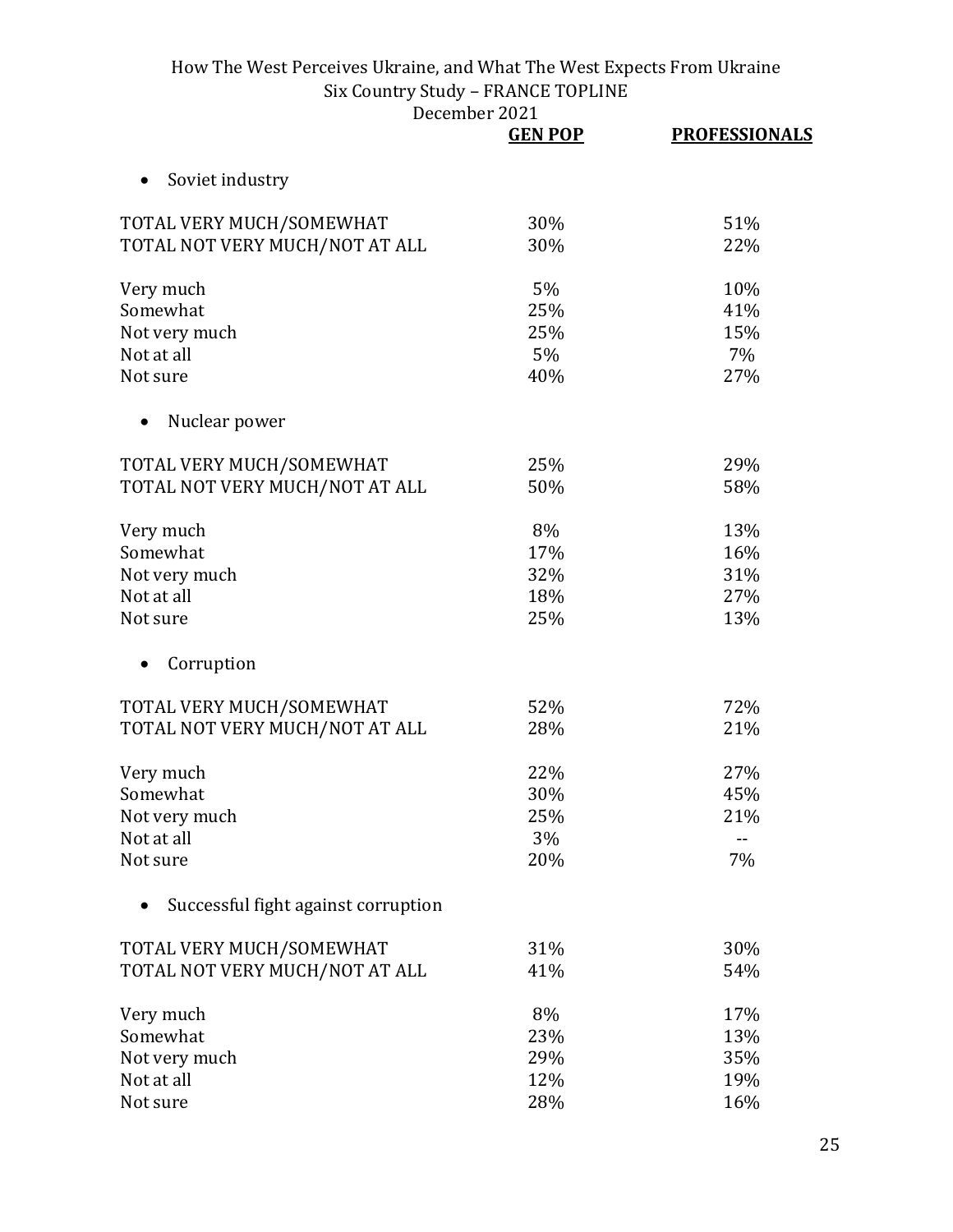|                                     | <b>GEN POP</b> | <b>PROFESSIONALS</b> |
|-------------------------------------|----------------|----------------------|
| Soviet industry<br>$\bullet$        |                |                      |
| TOTAL VERY MUCH/SOMEWHAT            | 30%            | 51%                  |
| TOTAL NOT VERY MUCH/NOT AT ALL      | 30%            | 22%                  |
| Very much                           | 5%             | 10%                  |
| Somewhat                            | 25%            | 41%                  |
| Not very much                       | 25%            | 15%                  |
| Not at all                          | 5%             | 7%                   |
| Not sure                            | 40%            | 27%                  |
| Nuclear power                       |                |                      |
| TOTAL VERY MUCH/SOMEWHAT            | 25%            | 29%                  |
| TOTAL NOT VERY MUCH/NOT AT ALL      | 50%            | 58%                  |
| Very much                           | 8%             | 13%                  |
| Somewhat                            | 17%            | 16%                  |
| Not very much                       | 32%            | 31%                  |
| Not at all                          | 18%            | 27%                  |
| Not sure                            | 25%            | 13%                  |
| Corruption                          |                |                      |
| TOTAL VERY MUCH/SOMEWHAT            | 52%            | 72%                  |
| TOTAL NOT VERY MUCH/NOT AT ALL      | 28%            | 21%                  |
| Very much                           | 22%            | 27%                  |
| Somewhat                            | 30%            | 45%                  |
| Not very much                       | 25%            | 21%                  |
| Not at all                          | 3%             | $- -$                |
| Not sure                            | 20%            | 7%                   |
| Successful fight against corruption |                |                      |
| TOTAL VERY MUCH/SOMEWHAT            | 31%            | 30%                  |
| TOTAL NOT VERY MUCH/NOT AT ALL      | 41%            | 54%                  |
| Very much                           | 8%             | 17%                  |
| Somewhat                            | 23%            | 13%                  |
| Not very much                       | 29%            | 35%                  |
| Not at all                          | 12%            | 19%                  |
| Not sure                            | 28%            | 16%                  |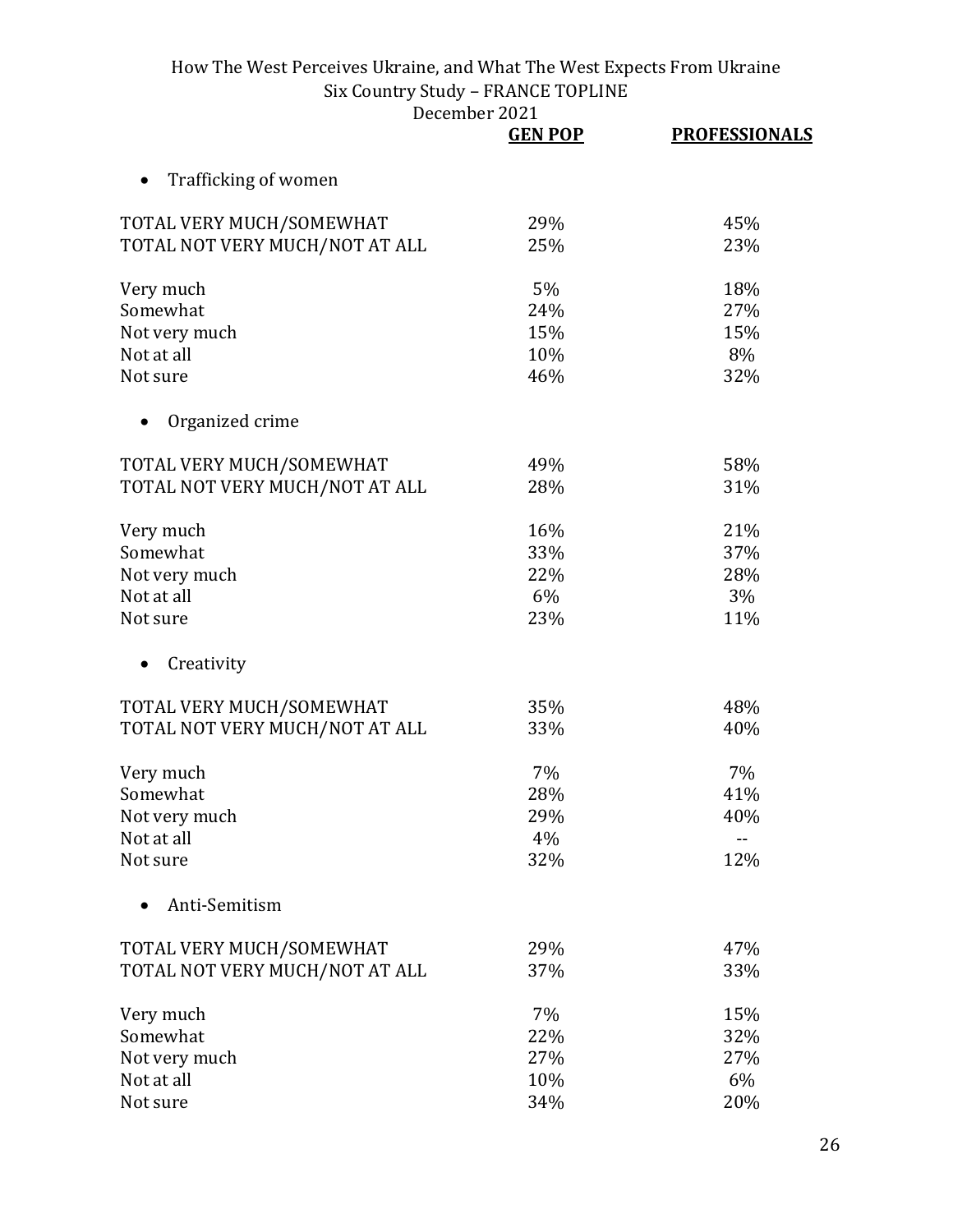|                                | December 2021  |                      |
|--------------------------------|----------------|----------------------|
|                                | <b>GEN POP</b> | <b>PROFESSIONALS</b> |
| Trafficking of women           |                |                      |
| TOTAL VERY MUCH/SOMEWHAT       | 29%            | 45%                  |
| TOTAL NOT VERY MUCH/NOT AT ALL | 25%            | 23%                  |
| Very much                      | 5%             | 18%                  |
| Somewhat                       | 24%            | 27%                  |
| Not very much                  | 15%            | 15%                  |
| Not at all                     | 10%            | 8%                   |
| Not sure                       | 46%            | 32%                  |
| Organized crime                |                |                      |
| TOTAL VERY MUCH/SOMEWHAT       | 49%            | 58%                  |
| TOTAL NOT VERY MUCH/NOT AT ALL | 28%            | 31%                  |
| Very much                      | 16%            | 21%                  |
| Somewhat                       | 33%            | 37%                  |
| Not very much                  | 22%            | 28%                  |
| Not at all                     | 6%             | 3%                   |
| Not sure                       | 23%            | 11%                  |
| Creativity                     |                |                      |
| TOTAL VERY MUCH/SOMEWHAT       | 35%            | 48%                  |
| TOTAL NOT VERY MUCH/NOT AT ALL | 33%            | 40%                  |
| Very much                      | 7%             | 7%                   |
| Somewhat                       | 28%            | 41%                  |
| Not very much                  | 29%            | 40%                  |
| Not at all                     | 4%             |                      |
| Not sure                       | 32%            | 12%                  |
| Anti-Semitism                  |                |                      |
| TOTAL VERY MUCH/SOMEWHAT       | 29%            | 47%                  |
| TOTAL NOT VERY MUCH/NOT AT ALL | 37%            | 33%                  |
| Very much                      | 7%             | 15%                  |
| Somewhat                       | 22%            | 32%                  |
| Not very much                  | 27%            | 27%                  |
| Not at all                     | 10%            | 6%                   |
| Not sure                       | 34%            | 20%                  |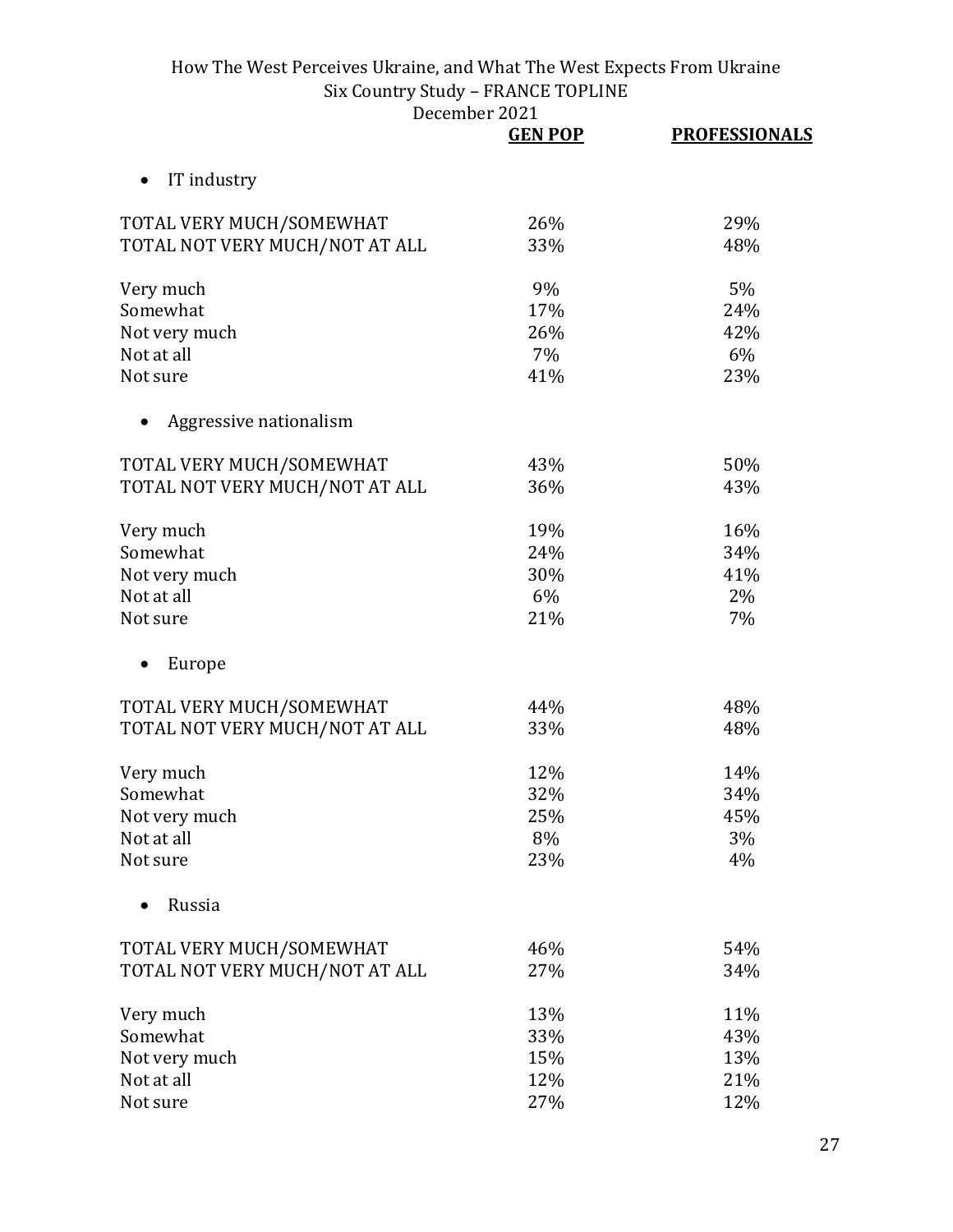|                                | <b>GEN POP</b> | <b>PROFESSIONALS</b> |
|--------------------------------|----------------|----------------------|
| IT industry<br>$\bullet$       |                |                      |
| TOTAL VERY MUCH/SOMEWHAT       | 26%            | 29%                  |
| TOTAL NOT VERY MUCH/NOT AT ALL | 33%            | 48%                  |
| Very much                      | 9%             | 5%                   |
| Somewhat                       | 17%            | 24%                  |
| Not very much                  | 26%            | 42%                  |
| Not at all                     | 7%             | 6%                   |
| Not sure                       | 41%            | 23%                  |
| Aggressive nationalism         |                |                      |
| TOTAL VERY MUCH/SOMEWHAT       | 43%            | 50%                  |
| TOTAL NOT VERY MUCH/NOT AT ALL | 36%            | 43%                  |
| Very much                      | 19%            | 16%                  |
| Somewhat                       | 24%            | 34%                  |
| Not very much                  | 30%            | 41%                  |
| Not at all                     | 6%             | 2%                   |
| Not sure                       | 21%            | 7%                   |
| Europe                         |                |                      |
| TOTAL VERY MUCH/SOMEWHAT       | 44%            | 48%                  |
| TOTAL NOT VERY MUCH/NOT AT ALL | 33%            | 48%                  |
| Very much                      | 12%            | 14%                  |
| Somewhat                       | 32%            | 34%                  |
| Not very much                  | 25%            | 45%                  |
| Not at all                     | 8%             | 3%                   |
| Not sure                       | 23%            | 4%                   |
| Russia                         |                |                      |
| TOTAL VERY MUCH/SOMEWHAT       | 46%            | 54%                  |
| TOTAL NOT VERY MUCH/NOT AT ALL | 27%            | 34%                  |
| Very much                      | 13%            | 11%                  |
| Somewhat                       | 33%            | 43%                  |
| Not very much                  | 15%            | 13%                  |
| Not at all                     | 12%            | 21%                  |
| Not sure                       | 27%            | 12%                  |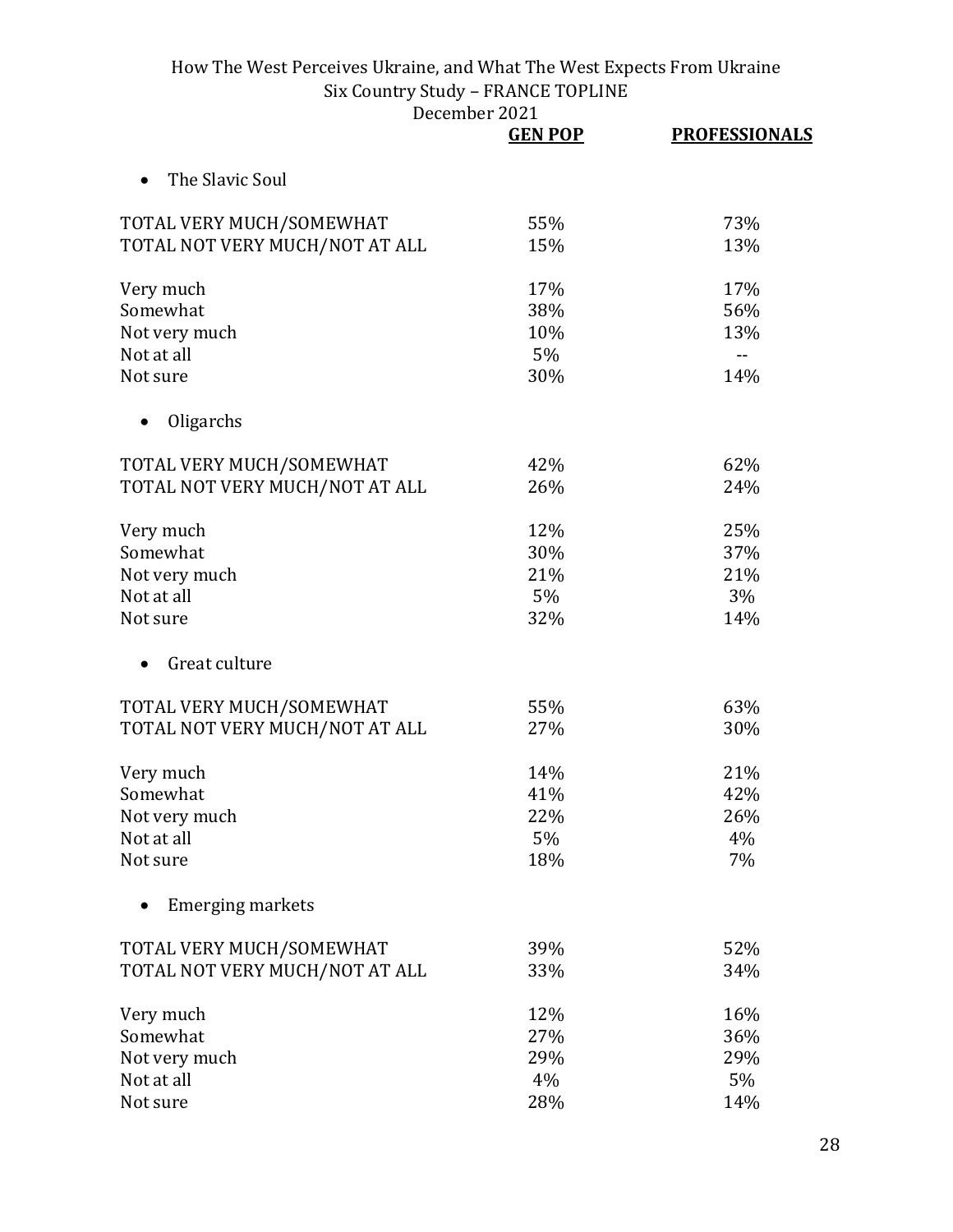|                                | <b>GEN POP</b> | <b>PROFESSIONALS</b> |
|--------------------------------|----------------|----------------------|
| The Slavic Soul                |                |                      |
| TOTAL VERY MUCH/SOMEWHAT       | 55%            | 73%                  |
| TOTAL NOT VERY MUCH/NOT AT ALL | 15%            | 13%                  |
| Very much                      | 17%            | 17%                  |
| Somewhat                       | 38%            | 56%                  |
| Not very much                  | 10%            | 13%                  |
| Not at all                     | 5%             | --                   |
| Not sure                       | 30%            | 14%                  |
| Oligarchs                      |                |                      |
| TOTAL VERY MUCH/SOMEWHAT       | 42%            | 62%                  |
| TOTAL NOT VERY MUCH/NOT AT ALL | 26%            | 24%                  |
| Very much                      | 12%            | 25%                  |
| Somewhat                       | 30%            | 37%                  |
| Not very much                  | 21%            | 21%                  |
| Not at all                     | 5%             | 3%                   |
| Not sure                       | 32%            | 14%                  |
| Great culture                  |                |                      |
| TOTAL VERY MUCH/SOMEWHAT       | 55%            | 63%                  |
| TOTAL NOT VERY MUCH/NOT AT ALL | 27%            | 30%                  |
| Very much                      | 14%            | 21%                  |
| Somewhat                       | 41%            | 42%                  |
| Not very much                  | 22%            | 26%                  |
| Not at all                     | 5%             | 4%                   |
| Not sure                       | 18%            | 7%                   |
| <b>Emerging markets</b>        |                |                      |
| TOTAL VERY MUCH/SOMEWHAT       | 39%            | 52%                  |
| TOTAL NOT VERY MUCH/NOT AT ALL | 33%            | 34%                  |
| Very much                      | 12%            | 16%                  |
| Somewhat                       | 27%            | 36%                  |
| Not very much                  | 29%            | 29%                  |
| Not at all                     | 4%             | 5%                   |
| Not sure                       | 28%            | 14%                  |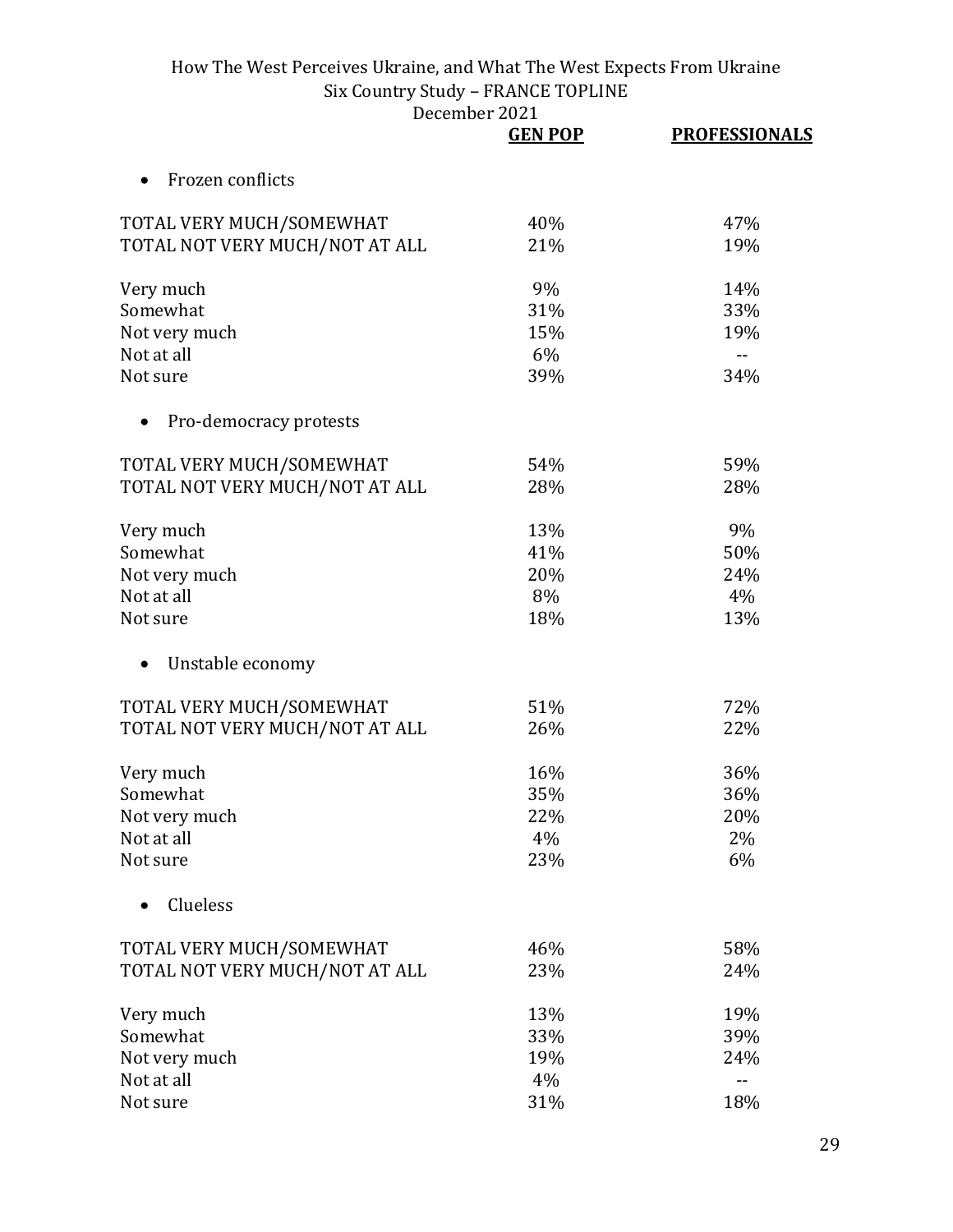|                                | <b>GEN POP</b> | <b>PROFESSIONALS</b> |
|--------------------------------|----------------|----------------------|
| Frozen conflicts               |                |                      |
| TOTAL VERY MUCH/SOMEWHAT       | 40%            | 47%                  |
| TOTAL NOT VERY MUCH/NOT AT ALL | 21%            | 19%                  |
| Very much                      | 9%             | 14%                  |
| Somewhat                       | 31%            | 33%                  |
| Not very much                  | 15%            | 19%                  |
| Not at all                     | 6%             | --                   |
| Not sure                       | 39%            | 34%                  |
| Pro-democracy protests         |                |                      |
| TOTAL VERY MUCH/SOMEWHAT       | 54%            | 59%                  |
| TOTAL NOT VERY MUCH/NOT AT ALL | 28%            | 28%                  |
| Very much                      | 13%            | 9%                   |
| Somewhat                       | 41%            | 50%                  |
| Not very much                  | 20%            | 24%                  |
| Not at all                     | 8%             | 4%                   |
| Not sure                       | 18%            | 13%                  |
| Unstable economy               |                |                      |
| TOTAL VERY MUCH/SOMEWHAT       | 51%            | 72%                  |
| TOTAL NOT VERY MUCH/NOT AT ALL | 26%            | 22%                  |
| Very much                      | 16%            | 36%                  |
| Somewhat                       | 35%            | 36%                  |
| Not very much                  | 22%            | 20%                  |
| Not at all                     | 4%             | 2%                   |
| Not sure                       | 23%            | 6%                   |
| Clueless                       |                |                      |
| TOTAL VERY MUCH/SOMEWHAT       | 46%            | 58%                  |
| TOTAL NOT VERY MUCH/NOT AT ALL | 23%            | 24%                  |
| Very much                      | 13%            | 19%                  |
| Somewhat                       | 33%            | 39%                  |
| Not very much                  | 19%            | 24%                  |
| Not at all                     | 4%             | $-$                  |
| Not sure                       | 31%            | 18%                  |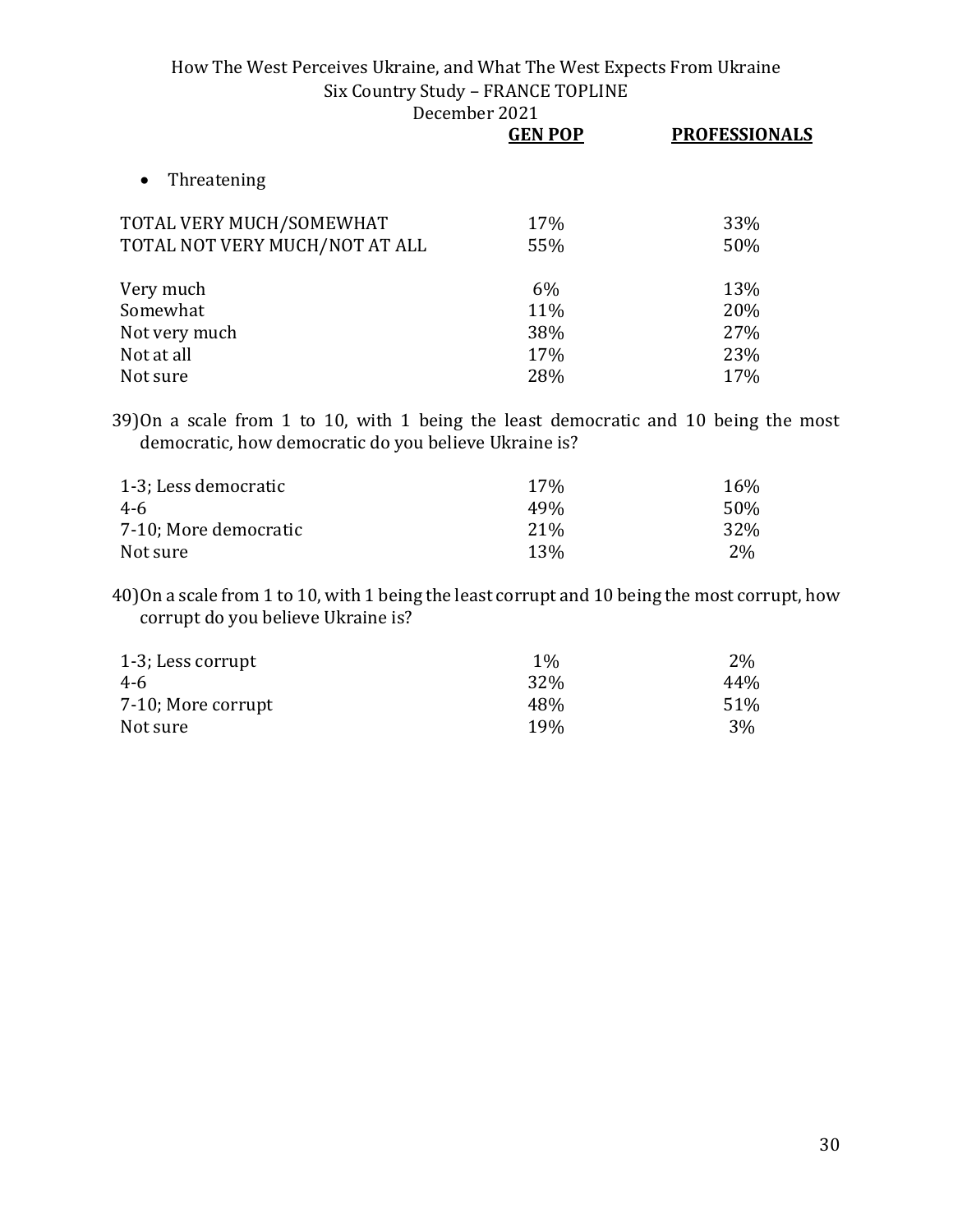|                                | <b>GEN POP</b> | <b>PROFESSIONALS</b> |  |
|--------------------------------|----------------|----------------------|--|
| Threatening<br>$\bullet$       |                |                      |  |
| TOTAL VERY MUCH/SOMEWHAT       | 17%            | 33%                  |  |
| TOTAL NOT VERY MUCH/NOT AT ALL | 55%            | 50%                  |  |
| Very much                      | 6%             | 13%                  |  |
| Somewhat                       | 11%            | 20%                  |  |
| Not very much                  | 38%            | 27%                  |  |
| Not at all                     | 17%            | 23%                  |  |
| Not sure                       | 28%            | 17%                  |  |

39)On a scale from 1 to 10, with 1 being the least democratic and 10 being the most democratic, how democratic do you believe Ukraine is?

| 1-3; Less democratic  | 17%             | 16%   |
|-----------------------|-----------------|-------|
| 4-6                   | 49 <sub>%</sub> | 50%   |
| 7-10; More democratic | 21 <sup>%</sup> | 32%   |
| Not sure              | 13%             | $2\%$ |

40)On a scale from 1 to 10, with 1 being the least corrupt and 10 being the most corrupt, how corrupt do you believe Ukraine is?

| 1-3; Less corrupt  | $1\%$      | $2\%$ |
|--------------------|------------|-------|
| 4-6                | 32%        | 44%   |
| 7-10; More corrupt | 48%        | 51%   |
| Not sure           | <b>19%</b> | 3%    |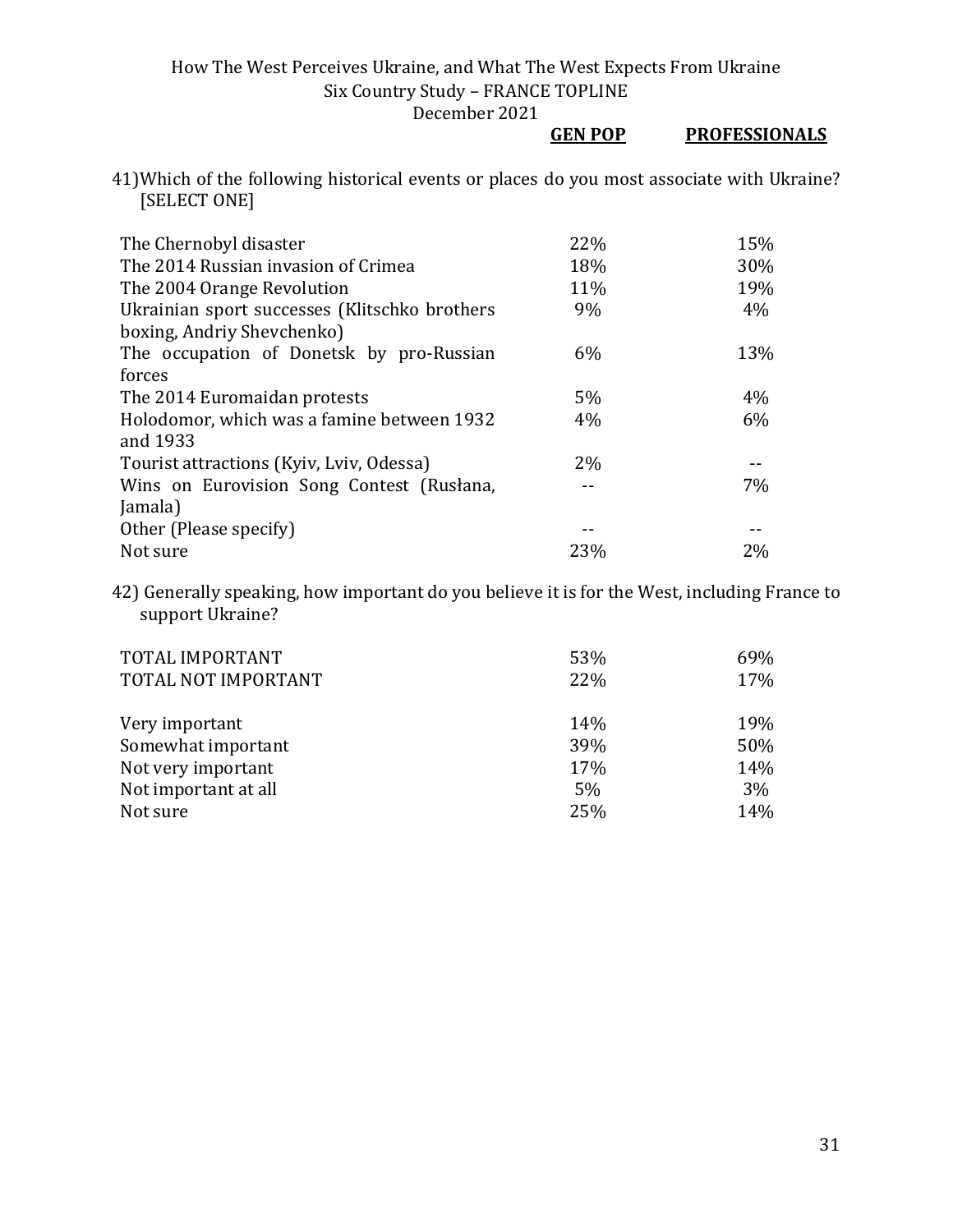December 2021

## **GEN POP PROFESSIONALS**

41)Which of the following historical events or places do you most associate with Ukraine? [SELECT ONE]

| The Chernobyl disaster                        | 22% | 15% |
|-----------------------------------------------|-----|-----|
| The 2014 Russian invasion of Crimea           | 18% | 30% |
| The 2004 Orange Revolution                    | 11% | 19% |
| Ukrainian sport successes (Klitschko brothers | 9%  | 4%  |
| boxing, Andriy Shevchenko)                    |     |     |
| The occupation of Donetsk by pro-Russian      | 6%  | 13% |
| forces                                        |     |     |
| The 2014 Euromaidan protests                  | 5%  | 4%  |
| Holodomor, which was a famine between 1932    | 4%  | 6%  |
| and 1933                                      |     |     |
| Tourist attractions (Kyiv, Lviv, Odessa)      | 2%  |     |
| Wins on Eurovision Song Contest (Rusłana,     |     | 7%  |
| Jamala)                                       |     |     |
| Other (Please specify)                        |     |     |
| Not sure                                      | 23% | 2%  |

42) Generally speaking, how important do you believe it is for the West, including France to support Ukraine?

| TOTAL IMPORTANT<br>TOTAL NOT IMPORTANT | 53%<br>22% | 69%<br>17% |
|----------------------------------------|------------|------------|
| Very important                         | 14%        | 19%        |
| Somewhat important                     | 39%        | 50%        |
| Not very important                     | 17%        | 14%        |
| Not important at all                   | 5%         | 3%         |
| Not sure                               | 25%        | 14%        |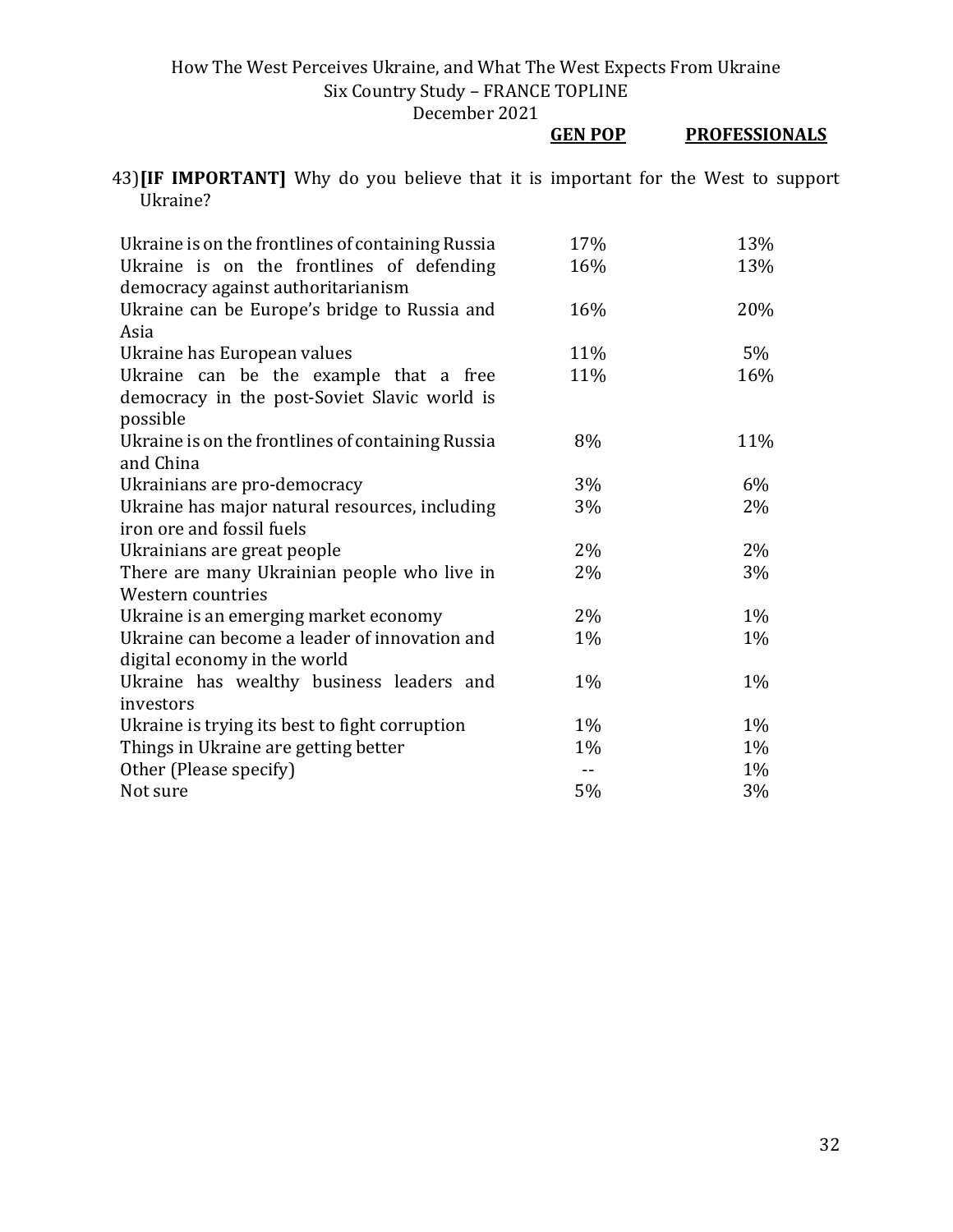|                                                                                                      |  | <b>GEN POP</b> | <b>PROFESSIONALS</b> |
|------------------------------------------------------------------------------------------------------|--|----------------|----------------------|
| 43) <b>IIF IMPORTANT</b> Why do you believe that it is important for the West to support<br>Ukraine? |  |                |                      |

| Ukraine is on the frontlines of containing Russia | 17%   | 13%   |
|---------------------------------------------------|-------|-------|
| Ukraine is on the frontlines of defending         | 16%   | 13%   |
| democracy against authoritarianism                |       |       |
| Ukraine can be Europe's bridge to Russia and      | 16%   | 20%   |
| Asia                                              |       |       |
| Ukraine has European values                       | 11%   | 5%    |
| Ukraine can be the example that a free            | 11%   | 16%   |
| democracy in the post-Soviet Slavic world is      |       |       |
| possible                                          |       |       |
| Ukraine is on the frontlines of containing Russia | 8%    | 11%   |
| and China                                         |       |       |
| Ukrainians are pro-democracy                      | 3%    | 6%    |
| Ukraine has major natural resources, including    | 3%    | 2%    |
| iron ore and fossil fuels                         |       |       |
| Ukrainians are great people                       | 2%    | 2%    |
| There are many Ukrainian people who live in       | 2%    | 3%    |
| Western countries                                 |       |       |
| Ukraine is an emerging market economy             | 2%    | 1%    |
| Ukraine can become a leader of innovation and     | 1%    | 1%    |
| digital economy in the world                      |       |       |
| Ukraine has wealthy business leaders and          | $1\%$ | $1\%$ |
| investors                                         |       |       |
| Ukraine is trying its best to fight corruption    | $1\%$ | 1%    |
| Things in Ukraine are getting better              | 1%    | 1%    |
| Other (Please specify)                            | $- -$ | $1\%$ |
| Not sure                                          | 5%    | 3%    |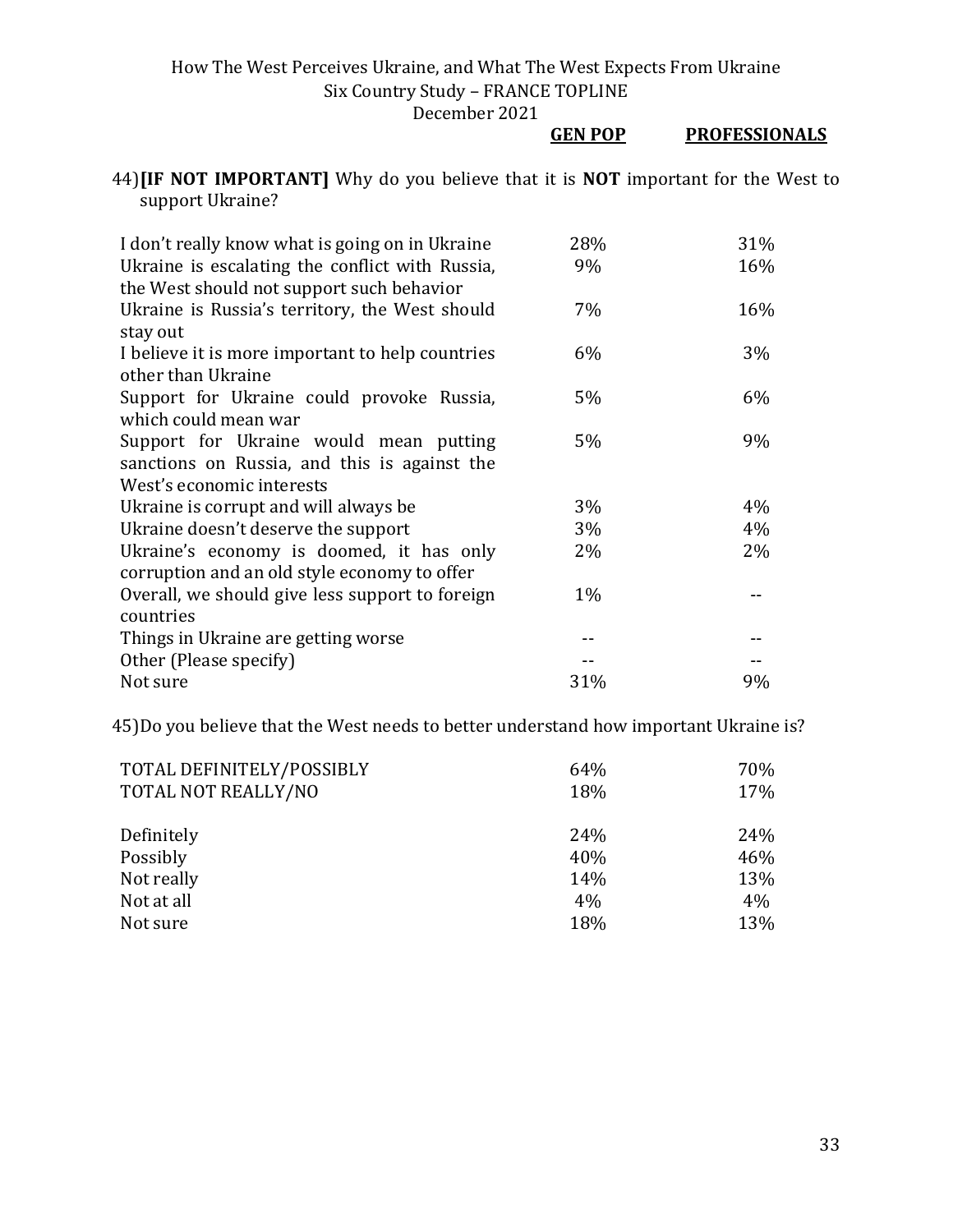**GEN POP PROFESSIONALS**

| 44) <b>IIF NOT IMPORTANT</b> Why do you believe that it is <b>NOT</b> important for the West to |  |  |  |  |  |
|-------------------------------------------------------------------------------------------------|--|--|--|--|--|
| support Ukraine?                                                                                |  |  |  |  |  |

| I don't really know what is going on in Ukraine                                              | 28%   | 31% |
|----------------------------------------------------------------------------------------------|-------|-----|
| Ukraine is escalating the conflict with Russia,<br>the West should not support such behavior | 9%    | 16% |
| Ukraine is Russia's territory, the West should<br>stay out                                   | 7%    | 16% |
| I believe it is more important to help countries<br>other than Ukraine                       | 6%    | 3%  |
| Support for Ukraine could provoke Russia,<br>which could mean war                            | $5\%$ | 6%  |
| Support for Ukraine would mean putting<br>sanctions on Russia, and this is against the       | $5\%$ | 9%  |
| West's economic interests                                                                    |       |     |
| Ukraine is corrupt and will always be                                                        | 3%    | 4%  |
| Ukraine doesn't deserve the support                                                          | 3%    | 4%  |
| Ukraine's economy is doomed, it has only<br>corruption and an old style economy to offer     | $2\%$ | 2%  |
| Overall, we should give less support to foreign                                              | $1\%$ |     |
| countries                                                                                    |       |     |
| Things in Ukraine are getting worse                                                          |       |     |
| Other (Please specify)                                                                       |       |     |
| Not sure                                                                                     | 31%   | 9%  |

45)Do you believe that the West needs to better understand how important Ukraine is?

| TOTAL DEFINITELY/POSSIBLY | 64% | 70% |
|---------------------------|-----|-----|
| TOTAL NOT REALLY/NO       | 18% | 17% |
|                           |     |     |
| Definitely                | 24% | 24% |
| Possibly                  | 40% | 46% |
| Not really                | 14% | 13% |
| Not at all                | 4%  | 4%  |
| Not sure                  | 18% | 13% |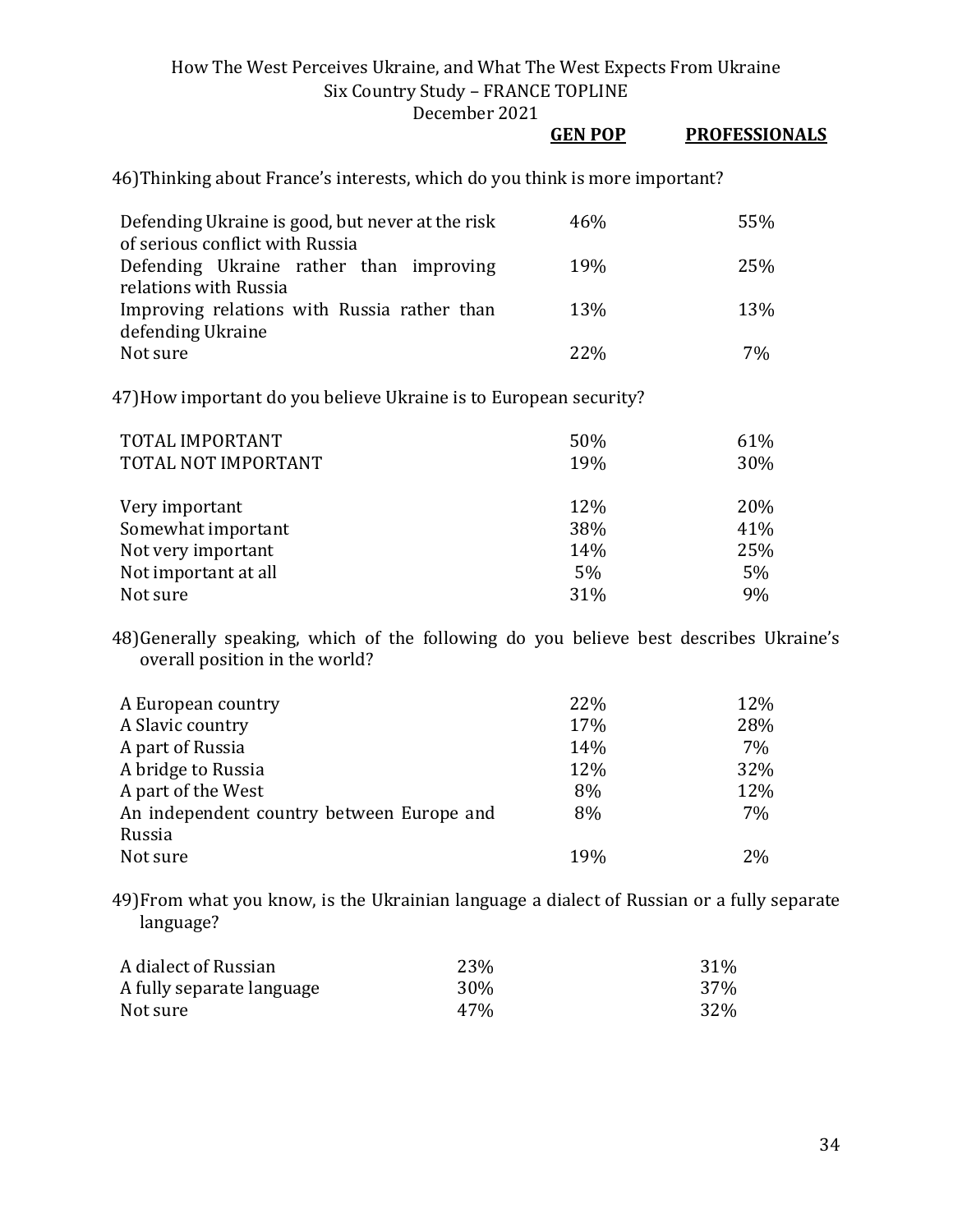December 2021

# **GEN POP PROFESSIONALS**

46)Thinking about France's interests, which do you think is more important?

| Defending Ukraine is good, but never at the risk | 46%             | 55% |
|--------------------------------------------------|-----------------|-----|
| of serious conflict with Russia                  |                 |     |
| Defending Ukraine rather than improving          | <b>19%</b>      | 25% |
| relations with Russia                            |                 |     |
| Improving relations with Russia rather than      | 13 <sub>%</sub> | 13% |
| defending Ukraine                                |                 |     |
| Not sure                                         | <b>22%</b>      | 7%  |

47)How important do you believe Ukraine is to European security?

| TOTAL IMPORTANT<br>TOTAL NOT IMPORTANT | 50%<br>19% | 61%<br>30% |
|----------------------------------------|------------|------------|
| Very important                         | 12%        | 20%        |
| Somewhat important                     | 38%        | 41%        |
| Not very important                     | 14%        | 25%        |
| Not important at all                   | 5%         | 5%         |
| Not sure                               | 31%        | 9%         |

48)Generally speaking, which of the following do you believe best describes Ukraine's overall position in the world?

| A European country                        | 22% | 12% |
|-------------------------------------------|-----|-----|
| A Slavic country                          | 17% | 28% |
| A part of Russia                          | 14% | 7%  |
| A bridge to Russia                        | 12% | 32% |
| A part of the West                        | 8%  | 12% |
| An independent country between Europe and | 8%  | 7%  |
| Russia                                    |     |     |
| Not sure                                  | 19% | 2%  |

49)From what you know, is the Ukrainian language a dialect of Russian or a fully separate language?

| A dialect of Russian      | 23%        | 31% |
|---------------------------|------------|-----|
| A fully separate language | <b>30%</b> | 37% |
| Not sure                  | 47%        | 32% |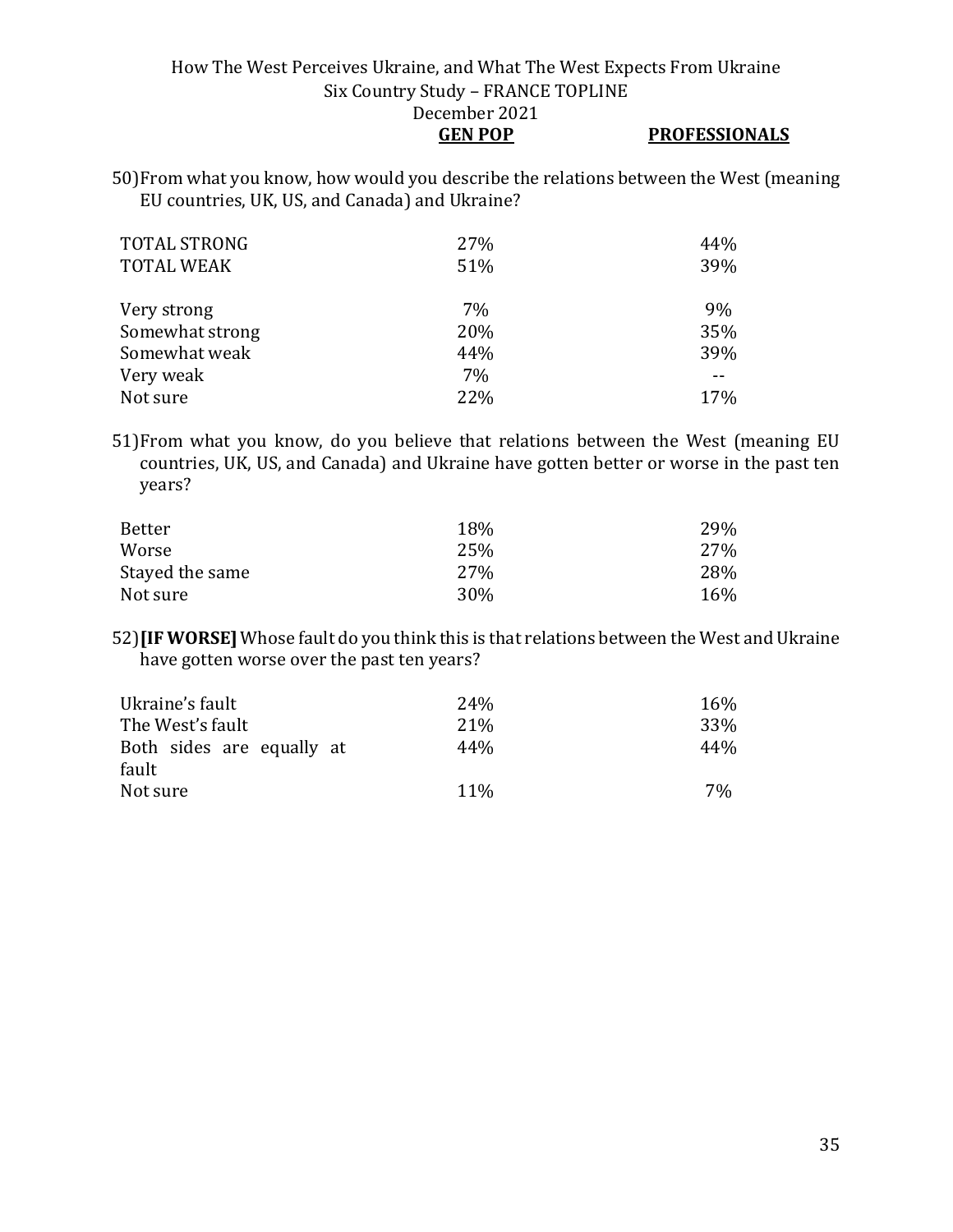## **GEN POP PROFESSIONALS**

50)From what you know, how would you describe the relations between the West (meaning EU countries, UK, US, and Canada) and Ukraine?

| <b>TOTAL STRONG</b><br><b>TOTAL WEAK</b> | 27%<br>51% | 44%<br>39% |
|------------------------------------------|------------|------------|
| Very strong                              | 7%         | 9%         |
| Somewhat strong                          | 20%        | 35%        |
| Somewhat weak                            | 44%        | 39%        |
| Very weak                                | 7%         |            |
| Not sure                                 | 22%        | 17%        |

51)From what you know, do you believe that relations between the West (meaning EU countries, UK, US, and Canada) and Ukraine have gotten better or worse in the past ten years?

| Better          | 18%  | 29% |
|-----------------|------|-----|
| Worse           | 25%  | 27% |
| Stayed the same | 27%  | 28% |
| Not sure        | 30\% | 16% |

52)**[IF WORSE]** Whose fault do you think this is that relations between the West and Ukraine have gotten worse over the past ten years?

| Ukraine's fault                    | 24 <sub>%</sub> | 16% |
|------------------------------------|-----------------|-----|
| The West's fault                   | 21 <sup>%</sup> | 33% |
| Both sides are equally at<br>fault | 44%             | 44% |
| Not sure                           | 11 <sup>%</sup> | 7%  |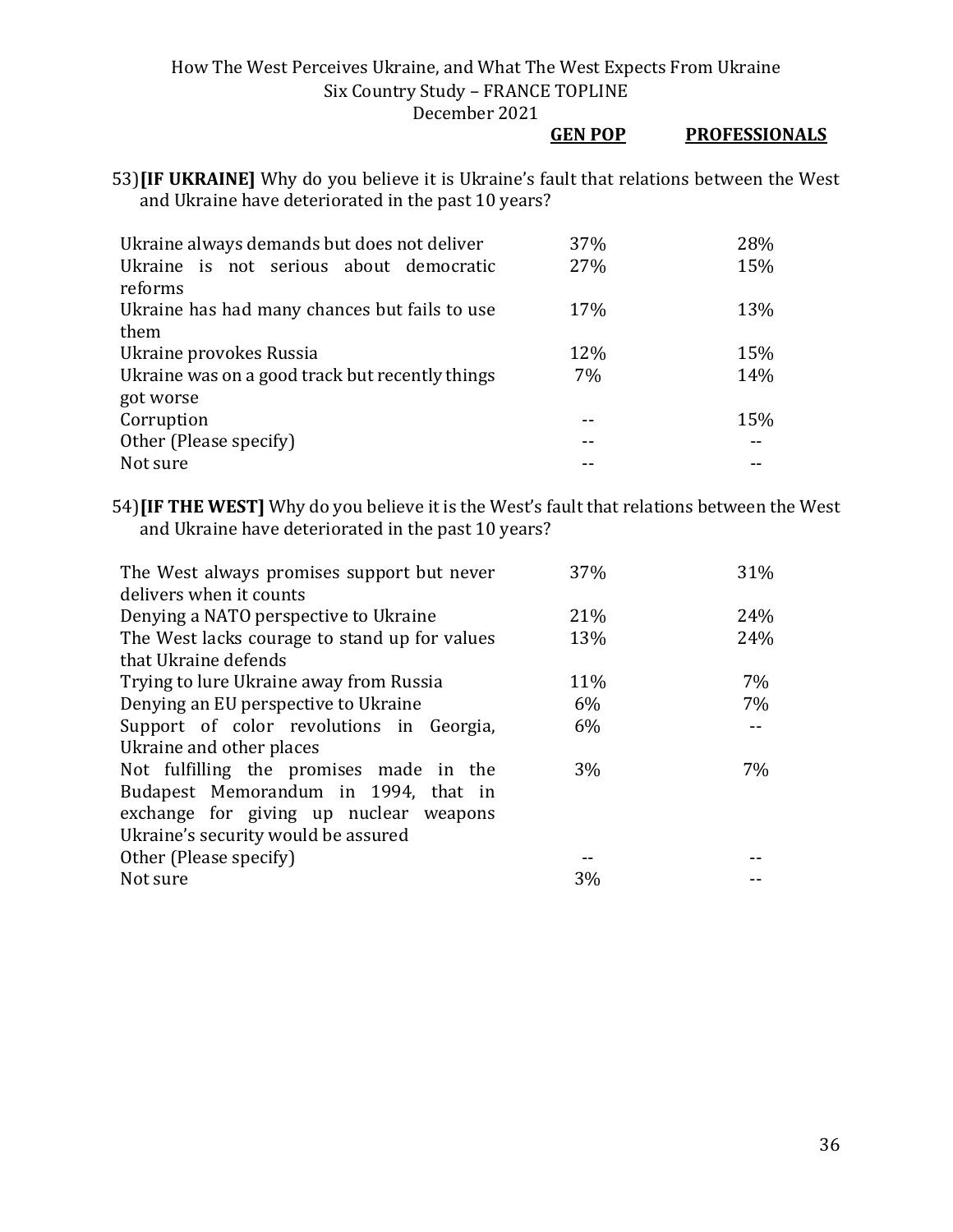#### **GEN POP PROFESSIONALS**

53)**[IF UKRAINE]** Why do you believe it is Ukraine's fault that relations between the West and Ukraine have deteriorated in the past 10 years?

| Ukraine always demands but does not deliver     | 37% | 28% |
|-------------------------------------------------|-----|-----|
| Ukraine is not serious about democratic         | 27% | 15% |
| reforms                                         |     |     |
| Ukraine has had many chances but fails to use   | 17% | 13% |
| them                                            |     |     |
| Ukraine provokes Russia                         | 12% | 15% |
| Ukraine was on a good track but recently things | 7%  | 14% |
| got worse                                       |     |     |
| Corruption                                      |     | 15% |
| Other (Please specify)                          |     |     |
| Not sure                                        |     |     |

54)**[IF THE WEST]** Why do you believe it is the West's fault that relations between the West and Ukraine have deteriorated in the past 10 years?

| The West always promises support but never    | 37%   | 31% |
|-----------------------------------------------|-------|-----|
| delivers when it counts                       |       |     |
| Denying a NATO perspective to Ukraine         | 21%   | 24% |
| The West lacks courage to stand up for values | 13%   | 24% |
| that Ukraine defends                          |       |     |
| Trying to lure Ukraine away from Russia       | 11%   | 7%  |
| Denying an EU perspective to Ukraine          | 6%    | 7%  |
| Support of color revolutions in Georgia,      | 6%    |     |
| Ukraine and other places                      |       |     |
| Not fulfilling the promises made in the       | $3\%$ | 7%  |
| Budapest Memorandum in 1994, that in          |       |     |
| exchange for giving up nuclear weapons        |       |     |
| Ukraine's security would be assured           |       |     |
| Other (Please specify)                        |       |     |
| Not sure                                      | 3%    |     |
|                                               |       |     |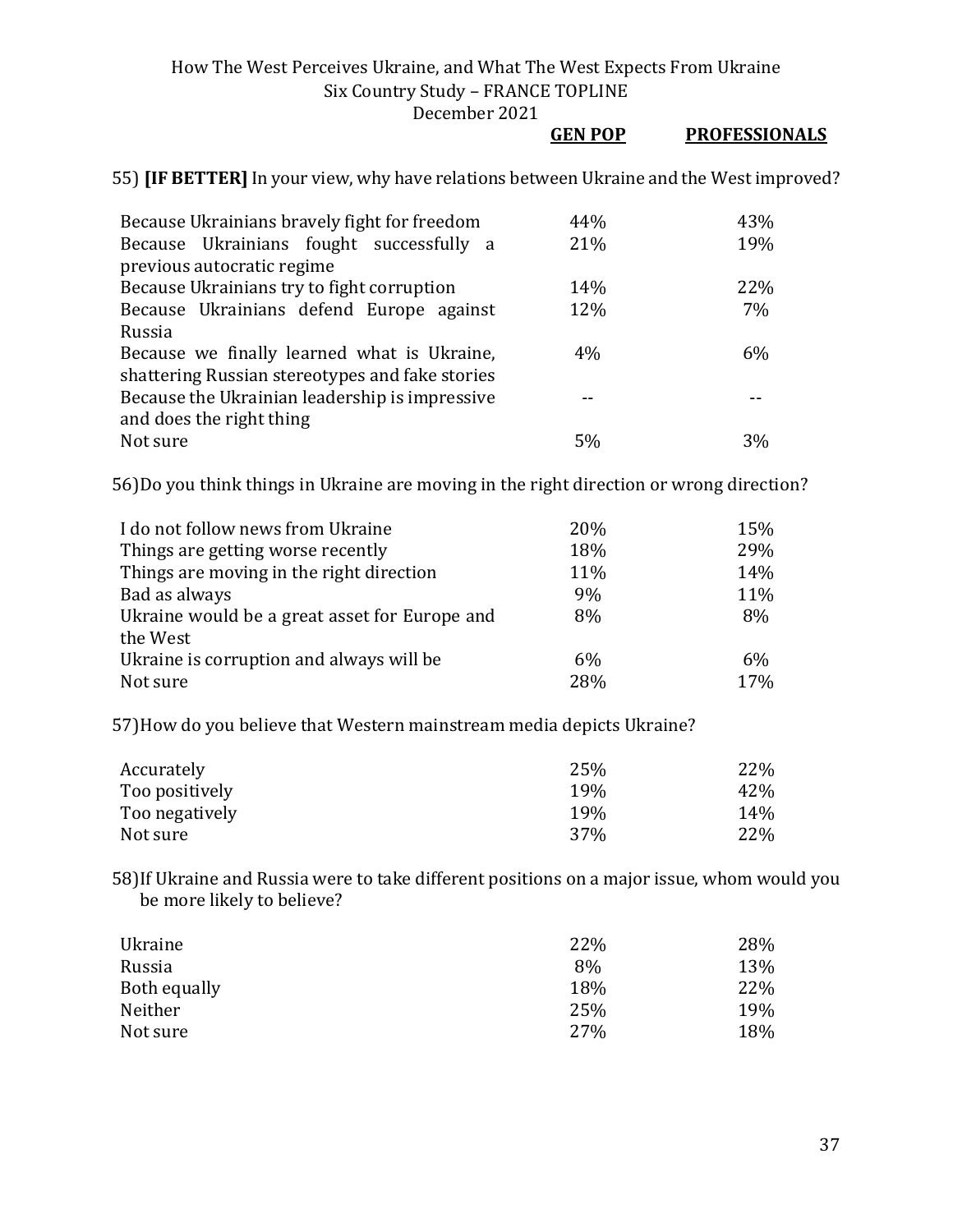December 2021

|                                                                                                | <b>GEN POP</b> | <b>PROFESSIONALS</b> |
|------------------------------------------------------------------------------------------------|----------------|----------------------|
| 55) <b>[IF BETTER]</b> In your view, why have relations between Ukraine and the West improved? |                |                      |
| Because Ukrainians bravely fight for freedom                                                   | 44%            | 43%                  |
| Because Ukrainians fought successfully a<br>previous autocratic regime                         | 21%            | 19%                  |
| Because Ukrainians try to fight corruption                                                     | 14%            | 22%                  |
| Because Ukrainians defend Europe against<br>Russia                                             | 12%            | 7%                   |
| Because we finally learned what is Ukraine,<br>shattering Russian stereotypes and fake stories | 4%             | 6%                   |
| Because the Ukrainian leadership is impressive<br>and does the right thing                     |                |                      |
| Not sure                                                                                       | 5%             | 3%                   |

56)Do you think things in Ukraine are moving in the right direction or wrong direction?

| I do not follow news from Ukraine             | 20% | 15% |
|-----------------------------------------------|-----|-----|
| Things are getting worse recently             | 18% | 29% |
| Things are moving in the right direction      | 11% | 14% |
| Bad as always                                 | 9%  | 11% |
| Ukraine would be a great asset for Europe and | 8%  | 8%  |
| the West                                      |     |     |
| Ukraine is corruption and always will be      | 6%  | 6%  |
| Not sure                                      | 28% | 17% |

57)How do you believe that Western mainstream media depicts Ukraine?

| Accurately     | 25%             | 22\% |
|----------------|-----------------|------|
| Too positively | 19%             | 42%  |
| Too negatively | 19 <sub>%</sub> | 14%  |
| Not sure       | 37%             | 22%  |

58)If Ukraine and Russia were to take different positions on a major issue, whom would you be more likely to believe?

| Ukraine      | 22% | 28% |
|--------------|-----|-----|
| Russia       | 8%  | 13% |
| Both equally | 18% | 22% |
| Neither      | 25% | 19% |
| Not sure     | 27% | 18% |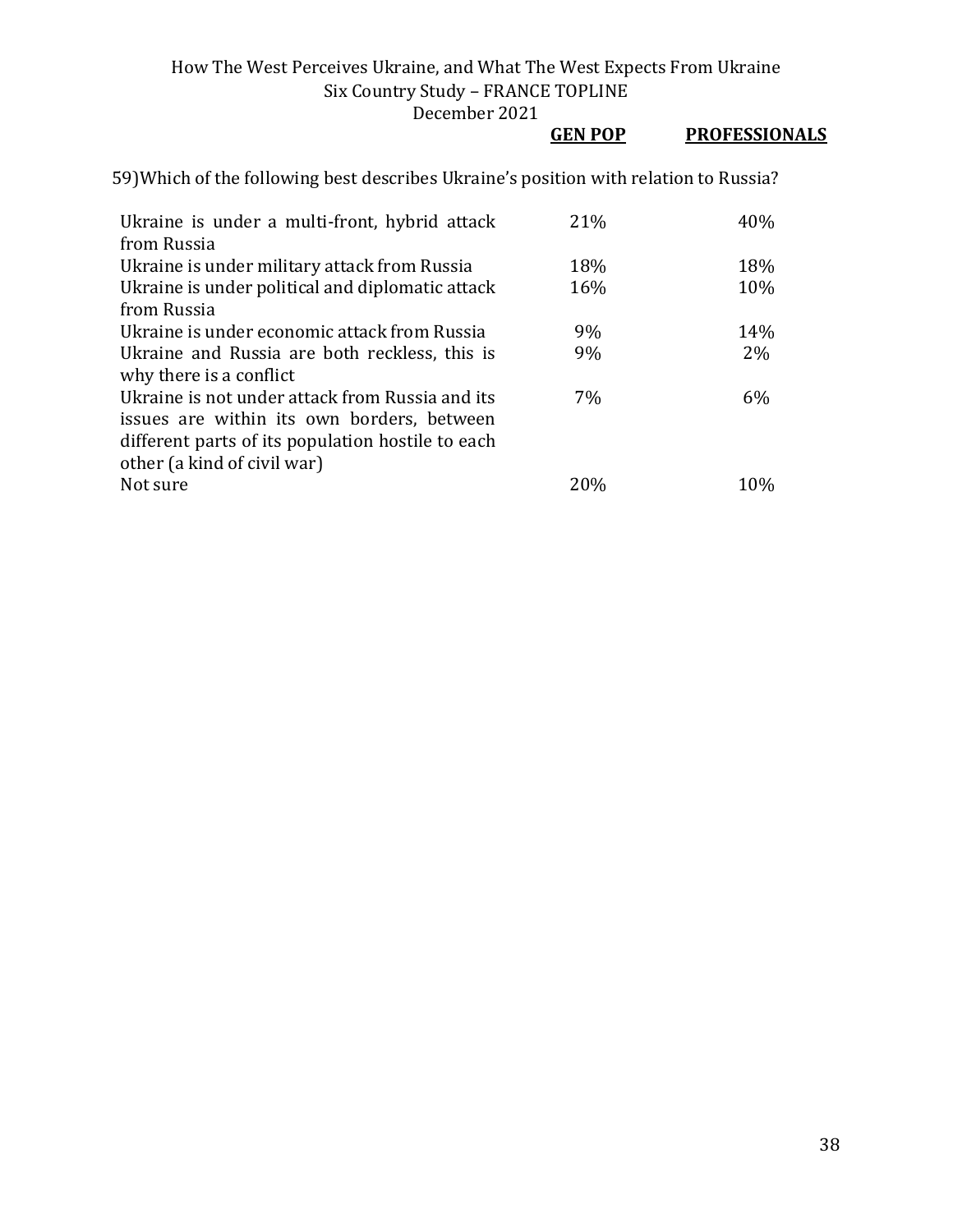December 2021

# **GEN POP PROFESSIONALS**

| Ukraine is under a multi-front, hybrid attack     | 21% | 40%   |
|---------------------------------------------------|-----|-------|
| from Russia                                       |     |       |
| Ukraine is under military attack from Russia      | 18% | 18%   |
| Ukraine is under political and diplomatic attack  | 16% | 10%   |
| from Russia                                       |     |       |
| Ukraine is under economic attack from Russia      | 9%  | 14%   |
| Ukraine and Russia are both reckless, this is     | 9%  | 2%    |
| why there is a conflict                           |     |       |
| Ukraine is not under attack from Russia and its   | 7%  | $6\%$ |
| issues are within its own borders, between        |     |       |
| different parts of its population hostile to each |     |       |
| other (a kind of civil war)                       |     |       |
| Not sure                                          | 20% | 10%   |

59)Which of the following best describes Ukraine's position with relation to Russia?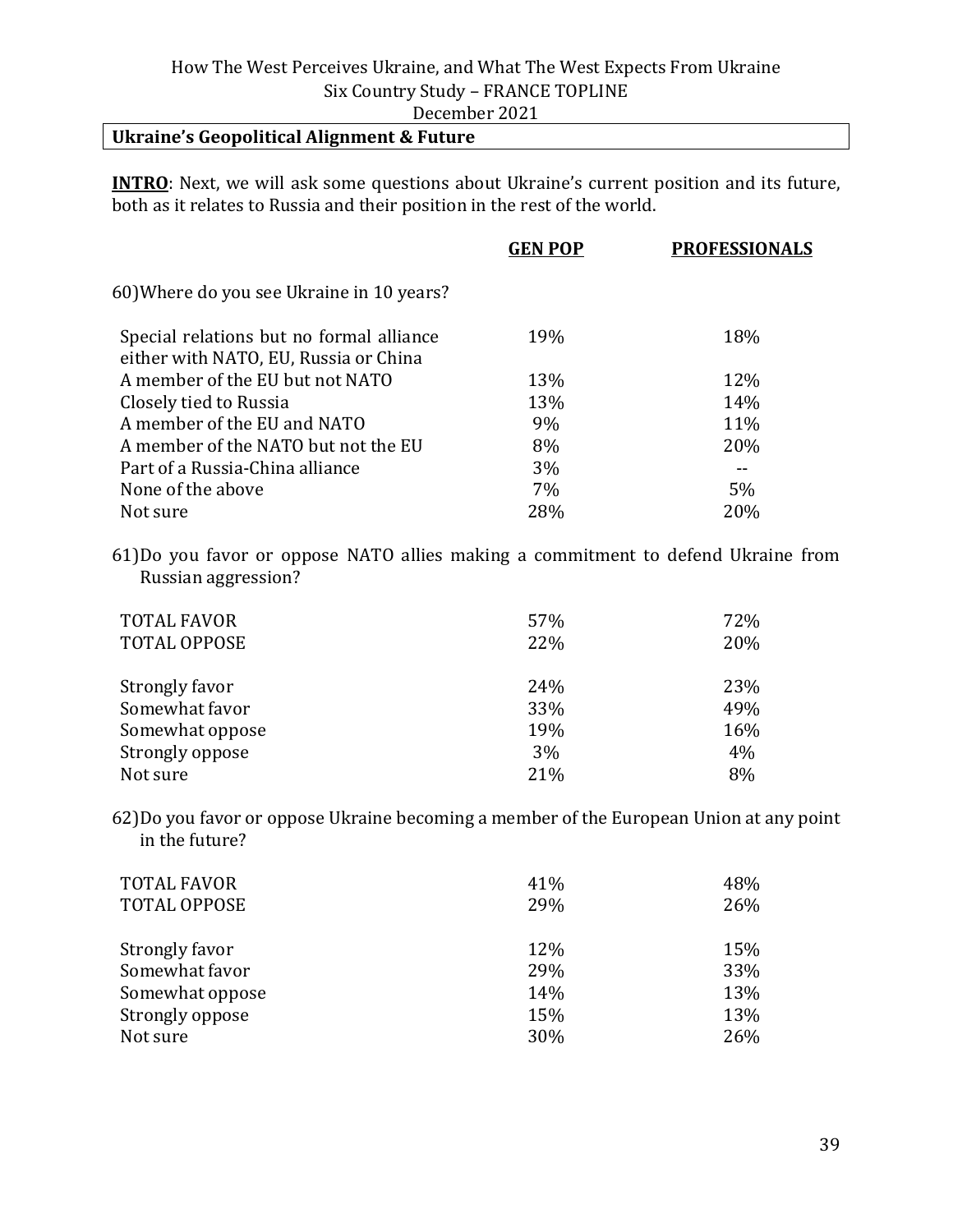#### **Ukraine's Geopolitical Alignment & Future**

**INTRO**: Next, we will ask some questions about Ukraine's current position and its future, both as it relates to Russia and their position in the rest of the world.

| <b>GEN POP</b> | <b>PROFESSIONALS</b> |
|----------------|----------------------|
|                |                      |
| 19%            | 18%                  |
| 13%            | 12%                  |
| 13%            | 14%                  |
| 9%             | 11%                  |
| 8%             | 20%                  |
| 3%             |                      |
| 7%             | 5%                   |
| 28%            | 20%                  |
|                |                      |

61)Do you favor or oppose NATO allies making a commitment to defend Ukraine from Russian aggression?

| <b>TOTAL FAVOR</b><br><b>TOTAL OPPOSE</b> | 57%<br>22% | 72%<br>20% |
|-------------------------------------------|------------|------------|
| Strongly favor                            | 24%        | 23%        |
| Somewhat favor                            | 33%        | 49%        |
| Somewhat oppose                           | 19%        | 16%        |
| Strongly oppose                           | 3%         | 4%         |
| Not sure                                  | 21%        | 8%         |

62)Do you favor or oppose Ukraine becoming a member of the European Union at any point in the future?

| <b>TOTAL FAVOR</b>  | 41% | 48% |
|---------------------|-----|-----|
| <b>TOTAL OPPOSE</b> | 29% | 26% |
| Strongly favor      | 12% | 15% |
| Somewhat favor      | 29% | 33% |
| Somewhat oppose     | 14% | 13% |
| Strongly oppose     | 15% | 13% |
| Not sure            | 30% | 26% |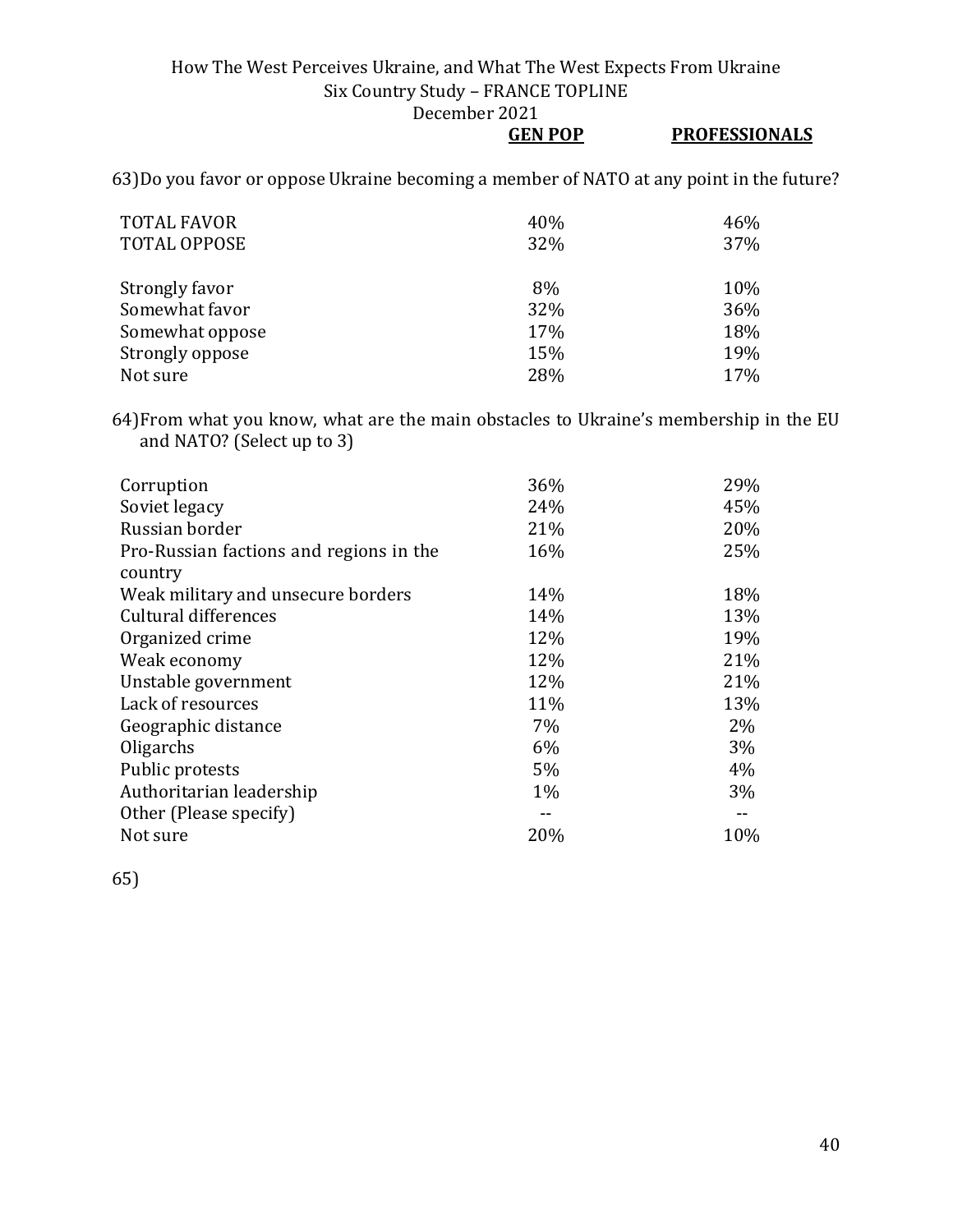December 2021

**GEN POP** 

|--|

63)Do you favor or oppose Ukraine becoming a member of NATO at any point in the future?

| <b>TOTAL FAVOR</b><br><b>TOTAL OPPOSE</b> | 40%<br>32% | 46%<br>37% |
|-------------------------------------------|------------|------------|
| Strongly favor                            | 8%         | 10%        |
| Somewhat favor                            | 32%        | 36%        |
| Somewhat oppose                           | 17%        | 18%        |
| Strongly oppose                           | 15%        | 19%        |
| Not sure                                  | 28%        | 17%        |

64)From what you know, what are the main obstacles to Ukraine's membership in the EU and NATO? (Select up to 3)

| Corruption                              | 36%   | 29%   |
|-----------------------------------------|-------|-------|
| Soviet legacy                           | 24%   | 45%   |
| Russian border                          | 21%   | 20%   |
| Pro-Russian factions and regions in the | 16%   | 25%   |
| country                                 |       |       |
| Weak military and unsecure borders      | 14%   | 18%   |
| Cultural differences                    | 14%   | 13%   |
| Organized crime                         | 12%   | 19%   |
| Weak economy                            | 12%   | 21%   |
| Unstable government                     | 12%   | 21%   |
| Lack of resources                       | 11%   | 13%   |
| Geographic distance                     | 7%    | 2%    |
| Oligarchs                               | 6%    | $3\%$ |
| Public protests                         | 5%    | $4\%$ |
| Authoritarian leadership                | $1\%$ | 3%    |
| Other (Please specify)                  | --    |       |
| Not sure                                | 20%   | 10%   |
|                                         |       |       |

65)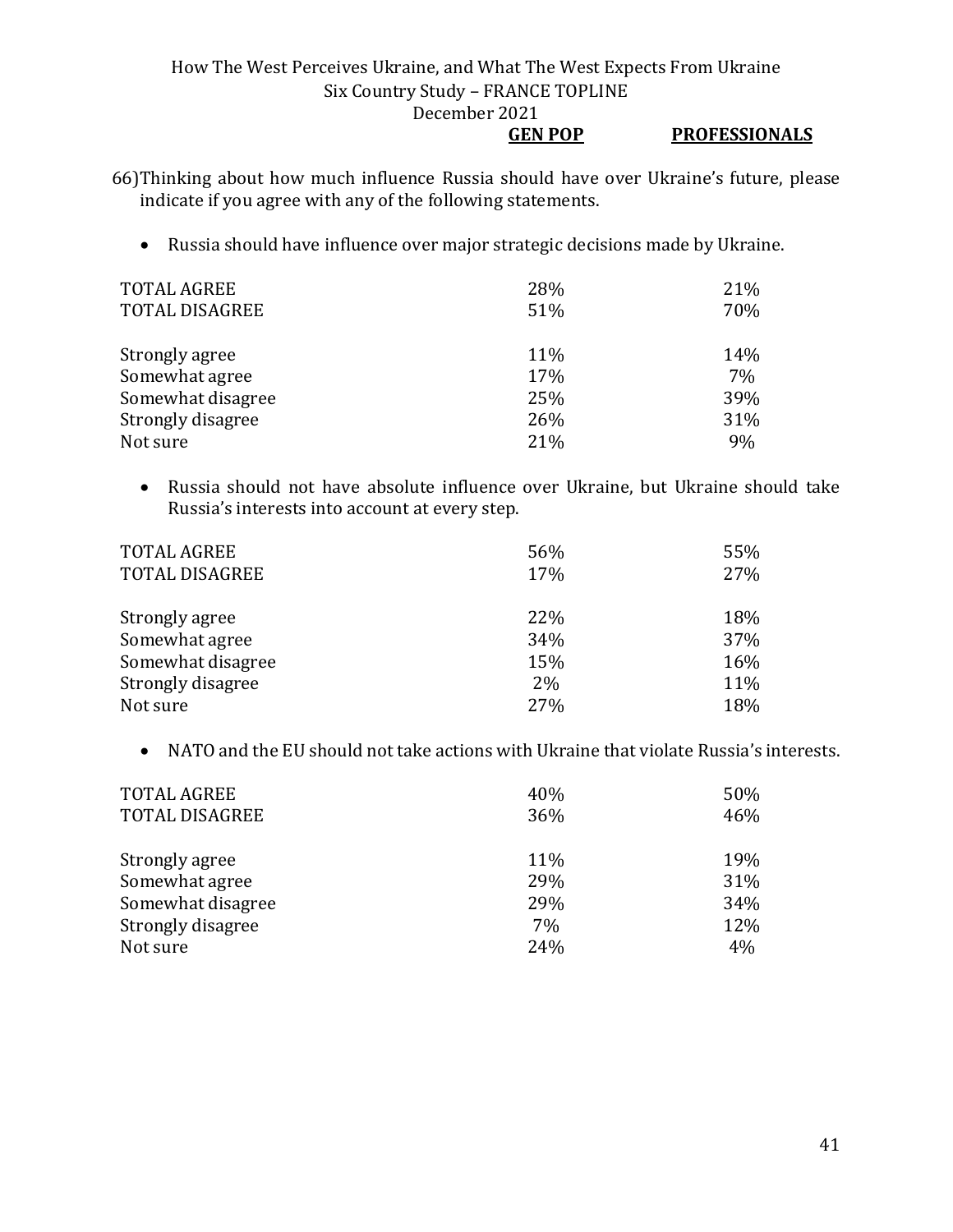#### **GEN POP PROFESSIONALS**

66)Thinking about how much influence Russia should have over Ukraine's future, please indicate if you agree with any of the following statements.

• Russia should have influence over major strategic decisions made by Ukraine.

| <b>TOTAL AGREE</b>    | 28% | 21% |
|-----------------------|-----|-----|
| <b>TOTAL DISAGREE</b> | 51% | 70% |
|                       |     |     |
| Strongly agree        | 11% | 14% |
| Somewhat agree        | 17% | 7%  |
| Somewhat disagree     | 25% | 39% |
| Strongly disagree     | 26% | 31% |
| Not sure              | 21% | 9%  |

• Russia should not have absolute influence over Ukraine, but Ukraine should take Russia's interests into account at every step.

| <b>TOTAL AGREE</b><br><b>TOTAL DISAGREE</b> | 56%<br>17% | 55%<br>27% |
|---------------------------------------------|------------|------------|
| Strongly agree                              | 22%        | 18%        |
| Somewhat agree                              | 34%        | 37%        |
| Somewhat disagree                           | 15%        | 16%        |
| Strongly disagree                           | 2%         | 11%        |
| Not sure                                    | 27%        | 18%        |

• NATO and the EU should not take actions with Ukraine that violate Russia's interests.

| <b>TOTAL AGREE</b>    | 40% | 50% |
|-----------------------|-----|-----|
| <b>TOTAL DISAGREE</b> | 36% | 46% |
|                       |     |     |
| Strongly agree        | 11% | 19% |
| Somewhat agree        | 29% | 31% |
| Somewhat disagree     | 29% | 34% |
| Strongly disagree     | 7%  | 12% |
| Not sure              | 24% | 4%  |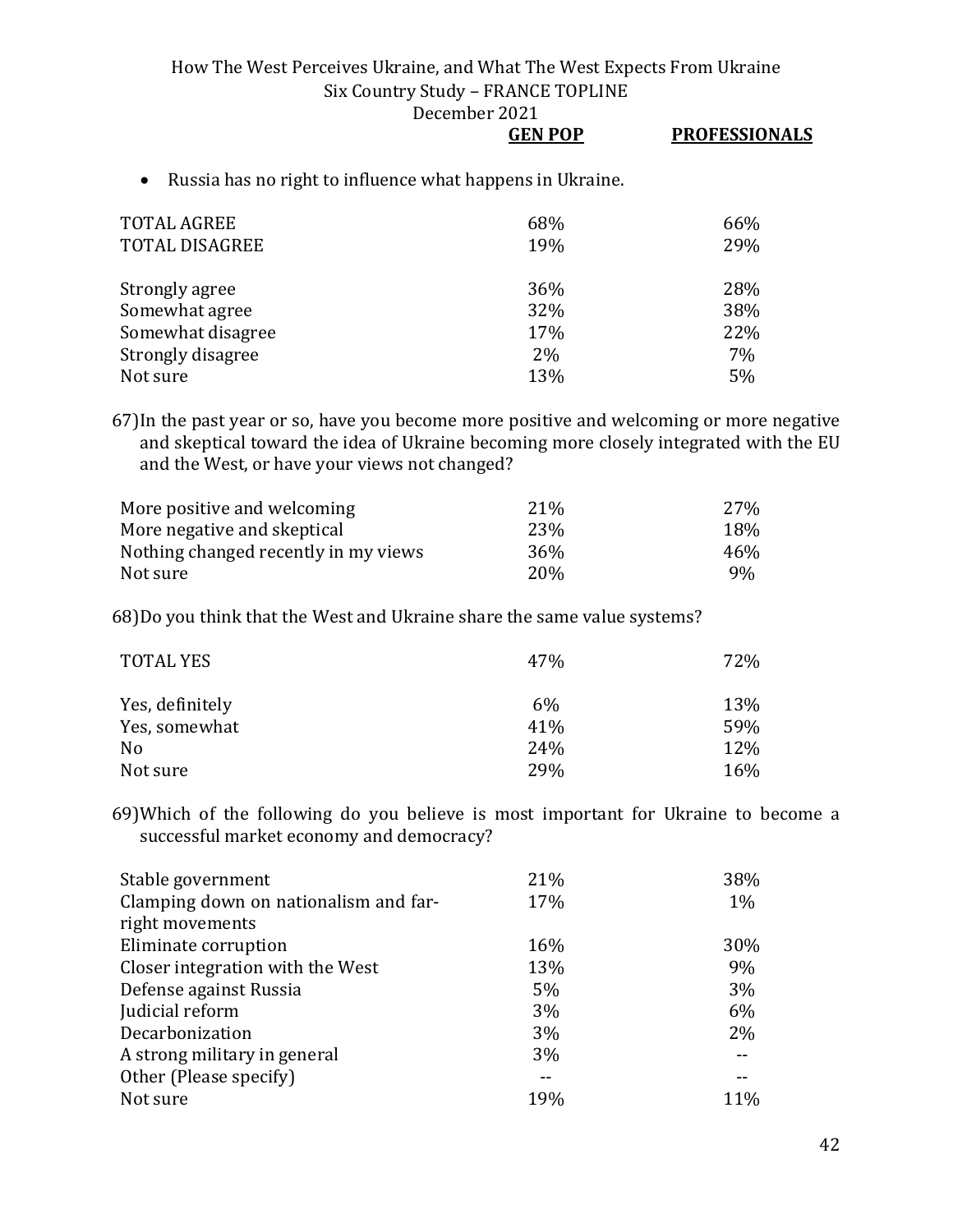December 2021

## **GEN POP PROFESSIONALS**

• Russia has no right to influence what happens in Ukraine.

| <b>TOTAL AGREE</b><br><b>TOTAL DISAGREE</b> | 68%<br>19% | 66%<br>29% |
|---------------------------------------------|------------|------------|
| Strongly agree                              | 36%        | 28%        |
| Somewhat agree                              | 32%        | 38%        |
| Somewhat disagree                           | 17%        | 22%        |
| Strongly disagree                           | 2%         | 7%         |
| Not sure                                    | 13%        | 5%         |

67)In the past year or so, have you become more positive and welcoming or more negative and skeptical toward the idea of Ukraine becoming more closely integrated with the EU and the West, or have your views not changed?

| More positive and welcoming          | 21 <sup>%</sup> | 27% |
|--------------------------------------|-----------------|-----|
| More negative and skeptical          | 23\%            | 18% |
| Nothing changed recently in my views | 36%             | 46% |
| Not sure                             | 20 <sub>%</sub> | 9%  |

68)Do you think that the West and Ukraine share the same value systems?

| <b>TOTAL YES</b> | 47%        | 72% |
|------------------|------------|-----|
| Yes, definitely  | $6\%$      | 13% |
| Yes, somewhat    | 41%        | 59% |
| No               | 24%        | 12% |
| Not sure         | <b>29%</b> | 16% |

69)Which of the following do you believe is most important for Ukraine to become a successful market economy and democracy?

| 21% | 38%   |
|-----|-------|
| 17% | $1\%$ |
|     |       |
| 16% | 30%   |
| 13% | 9%    |
| 5%  | 3%    |
| 3%  | 6%    |
| 3%  | 2%    |
| 3%  |       |
|     |       |
| 19% | 11%   |
|     |       |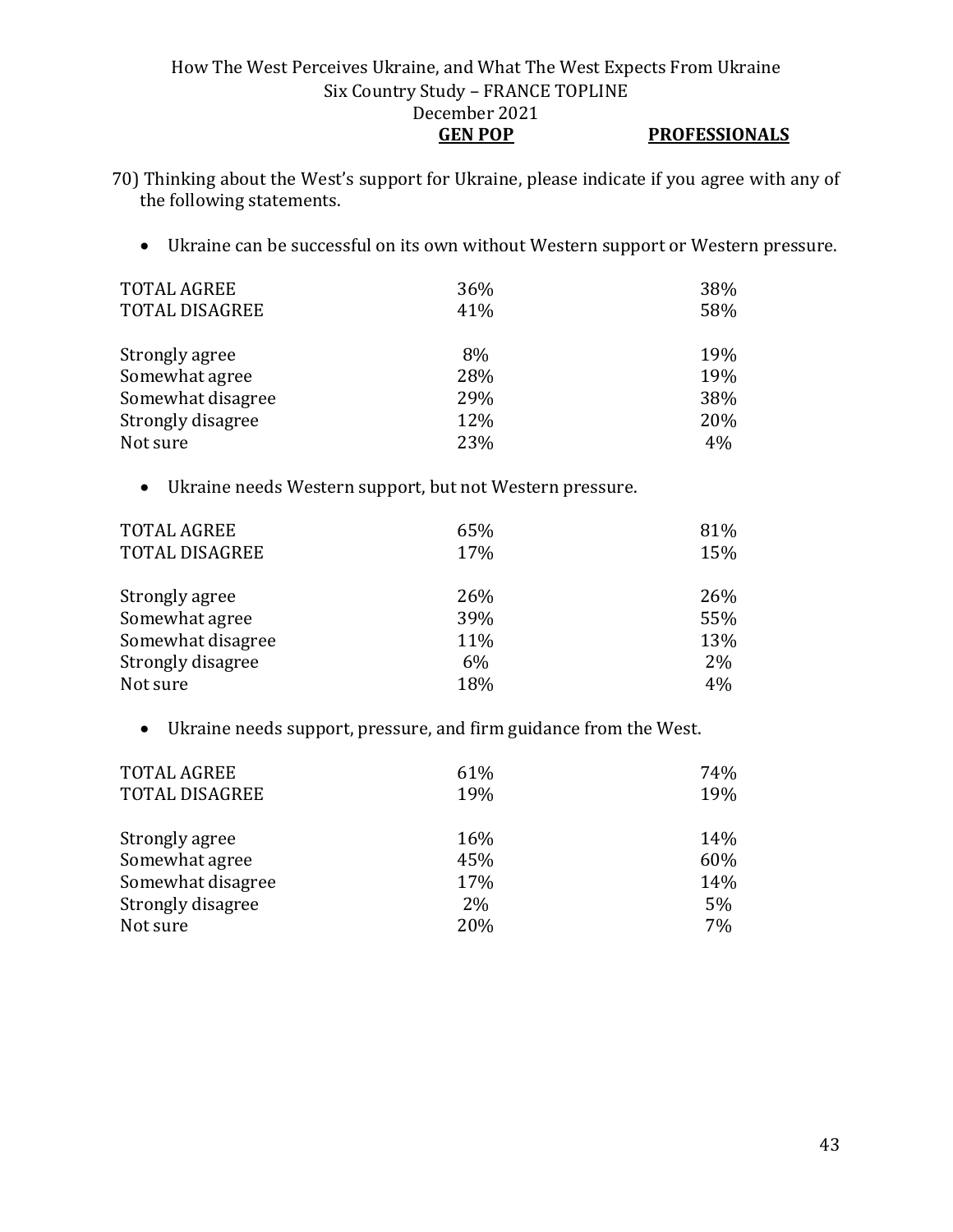#### How The West Perceives Ukraine, and What The West Expects From Ukraine Six Country Study – FRANCE TOPLINE December 2021 **GEN POP PROFESSIONALS**

- 70) Thinking about the West's support for Ukraine, please indicate if you agree with any of the following statements.
	- Ukraine can be successful on its own without Western support or Western pressure.

| <b>TOTAL AGREE</b><br><b>TOTAL DISAGREE</b> | 36%<br>41% | 38%<br>58% |
|---------------------------------------------|------------|------------|
| Strongly agree                              | 8%         | 19%        |
| Somewhat agree                              | 28%        | 19%        |
| Somewhat disagree                           | 29%        | 38%        |
| Strongly disagree                           | 12%        | 20%        |
| Not sure                                    | 23%        | 4%         |

• Ukraine needs Western support, but not Western pressure.

| <b>TOTAL AGREE</b><br><b>TOTAL DISAGREE</b> | 65%<br>17% | 81%<br>15% |
|---------------------------------------------|------------|------------|
| Strongly agree                              | 26%        | 26%        |
| Somewhat agree                              | 39%        | 55%        |
| Somewhat disagree                           | 11%        | 13%        |
| Strongly disagree                           | $6\%$      | 2%         |
| Not sure                                    | 18%        | 4%         |

• Ukraine needs support, pressure, and firm guidance from the West.

| <b>TOTAL AGREE</b><br><b>TOTAL DISAGREE</b> | 61%<br>19% | 74%<br>19% |
|---------------------------------------------|------------|------------|
| Strongly agree                              | 16%        | 14%        |
| Somewhat agree                              | 45%        | 60%        |
| Somewhat disagree                           | 17%        | 14%        |
| Strongly disagree                           | 2%         | 5%         |
| Not sure                                    | 20%        | 7%         |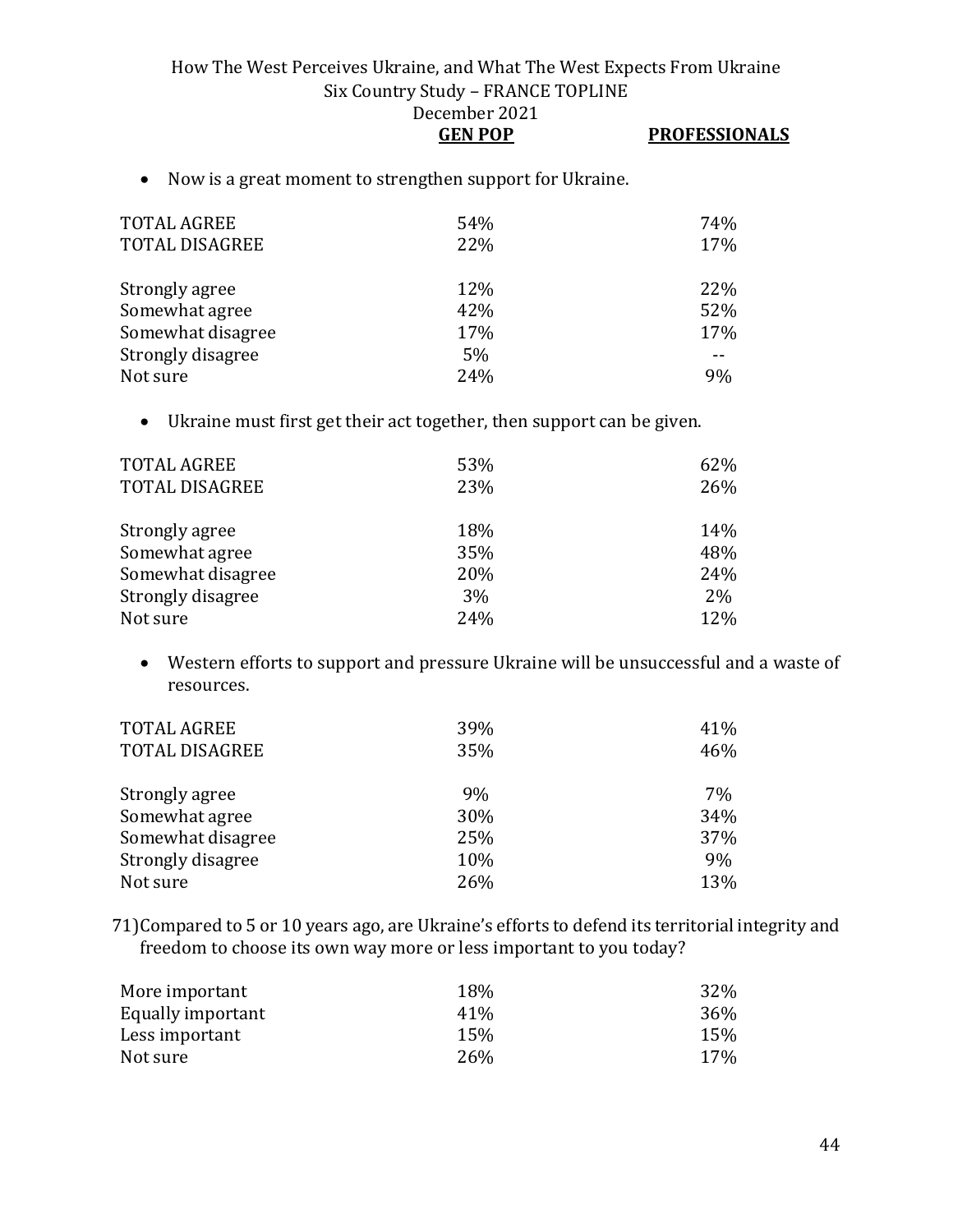| <b>GEN POP</b> | <b>PROFESSIONALS</b> |
|----------------|----------------------|
|                |                      |

• Now is a great moment to strengthen support for Ukraine.

| <b>TOTAL AGREE</b><br>TOTAL DISAGREE | 54%<br>22% | 74%<br>17% |
|--------------------------------------|------------|------------|
| Strongly agree                       | 12%        | 22%        |
| Somewhat agree                       | 42%        | 52%        |
| Somewhat disagree                    | 17%        | 17%        |
| Strongly disagree                    | 5%         |            |
| Not sure                             | 24%        | 9%         |

• Ukraine must first get their act together, then support can be given.

| TOTAL AGREE           | 53% | 62% |
|-----------------------|-----|-----|
| <b>TOTAL DISAGREE</b> | 23% | 26% |
|                       |     |     |
| Strongly agree        | 18% | 14% |
| Somewhat agree        | 35% | 48% |
| Somewhat disagree     | 20% | 24% |
| Strongly disagree     | 3%  | 2%  |
| Not sure              | 24% | 12% |

• Western efforts to support and pressure Ukraine will be unsuccessful and a waste of resources.

| <b>TOTAL AGREE</b><br><b>TOTAL DISAGREE</b> | 39%<br>35% | 41%<br>46% |
|---------------------------------------------|------------|------------|
| Strongly agree                              | 9%         | 7%         |
| Somewhat agree                              | 30%        | 34%        |
| Somewhat disagree                           | 25%        | 37%        |
| Strongly disagree                           | 10%        | 9%         |
| Not sure                                    | 26%        | 13%        |

71)Compared to 5 or 10 years ago, are Ukraine's efforts to defend its territorial integrity and freedom to choose its own way more or less important to you today?

| 18%             | 32% |
|-----------------|-----|
| 41 <sup>%</sup> | 36% |
| 15%             | 15% |
| 26%             | 17% |
|                 |     |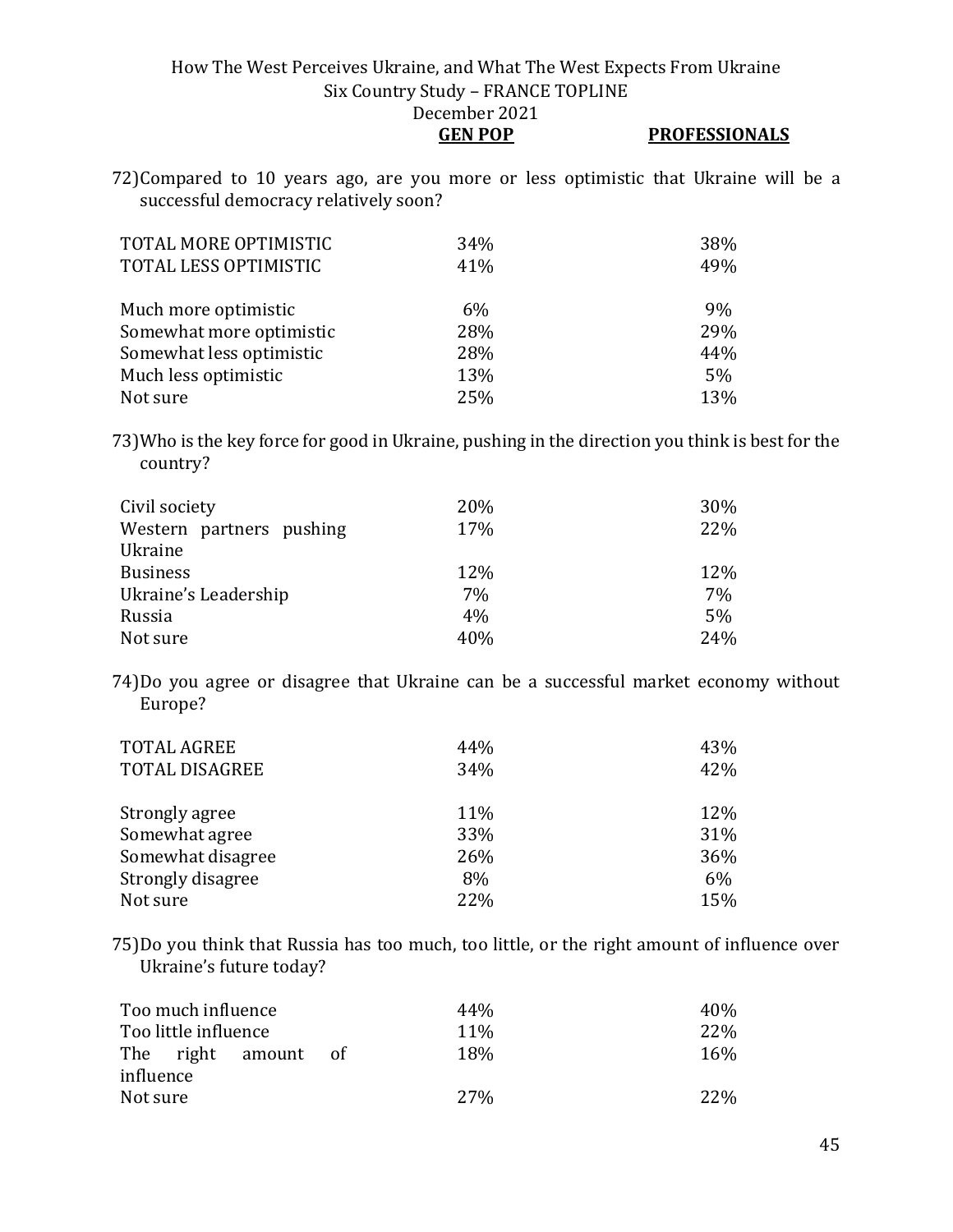**GEN POP PROFESSIONALS**

72)Compared to 10 years ago, are you more or less optimistic that Ukraine will be a successful democracy relatively soon?

| TOTAL MORE OPTIMISTIC<br>TOTAL LESS OPTIMISTIC | 34%<br>41% | 38%<br>49% |
|------------------------------------------------|------------|------------|
| Much more optimistic                           | $6\%$      | 9%         |
| Somewhat more optimistic                       | 28%        | 29%        |
| Somewhat less optimistic                       | 28%        | 44%        |
| Much less optimistic                           | 13%        | 5%         |
| Not sure                                       | 25%        | 13%        |

73)Who is the key force for good in Ukraine, pushing in the direction you think is best for the country?

| Civil society            | 20% | 30%   |
|--------------------------|-----|-------|
| Western partners pushing | 17% | 22%   |
| Ukraine                  |     |       |
| <b>Business</b>          | 12% | 12%   |
| Ukraine's Leadership     | 7%  | $7\%$ |
| Russia                   | 4%  | 5%    |
| Not sure                 | 40% | 24%   |

74)Do you agree or disagree that Ukraine can be a successful market economy without Europe?

| <b>TOTAL AGREE</b><br><b>TOTAL DISAGREE</b> | 44%<br>34% | 43%<br>42% |
|---------------------------------------------|------------|------------|
| Strongly agree                              | 11%        | 12%        |
| Somewhat agree                              | 33%        | 31%        |
| Somewhat disagree                           | 26%        | 36%        |
| Strongly disagree                           | 8%         | 6%         |
| Not sure                                    | 22%        | 15%        |

75)Do you think that Russia has too much, too little, or the right amount of influence over Ukraine's future today?

| Too much influence   |      | 44%        | 40 <sub>%</sub> |
|----------------------|------|------------|-----------------|
| Too little influence |      | <b>11%</b> | <b>22%</b>      |
| The right amount     | - of | 18%        | 16%             |
| influence            |      |            |                 |
| Not sure             |      | <b>27%</b> | 22\%            |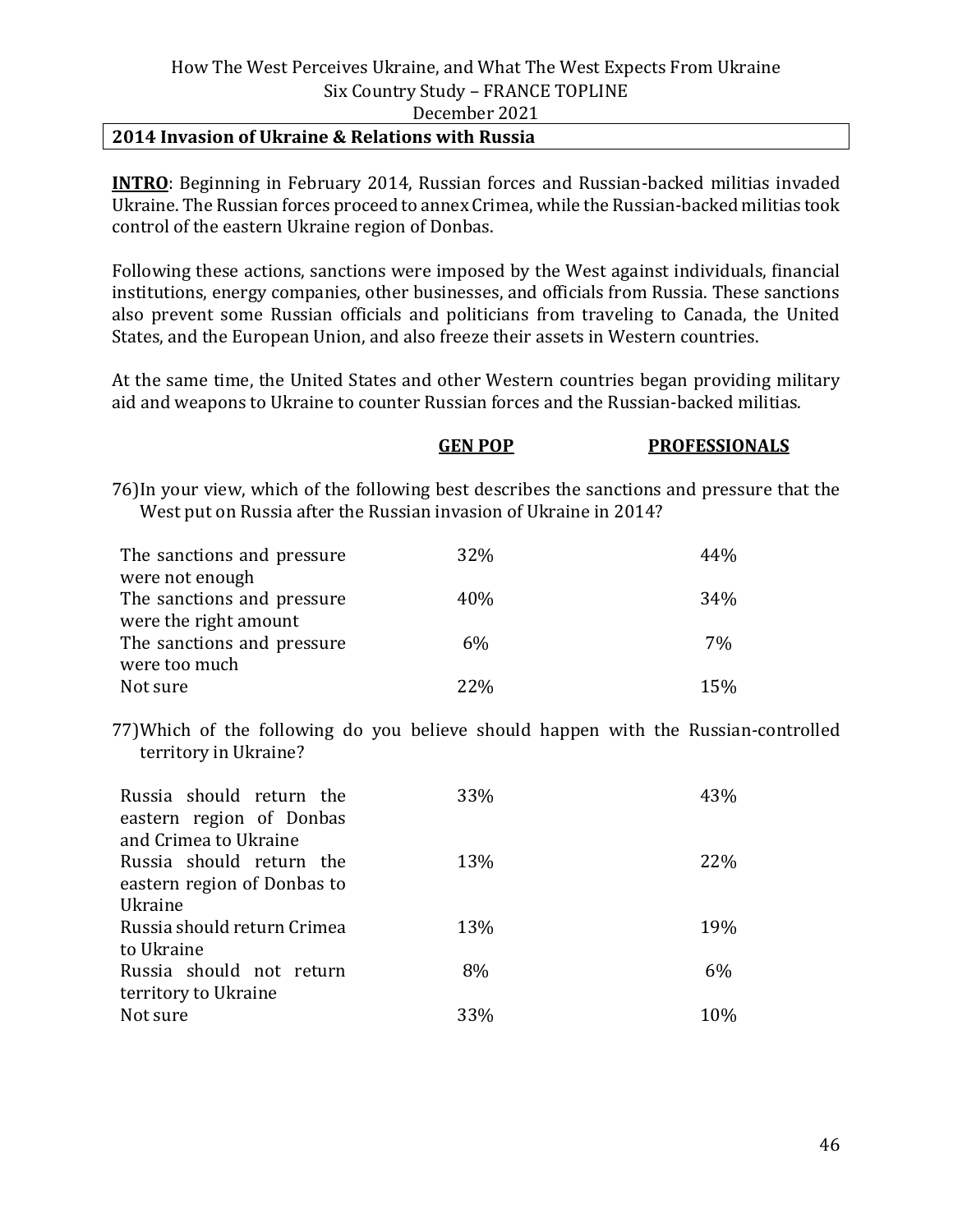#### **2014 Invasion of Ukraine & Relations with Russia**

**INTRO**: Beginning in February 2014, Russian forces and Russian-backed militias invaded Ukraine. The Russian forces proceed to annex Crimea, while the Russian-backed militias took control of the eastern Ukraine region of Donbas.

Following these actions, sanctions were imposed by the West against individuals, financial institutions, energy companies, other businesses, and officials from Russia. These sanctions also prevent some Russian officials and politicians from traveling to Canada, the United States, and the European Union, and also freeze their assets in Western countries.

At the same time, the United States and other Western countries began providing military aid and weapons to Ukraine to counter Russian forces and the Russian-backed militias.

#### **GEN POP PROFESSIONALS**

76)In your view, which of the following best describes the sanctions and pressure that the West put on Russia after the Russian invasion of Ukraine in 2014?

| The sanctions and pressure | 32%    | 44% |
|----------------------------|--------|-----|
| were not enough            |        |     |
| The sanctions and pressure | 40%    | 34% |
| were the right amount      |        |     |
| The sanctions and pressure | 6%     | 7%  |
| were too much              |        |     |
| Not sure                   | $22\%$ | 15% |

77)Which of the following do you believe should happen with the Russian-controlled territory in Ukraine?

| Russia should return the<br>eastern region of Donbas | 33% | 43% |
|------------------------------------------------------|-----|-----|
| and Crimea to Ukraine                                |     |     |
| Russia should return the                             | 13% | 22% |
| eastern region of Donbas to                          |     |     |
| Ukraine                                              |     |     |
| Russia should return Crimea                          | 13% | 19% |
| to Ukraine                                           |     |     |
| Russia should not return                             | 8%  | 6%  |
| territory to Ukraine                                 |     |     |
| Not sure                                             | 33% | 10% |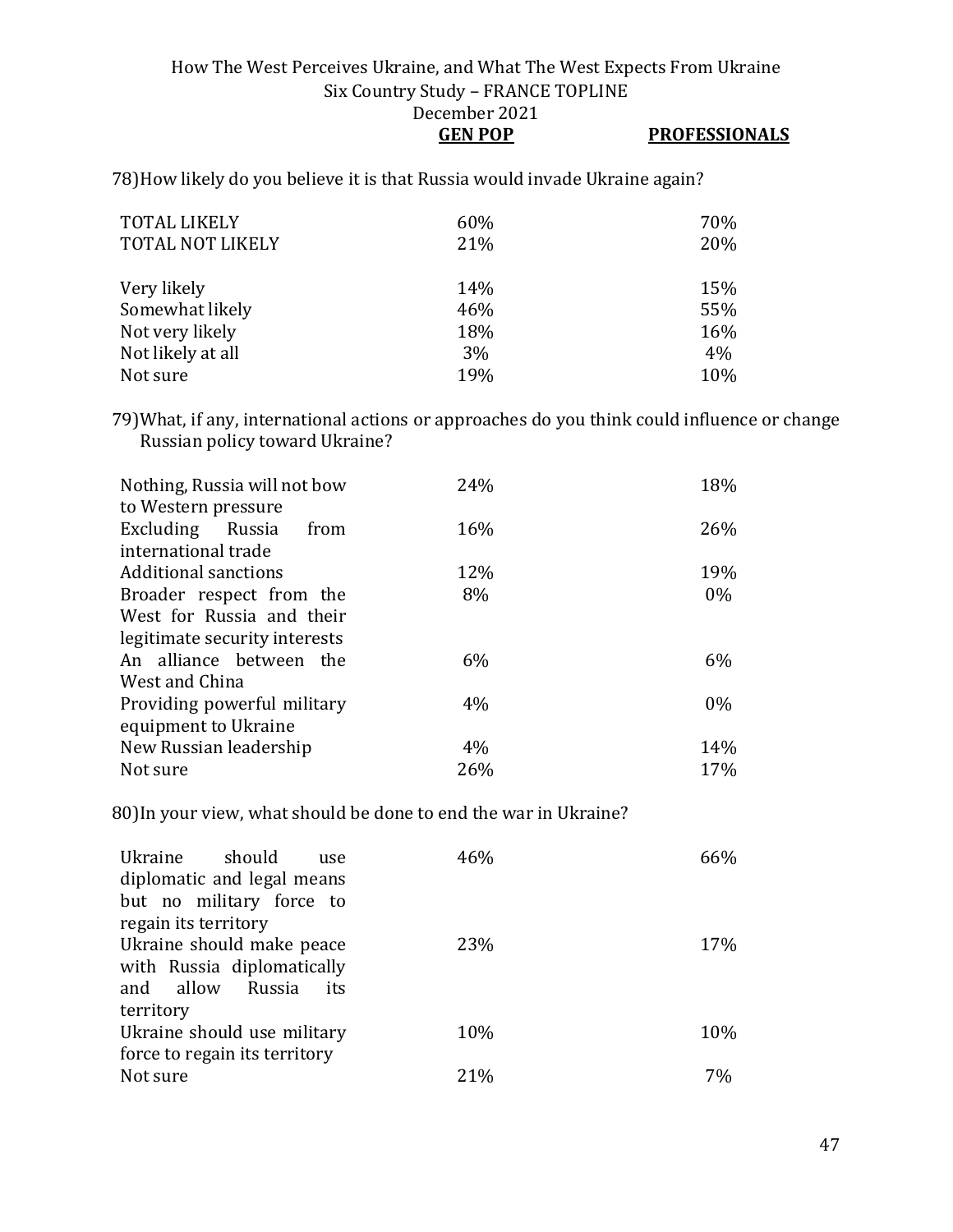#### How The West Perceives Ukraine, and What The West Expects From Ukraine Six Country Study – FRANCE TOPLINE December 2021 **GEN POP PROFESSIONALS**

78)How likely do you believe it is that Russia would invade Ukraine again?

| <b>TOTAL LIKELY</b><br><b>TOTAL NOT LIKELY</b> | 60%<br>21% | 70%<br>20% |
|------------------------------------------------|------------|------------|
| Very likely                                    | 14%        | 15%        |
| Somewhat likely                                | 46%        | 55%        |
| Not very likely                                | 18%        | 16%        |
| Not likely at all                              | 3%         | 4%         |
| Not sure                                       | 19%        | 10%        |

79)What, if any, international actions or approaches do you think could influence or change Russian policy toward Ukraine?

| Nothing, Russia will not bow<br>to Western pressure | 24% | 18%   |
|-----------------------------------------------------|-----|-------|
| Excluding Russia<br>from                            | 16% | 26%   |
| international trade                                 |     |       |
| <b>Additional sanctions</b>                         | 12% | 19%   |
| Broader respect from the                            | 8%  | $0\%$ |
| West for Russia and their                           |     |       |
| legitimate security interests                       |     |       |
| An alliance between the                             | 6%  | 6%    |
| West and China                                      |     |       |
| Providing powerful military                         | 4%  | $0\%$ |
| equipment to Ukraine                                |     |       |
| New Russian leadership                              | 4%  | 14%   |
| Not sure                                            | 26% | 17%   |

80)In your view, what should be done to end the war in Ukraine?

| should<br>Ukraine<br>use<br>diplomatic and legal means | 46% | 66% |
|--------------------------------------------------------|-----|-----|
| but no military force to                               |     |     |
| regain its territory                                   |     |     |
| Ukraine should make peace                              | 23% | 17% |
| with Russia diplomatically                             |     |     |
| and allow<br>Russia<br>its                             |     |     |
| territory                                              |     |     |
| Ukraine should use military                            | 10% | 10% |
| force to regain its territory                          |     |     |
| Not sure                                               | 21% | 7%  |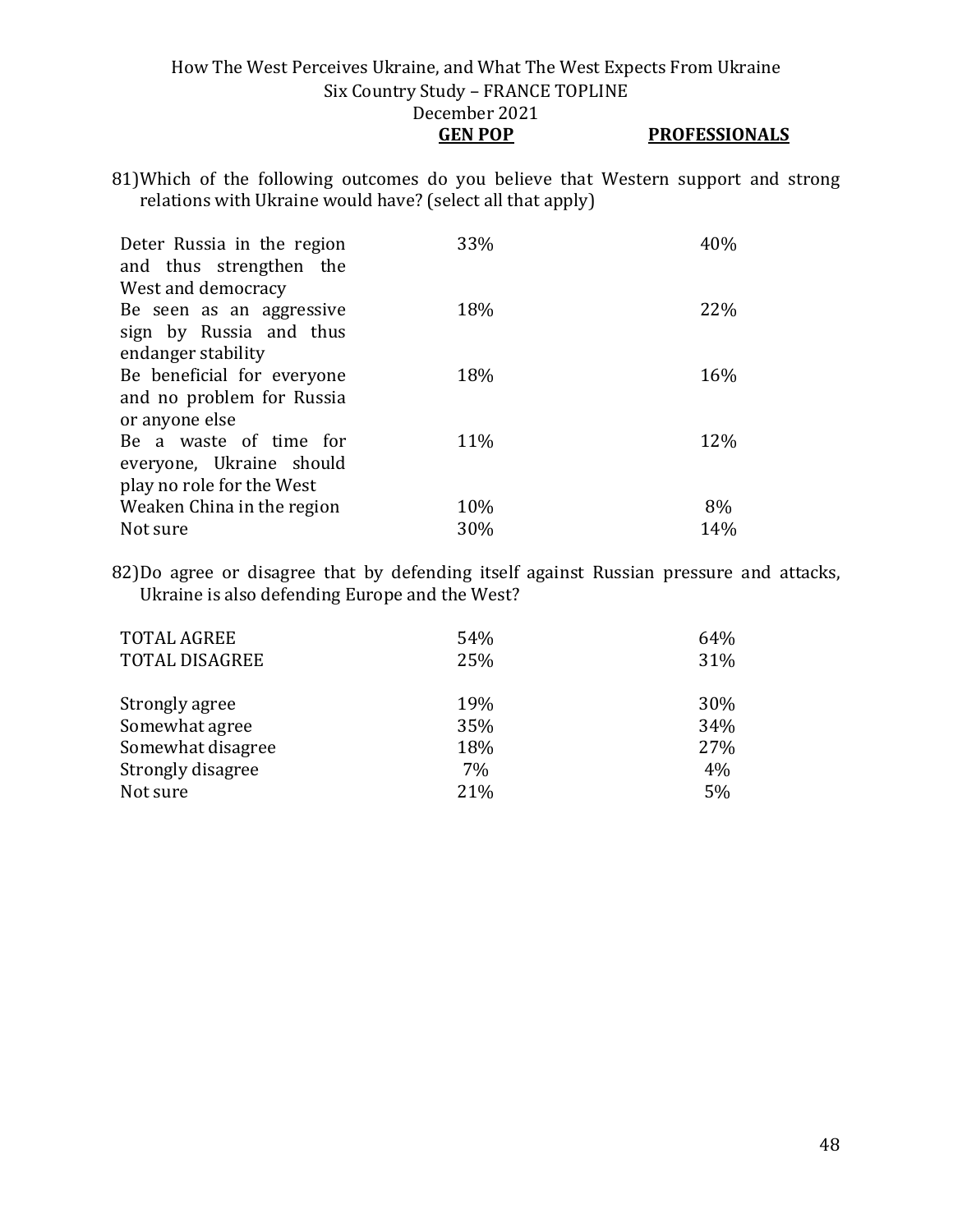**GEN POP PROFESSIONALS**

81)Which of the following outcomes do you believe that Western support and strong relations with Ukraine would have? (select all that apply)

| Deter Russia in the region<br>and thus strengthen the<br>West and democracy | 33% | 40% |
|-----------------------------------------------------------------------------|-----|-----|
| Be seen as an aggressive<br>sign by Russia and thus                         | 18% | 22% |
| endanger stability                                                          |     |     |
| Be beneficial for everyone                                                  | 18% | 16% |
| and no problem for Russia<br>or anyone else                                 |     |     |
| Be a waste of time for                                                      | 11% | 12% |
| everyone, Ukraine should                                                    |     |     |
| play no role for the West                                                   |     |     |
| Weaken China in the region                                                  | 10% | 8%  |
| Not sure                                                                    | 30% | 14% |

82)Do agree or disagree that by defending itself against Russian pressure and attacks, Ukraine is also defending Europe and the West?

| <b>TOTAL AGREE</b>    | 54% | 64% |
|-----------------------|-----|-----|
| <b>TOTAL DISAGREE</b> | 25% | 31% |
| Strongly agree        | 19% | 30% |
| Somewhat agree        | 35% | 34% |
| Somewhat disagree     | 18% | 27% |
| Strongly disagree     | 7%  | 4%  |
| Not sure              | 21% | 5%  |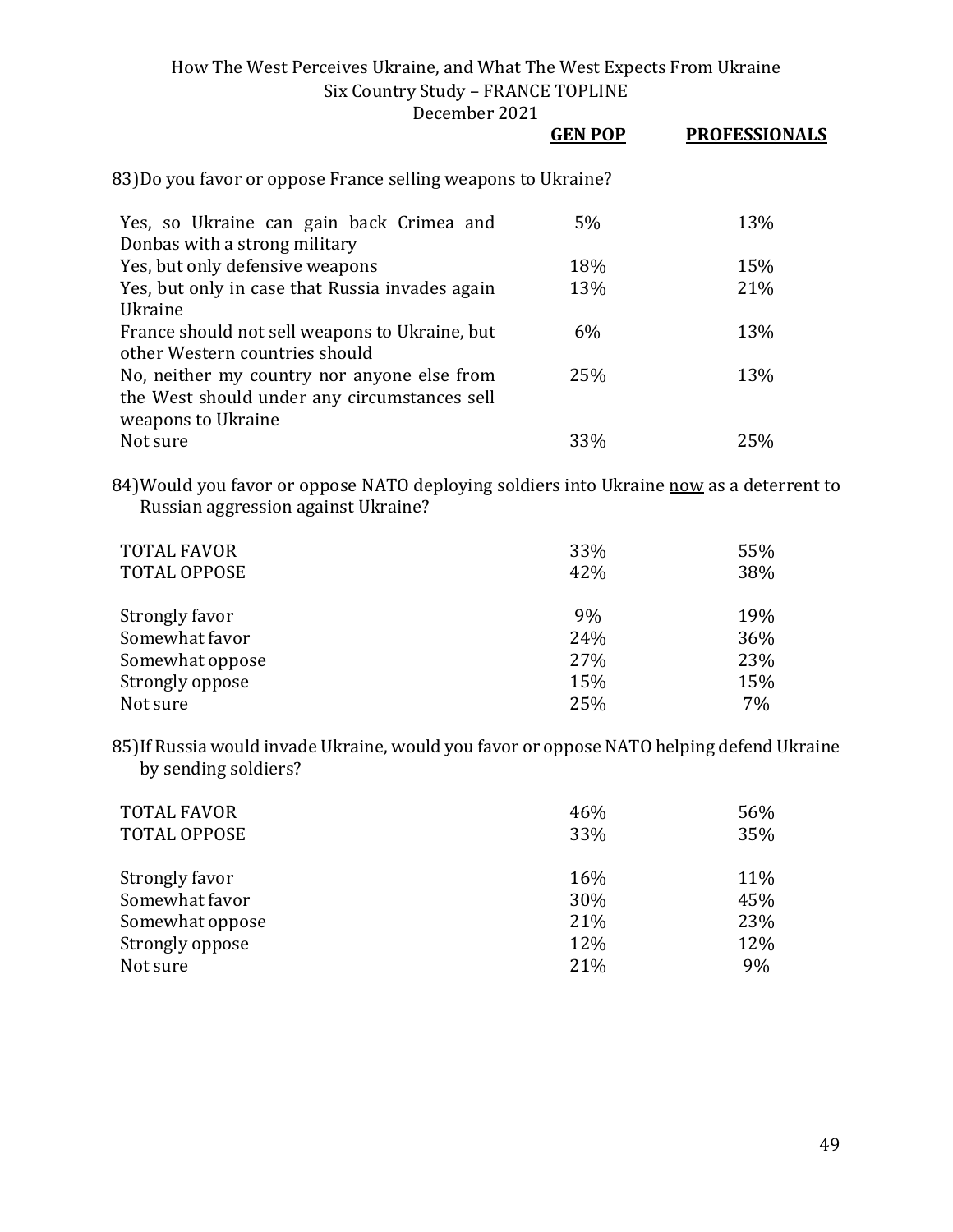December 2021

|                                                                                                                   | GEN POP | <b>PROFESSIONALS</b> |
|-------------------------------------------------------------------------------------------------------------------|---------|----------------------|
| 83)Do you favor or oppose France selling weapons to Ukraine?                                                      |         |                      |
| Yes, so Ukraine can gain back Crimea and<br>Donbas with a strong military                                         | 5%      | 13%                  |
| Yes, but only defensive weapons                                                                                   | 18%     | 15%                  |
| Yes, but only in case that Russia invades again<br>Ukraine                                                        | 13%     | 21%                  |
| France should not sell weapons to Ukraine, but<br>other Western countries should                                  | 6%      | 13%                  |
| No, neither my country nor anyone else from<br>the West should under any circumstances sell<br>weapons to Ukraine | 25%     | 13%                  |
| Not sure                                                                                                          | 33%     | 25%                  |

84) Would you favor or oppose NATO deploying soldiers into Ukraine now as a deterrent to Russian aggression against Ukraine?

| <b>TOTAL FAVOR</b><br><b>TOTAL OPPOSE</b> | 33%<br>42% | 55%<br>38% |
|-------------------------------------------|------------|------------|
| Strongly favor                            | 9%         | 19%        |
| Somewhat favor                            | 24%        | 36%        |
| Somewhat oppose                           | 27%        | 23%        |
| Strongly oppose                           | 15%        | 15%        |
| Not sure                                  | 25%        | 7%         |

85)If Russia would invade Ukraine, would you favor or oppose NATO helping defend Ukraine by sending soldiers?

| <b>TOTAL FAVOR</b><br><b>TOTAL OPPOSE</b> | 46%<br>33% | 56%<br>35% |
|-------------------------------------------|------------|------------|
| Strongly favor                            | 16%        | 11%        |
| Somewhat favor                            | 30%        | 45%        |
| Somewhat oppose                           | 21%        | 23%        |
| Strongly oppose                           | 12%        | 12%        |
| Not sure                                  | 21%        | 9%         |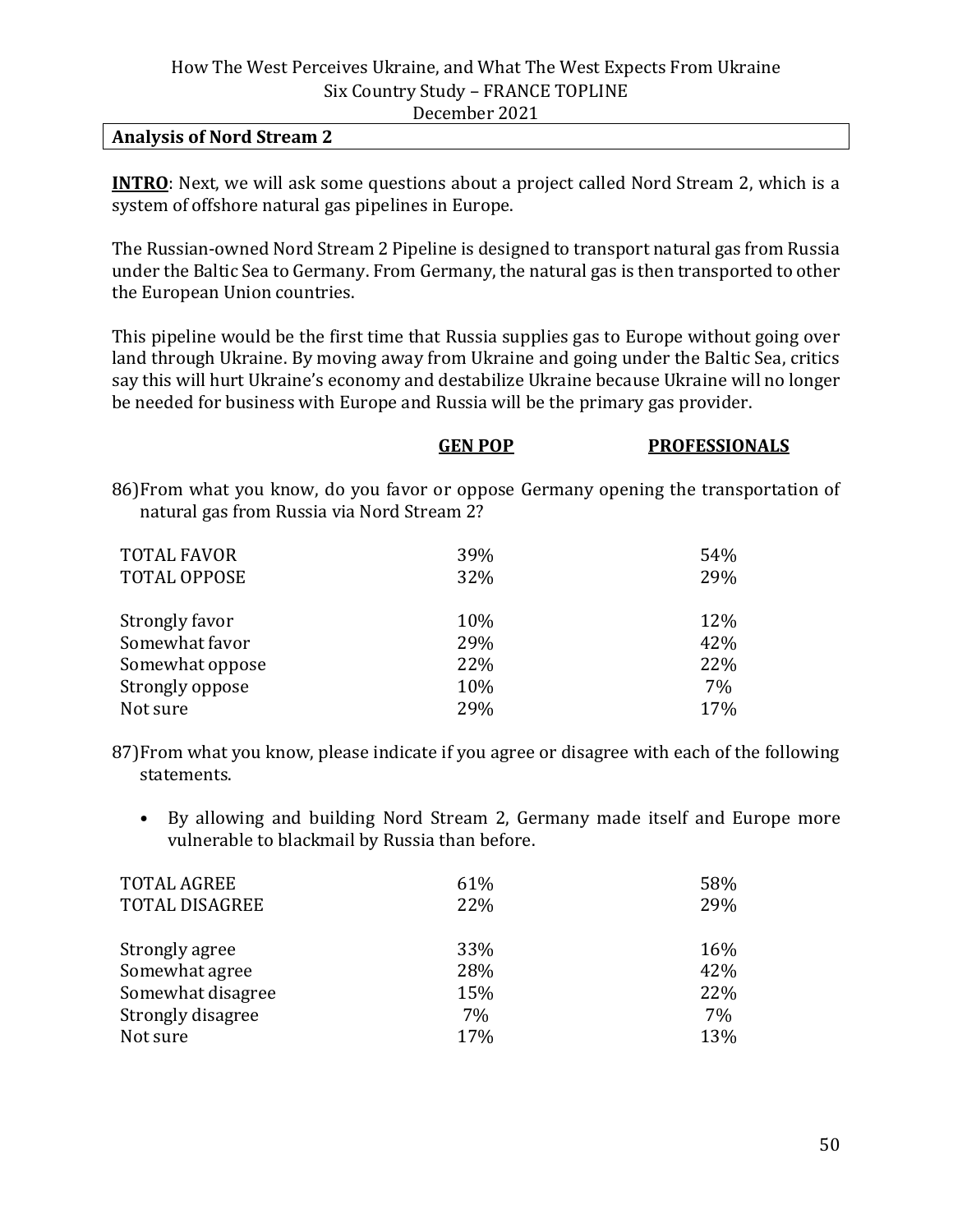#### **Analysis of Nord Stream 2**

**INTRO**: Next, we will ask some questions about a project called Nord Stream 2, which is a system of offshore natural gas pipelines in Europe.

The Russian-owned Nord Stream 2 Pipeline is designed to transport natural gas from Russia under the Baltic Sea to Germany. From Germany, the natural gas is then transported to other the European Union countries.

This pipeline would be the first time that Russia supplies gas to Europe without going over land through Ukraine. By moving away from Ukraine and going under the Baltic Sea, critics say this will hurt Ukraine's economy and destabilize Ukraine because Ukraine will no longer be needed for business with Europe and Russia will be the primary gas provider.

|                                            | <b>GEN POP</b> | <b>PROFESSIONALS</b>                                                                 |
|--------------------------------------------|----------------|--------------------------------------------------------------------------------------|
| natural gas from Russia via Nord Stream 2? |                | 86) From what you know, do you favor or oppose Germany opening the transportation of |
| <b>TOTAL FAVOR</b>                         | 39%            | 54%                                                                                  |
| <b>TOTAL OPPOSE</b>                        | 32%            | 29%                                                                                  |
| Strongly favor                             | 10%            | 12%                                                                                  |
| Somewhat favor                             | 29%            | 42%                                                                                  |
| Somewhat oppose                            | 22%            | 22%                                                                                  |
| Strongly oppose                            | 10%            | 7%                                                                                   |
| Not sure                                   | 29%            | 17%                                                                                  |

87)From what you know, please indicate if you agree or disagree with each of the following statements.

• By allowing and building Nord Stream 2, Germany made itself and Europe more vulnerable to blackmail by Russia than before.

| 61% | 58%        |
|-----|------------|
| 22% | 29%        |
|     |            |
|     | 16%        |
|     | 42%        |
| 15% | 22%        |
| 7%  | 7%         |
| 17% | 13%        |
|     | 33%<br>28% |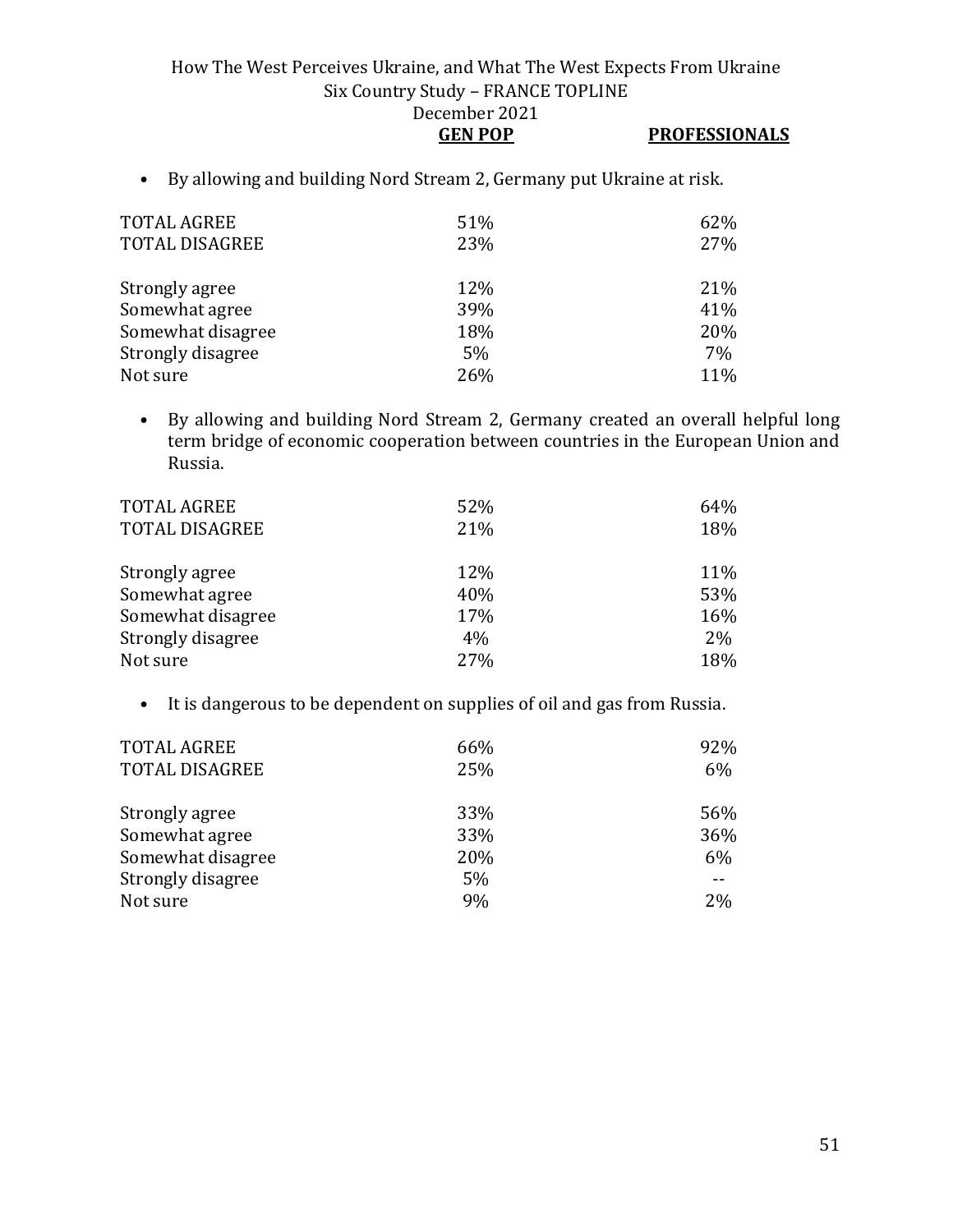- **GEN POP PROFESSIONALS**
- By allowing and building Nord Stream 2, Germany put Ukraine at risk.

| <b>TOTAL AGREE</b><br><b>TOTAL DISAGREE</b> | 51%<br>23% | 62%<br>27% |
|---------------------------------------------|------------|------------|
| Strongly agree                              | 12%        | 21%        |
| Somewhat agree                              | 39%        | 41%        |
| Somewhat disagree                           | 18%        | 20%        |
| Strongly disagree                           | 5%         | 7%         |
| Not sure                                    | 26%        | 11%        |

• By allowing and building Nord Stream 2, Germany created an overall helpful long term bridge of economic cooperation between countries in the European Union and Russia.

| TOTAL AGREE<br><b>TOTAL DISAGREE</b> | 52%<br>21% | 64%<br>18% |
|--------------------------------------|------------|------------|
| Strongly agree                       | 12%        | 11%        |
| Somewhat agree                       | 40%        | 53%        |
| Somewhat disagree                    | 17%        | 16%        |
| Strongly disagree                    | 4%         | $2\%$      |
| Not sure                             | 27%        | 18%        |

• It is dangerous to be dependent on supplies of oil and gas from Russia.

| <b>TOTAL AGREE</b>    | 66% | 92% |
|-----------------------|-----|-----|
| <b>TOTAL DISAGREE</b> | 25% | 6%  |
|                       |     |     |
| Strongly agree        | 33% | 56% |
| Somewhat agree        | 33% | 36% |
| Somewhat disagree     | 20% | 6%  |
| Strongly disagree     | 5%  | --  |
| Not sure              | 9%  | 2%  |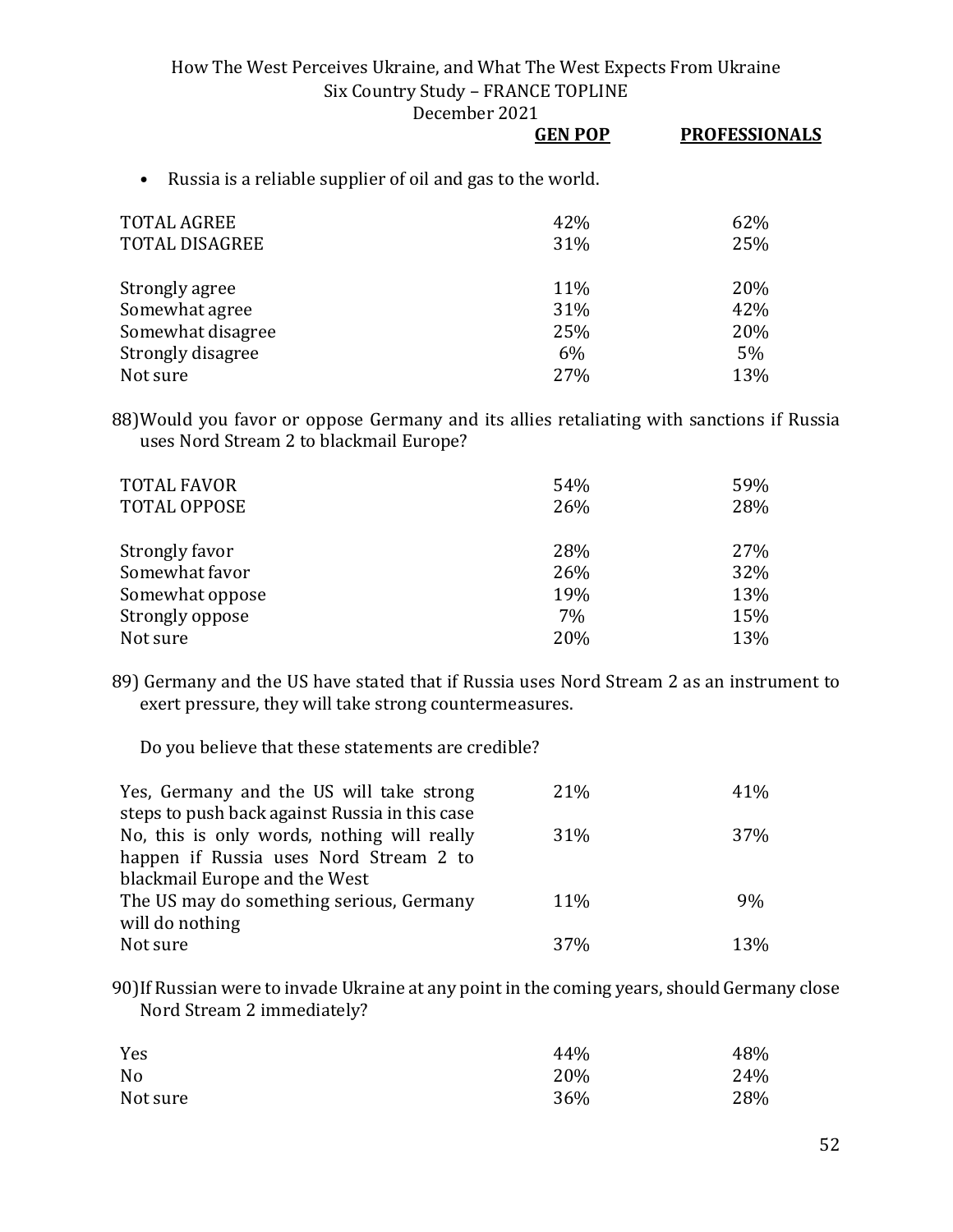December 2021

|                                                                         | <b>GEN POP</b> | <b>PROFESSIONALS</b> |
|-------------------------------------------------------------------------|----------------|----------------------|
| Russia is a reliable supplier of oil and gas to the world.<br>$\bullet$ |                |                      |
| <b>TOTAL AGREE</b>                                                      | 42%            | 62%                  |
| <b>TOTAL DISAGREE</b>                                                   | 31%            | 25%                  |
| Strongly agree                                                          | 11%            | 20%                  |
| Somewhat agree                                                          | 31%            | 42%                  |
| Somewhat disagree                                                       | 25%            | 20%                  |

Strongly disagree 5% 5% 5% 5% 5% 5% 5% 5% 5% 5% 5% 6% 5% 5% 5% 6% 5% 6% 5% 6% 5% 6% 6% 6% 6% 6% 6% 6% 6% 6% 6% Not sure  $27\%$  and  $27\%$  and  $27\%$ 

88)Would you favor or oppose Germany and its allies retaliating with sanctions if Russia uses Nord Stream 2 to blackmail Europe?

| <b>TOTAL FAVOR</b><br>TOTAL OPPOSE | 54%<br>26% | 59%<br>28% |
|------------------------------------|------------|------------|
| Strongly favor                     | 28%        | 27%        |
| Somewhat favor                     | 26%        | 32%        |
| Somewhat oppose                    | 19%        | 13%        |
| Strongly oppose                    | 7%         | 15%        |
| Not sure                           | 20%        | 13%        |

89) Germany and the US have stated that if Russia uses Nord Stream 2 as an instrument to exert pressure, they will take strong countermeasures.

Do you believe that these statements are credible?

| Yes, Germany and the US will take strong       | 21%             | 41%        |
|------------------------------------------------|-----------------|------------|
| steps to push back against Russia in this case |                 |            |
| No, this is only words, nothing will really    | 31%             | <b>37%</b> |
| happen if Russia uses Nord Stream 2 to         |                 |            |
| blackmail Europe and the West                  |                 |            |
| The US may do something serious, Germany       | 11%             | 9%         |
| will do nothing                                |                 |            |
| Not sure                                       | 37 <sub>%</sub> | 13%        |

90)If Russian were to invade Ukraine at any point in the coming years, should Germany close Nord Stream 2 immediately?

| Yes            | 44% | 48% |
|----------------|-----|-----|
| N <sub>0</sub> | 20% | 24% |
| Not sure       | 36% | 28% |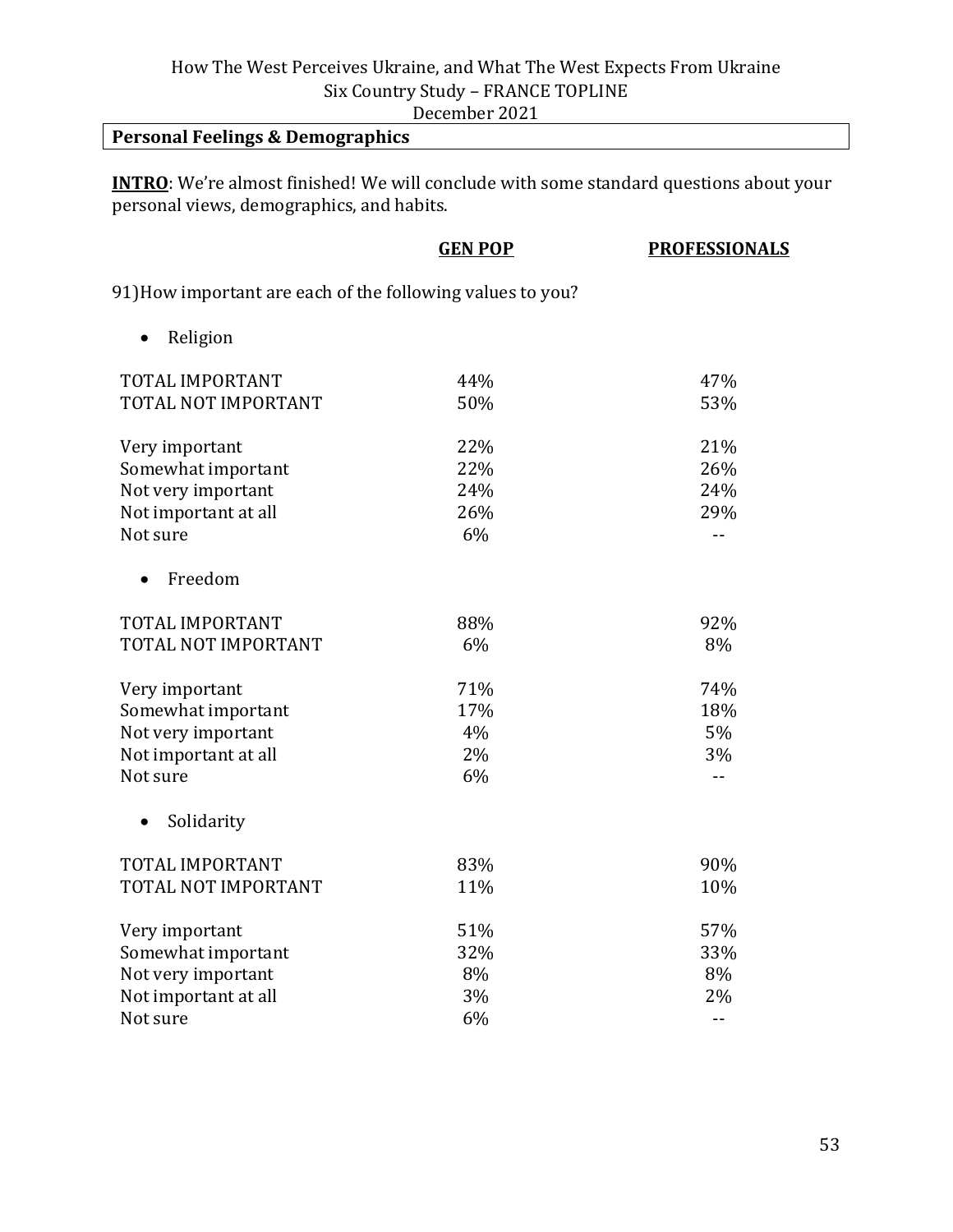December 2021

## **Personal Feelings & Demographics**

**INTRO**: We're almost finished! We will conclude with some standard questions about your personal views, demographics, and habits.

|                                                            | <b>GEN POP</b> | <b>PROFESSIONALS</b> |
|------------------------------------------------------------|----------------|----------------------|
| 91) How important are each of the following values to you? |                |                      |
| Religion<br>$\bullet$                                      |                |                      |
| TOTAL IMPORTANT                                            | 44%            | 47%                  |
| TOTAL NOT IMPORTANT                                        | 50%            | 53%                  |
| Very important                                             | 22%            | 21%                  |
| Somewhat important                                         | 22%            | 26%                  |
| Not very important                                         | 24%            | 24%                  |
| Not important at all                                       | 26%            | 29%                  |
| Not sure                                                   | 6%             | $-$                  |
| Freedom<br>$\bullet$                                       |                |                      |
| TOTAL IMPORTANT                                            | 88%            | 92%                  |
| TOTAL NOT IMPORTANT                                        | 6%             | 8%                   |
| Very important                                             | 71%            | 74%                  |
| Somewhat important                                         | 17%            | 18%                  |
| Not very important                                         | 4%             | 5%                   |
| Not important at all                                       | 2%             | 3%                   |
| Not sure                                                   | 6%             | $\overline{a}$       |
| Solidarity<br>$\bullet$                                    |                |                      |
| TOTAL IMPORTANT                                            | 83%            | 90%                  |
| TOTAL NOT IMPORTANT                                        | 11%            | 10%                  |
| Very important                                             | 51%            | 57%                  |
| Somewhat important                                         | 32%            | 33%                  |
| Not very important                                         | 8%             | 8%                   |
| Not important at all                                       | 3%             | 2%                   |
| Not sure                                                   | 6%             | $-$                  |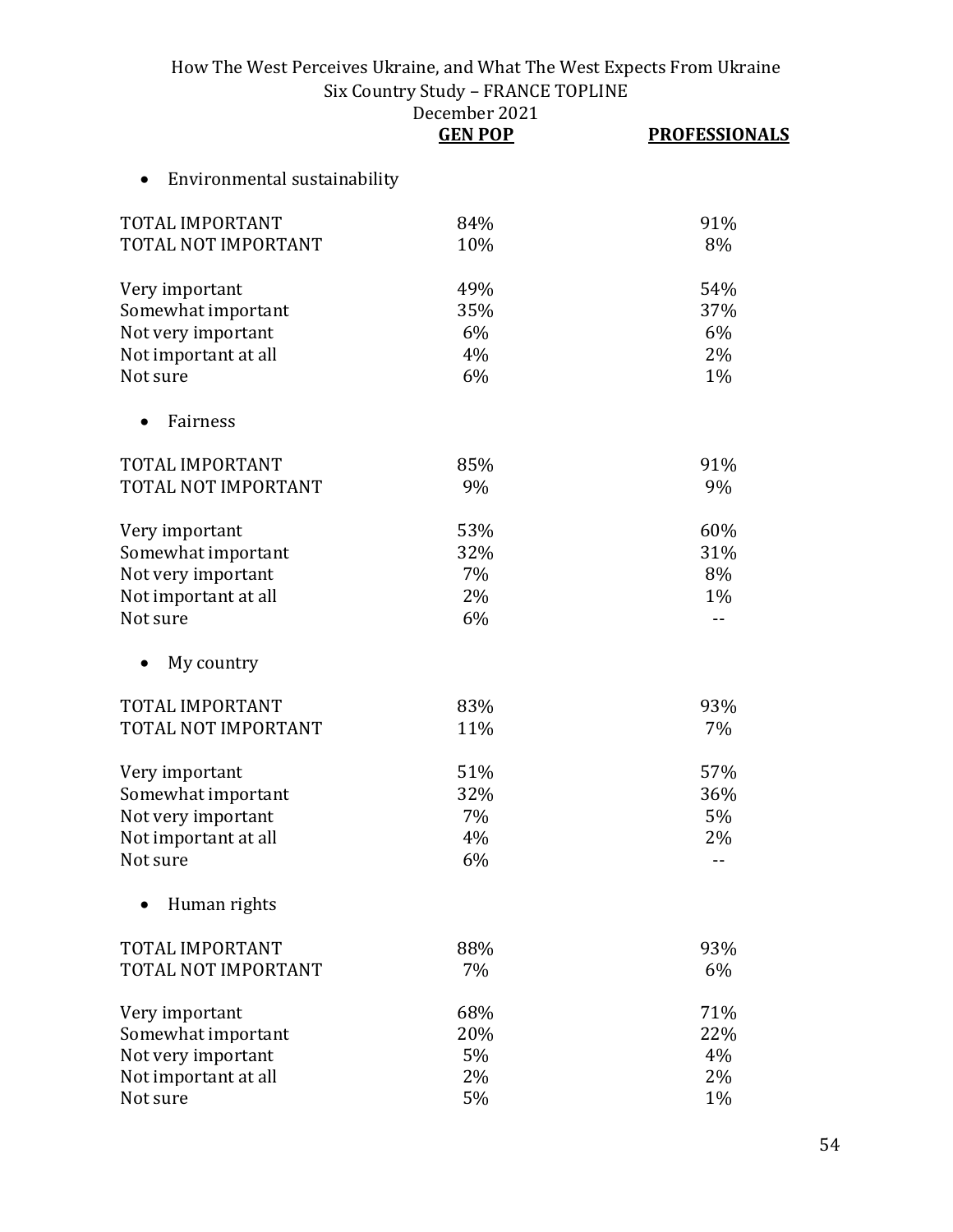| December 2021  |  |
|----------------|--|
| <b>GEN POP</b> |  |

|                              | <b>GEN POP</b> | <b>PROFESSIONALS</b> |
|------------------------------|----------------|----------------------|
| Environmental sustainability |                |                      |
| TOTAL IMPORTANT              | 84%            | 91%                  |
| TOTAL NOT IMPORTANT          | 10%            | 8%                   |
| Very important               | 49%            | 54%                  |
| Somewhat important           | 35%            | 37%                  |
| Not very important           | 6%             | 6%                   |
| Not important at all         | 4%             | 2%                   |
| Not sure                     | 6%             | 1%                   |
| Fairness                     |                |                      |
| TOTAL IMPORTANT              | 85%            | 91%                  |
| TOTAL NOT IMPORTANT          | 9%             | 9%                   |
| Very important               | 53%            | 60%                  |
| Somewhat important           | 32%            | 31%                  |
| Not very important           | 7%             | 8%                   |
| Not important at all         | 2%             | 1%                   |
| Not sure                     | 6%             | $- -$                |
| My country                   |                |                      |
| TOTAL IMPORTANT              | 83%            | 93%                  |
| TOTAL NOT IMPORTANT          | 11%            | 7%                   |
| Very important               | 51%            | 57%                  |
| Somewhat important           | 32%            | 36%                  |
| Not very important           | 7%             | 5%                   |
| Not important at all         | 4%             | 2%                   |
| Not sure                     | 6%             | --                   |
| Human rights                 |                |                      |
| TOTAL IMPORTANT              | 88%            | 93%                  |
| TOTAL NOT IMPORTANT          | 7%             | 6%                   |
| Very important               | 68%            | 71%                  |
| Somewhat important           | 20%            | 22%                  |
| Not very important           | 5%             | 4%                   |
| Not important at all         | 2%             | 2%                   |
| Not sure                     | 5%             | 1%                   |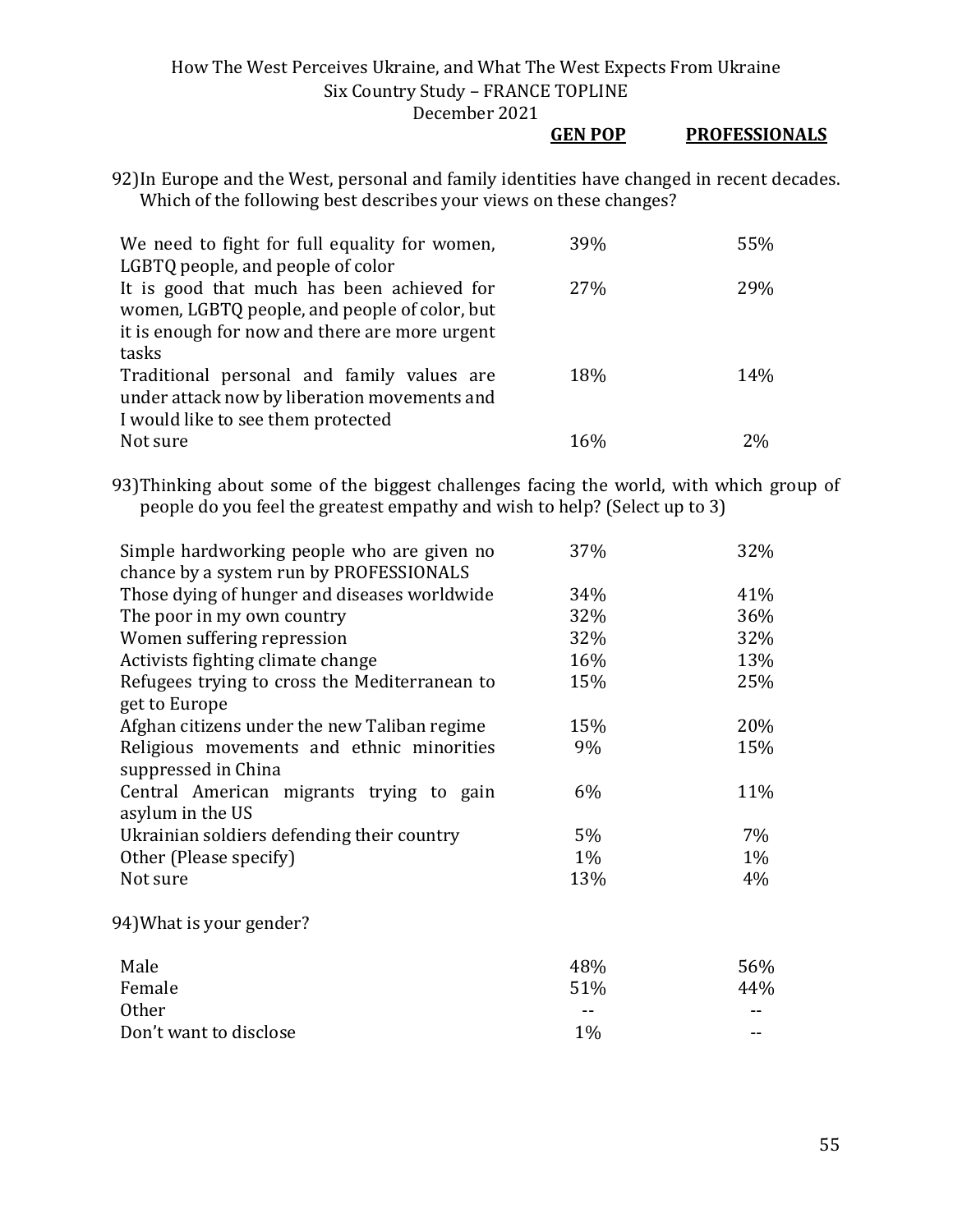#### **GEN POP PROFESSIONALS**

92)In Europe and the West, personal and family identities have changed in recent decades. Which of the following best describes your views on these changes?

| We need to fight for full equality for women,  | 39% | 55% |
|------------------------------------------------|-----|-----|
| LGBTQ people, and people of color              |     |     |
| It is good that much has been achieved for     | 27% | 29% |
| women, LGBTQ people, and people of color, but  |     |     |
| it is enough for now and there are more urgent |     |     |
| tasks                                          |     |     |
| Traditional personal and family values are     | 18% | 14% |
| under attack now by liberation movements and   |     |     |
| I would like to see them protected             |     |     |
| Not sure                                       | 16% | 2%  |

93)Thinking about some of the biggest challenges facing the world, with which group of people do you feel the greatest empathy and wish to help? (Select up to 3)

| Simple hardworking people who are given no    | 37%   | 32%   |
|-----------------------------------------------|-------|-------|
| chance by a system run by PROFESSIONALS       |       |       |
| Those dying of hunger and diseases worldwide  | 34%   | 41%   |
| The poor in my own country                    | 32%   | 36%   |
| Women suffering repression                    | 32%   | 32%   |
| Activists fighting climate change             | 16%   | 13%   |
| Refugees trying to cross the Mediterranean to | 15%   | 25%   |
| get to Europe                                 |       |       |
| Afghan citizens under the new Taliban regime  | 15%   | 20%   |
| Religious movements and ethnic minorities     | 9%    | 15%   |
| suppressed in China                           |       |       |
| Central American migrants trying to gain      | 6%    | 11%   |
| asylum in the US                              |       |       |
| Ukrainian soldiers defending their country    | 5%    | $7\%$ |
| Other (Please specify)                        | $1\%$ | 1%    |
| Not sure                                      | 13%   | 4%    |
| 94) What is your gender?                      |       |       |
| Male                                          | 48%   | 56%   |
| Female                                        | 51%   | 44%   |
| <b>Other</b>                                  |       |       |
| Don't want to disclose                        | 1%    |       |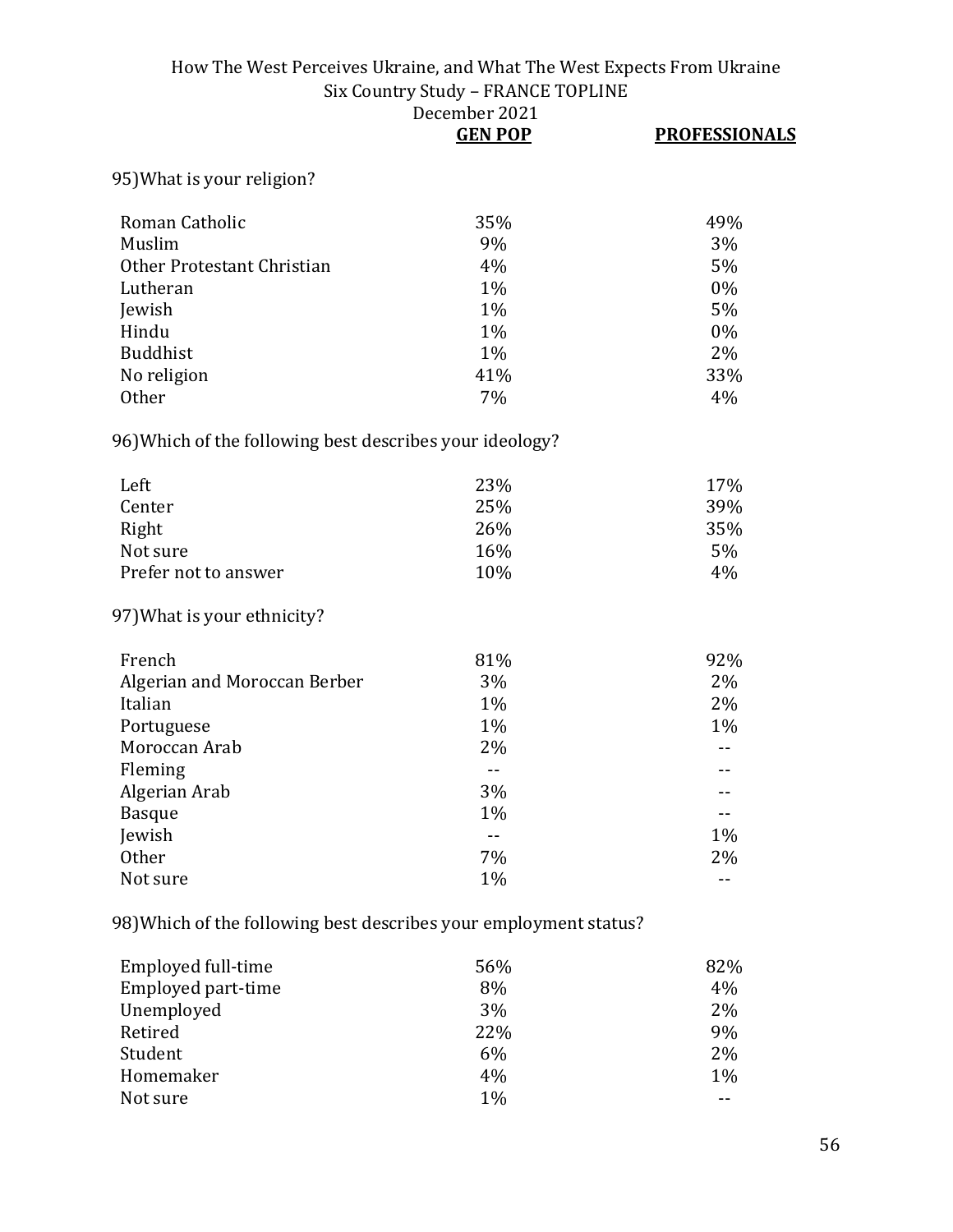|                                                          | DECENIDEI 2021<br><b>GEN POP</b> | <b>PROFESSIONALS</b> |
|----------------------------------------------------------|----------------------------------|----------------------|
| 95) What is your religion?                               |                                  |                      |
| Roman Catholic                                           | 35%                              | 49%                  |
| Muslim                                                   | 9%                               | 3%                   |
| Other Protestant Christian                               | 4%                               | 5%                   |
| Lutheran                                                 | 1%                               | 0%                   |
| Jewish                                                   | 1%                               | 5%                   |
| Hindu                                                    | 1%                               | 0%                   |
| <b>Buddhist</b>                                          | 1%                               | 2%                   |
| No religion                                              | 41%                              | 33%                  |
| <b>Other</b>                                             | 7%                               | 4%                   |
| 96) Which of the following best describes your ideology? |                                  |                      |
| Left                                                     | 23%                              | 17%                  |
| Center                                                   | 25%                              | 39%                  |
| Right                                                    | 26%                              | 35%                  |
| Not sure                                                 | 16%                              | 5%                   |
| Prefer not to answer                                     | 10%                              | 4%                   |
| 97) What is your ethnicity?                              |                                  |                      |
| French                                                   | 81%                              | 92%                  |
| Algerian and Moroccan Berber                             | 3%                               | 2%                   |
| Italian                                                  | 1%                               | 2%                   |
| Portuguese                                               | 1%                               | 1%                   |
| Moroccan Arab                                            | 2%                               | $-$                  |
| Fleming                                                  | $\overline{a}$                   |                      |
| Algerian Arab                                            | 3%                               |                      |
| <b>Basque</b>                                            | 1%                               |                      |
| Jewish                                                   | $\overline{a}$                   | 1%                   |
| Other                                                    | 7%                               | 2%                   |
| Not sure                                                 | 1%                               | $-$                  |
|                                                          |                                  |                      |

98)Which of the following best describes your employment status?

| Employed full-time | 56% | 82%   |
|--------------------|-----|-------|
| Employed part-time | 8%  | 4%    |
| Unemployed         | 3%  | $2\%$ |
| Retired            | 22% | 9%    |
| Student            | 6%  | 2%    |
| Homemaker          | 4%  | $1\%$ |
| Not sure           | 1%  |       |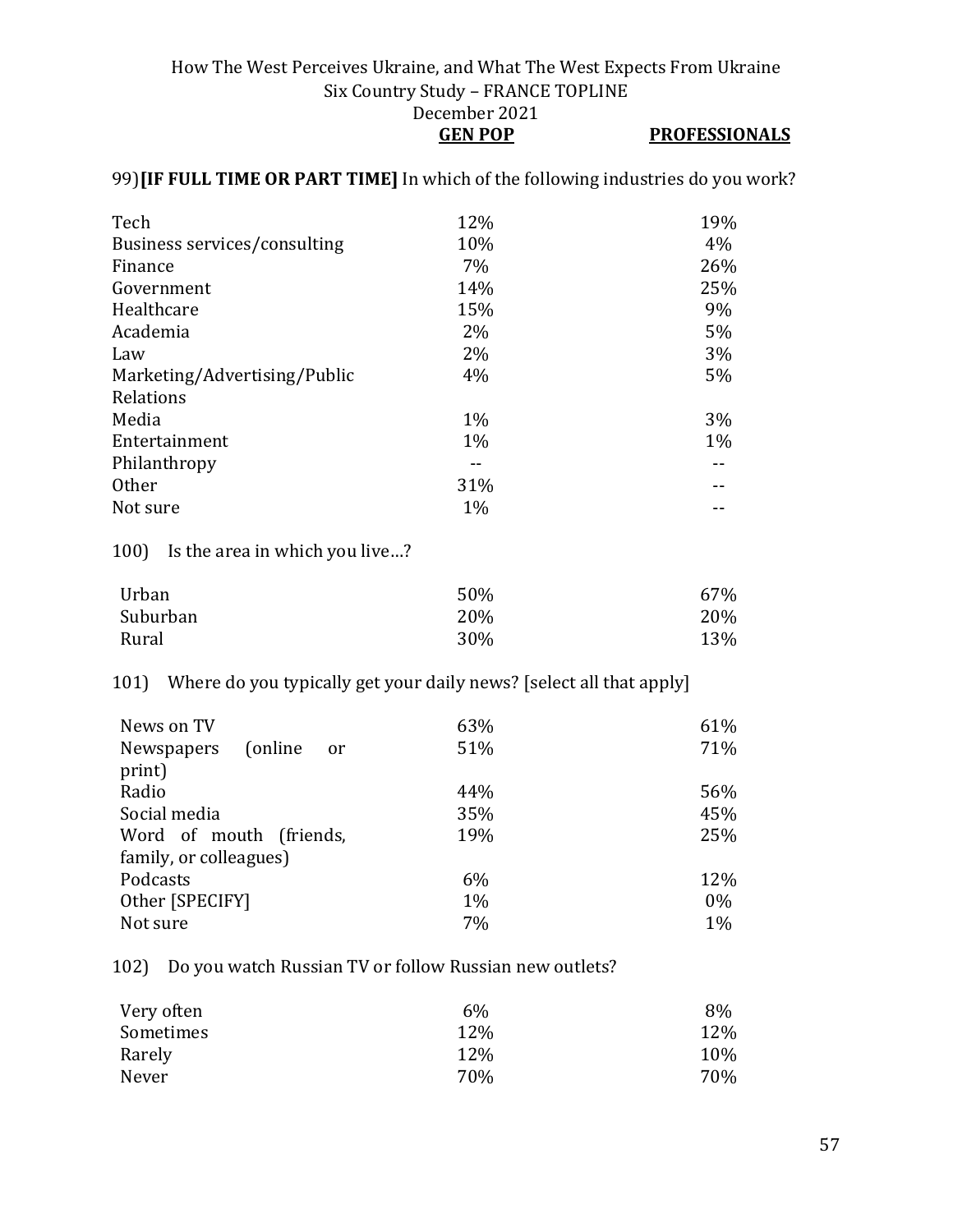#### How The West Perceives Ukraine, and What The West Expects From Ukraine Six Country Study – FRANCE TOPLINE December 2021 **GEN POP PROFESSIONALS**

#### 99)**[IF FULL TIME OR PART TIME]** In which of the following industries do you work?

| Tech                         | 12%   | 19%   |
|------------------------------|-------|-------|
| Business services/consulting | 10%   | 4%    |
| Finance                      | 7%    | 26%   |
| Government                   | 14%   | 25%   |
| Healthcare                   | 15%   | 9%    |
| Academia                     | 2%    | 5%    |
| Law                          | $2\%$ | 3%    |
| Marketing/Advertising/Public | 4%    | 5%    |
| Relations                    |       |       |
| Media                        | $1\%$ | 3%    |
| Entertainment                | $1\%$ | $1\%$ |
| Philanthropy                 |       |       |
| <b>Other</b>                 | 31%   |       |
| Not sure                     | $1\%$ |       |
|                              |       |       |

100) Is the area in which you live…?

| Urban    | 50% | 67% |
|----------|-----|-----|
| Suburban | 20% | 20% |
| Rural    | 30% | 13% |

#### 101) Where do you typically get your daily news? [select all that apply]

| News on TV<br>(online)<br>Newspapers<br>or<br>print) | 63%<br>51% | 61%<br>71% |
|------------------------------------------------------|------------|------------|
| Radio                                                | 44%        | 56%        |
| Social media                                         | 35%        | 45%        |
| Word of mouth (friends,                              | 19%        | 25%        |
| family, or colleagues)                               |            |            |
| Podcasts                                             | 6%         | 12%        |
| Other [SPECIFY]                                      | $1\%$      | $0\%$      |
| Not sure                                             | 7%         | $1\%$      |

102) Do you watch Russian TV or follow Russian new outlets?

| Very often | 6%  | 8%  |
|------------|-----|-----|
| Sometimes  | 12% | 12% |
| Rarely     | 12% | 10% |
| Never      | 70% | 70% |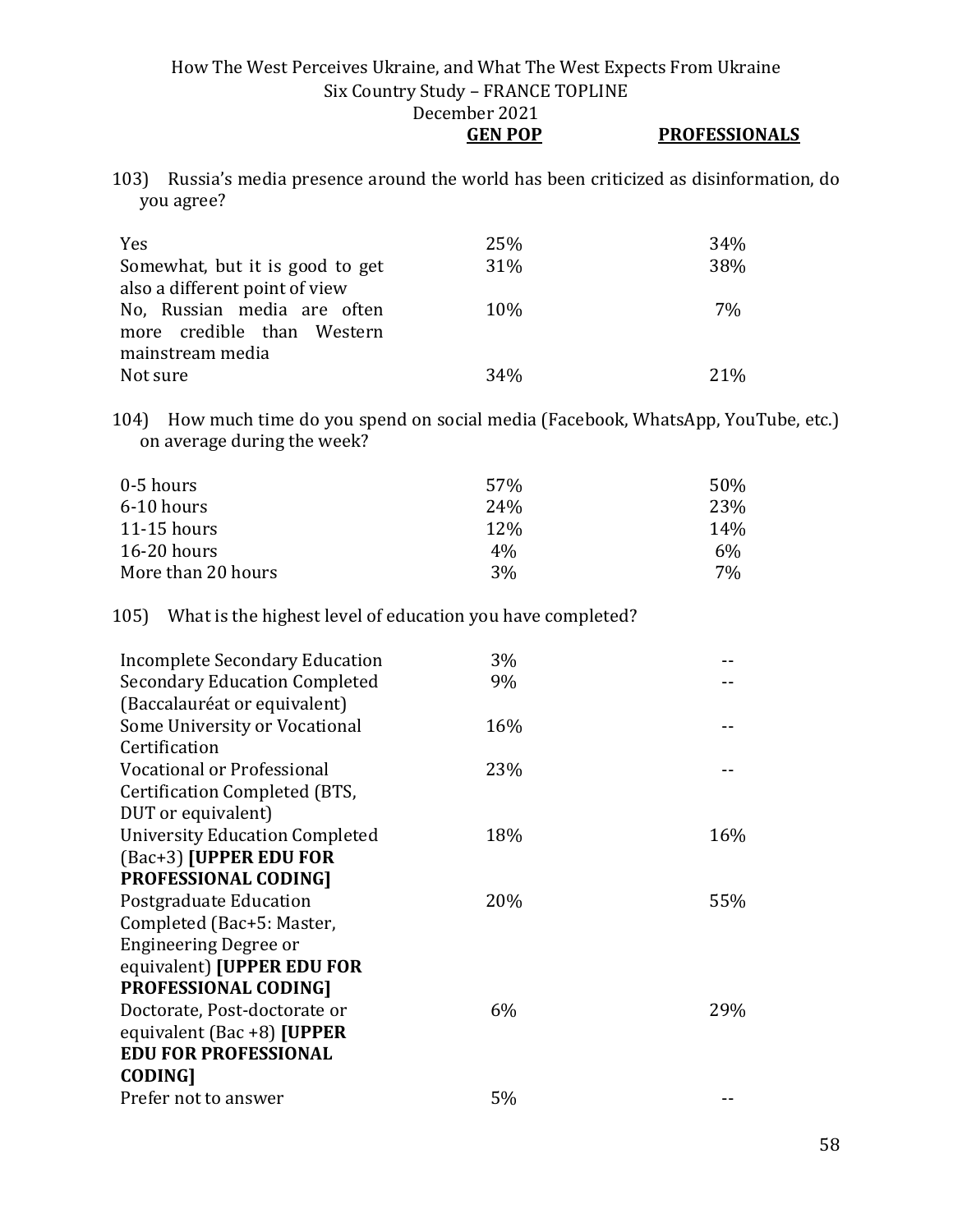**GEN POP PROFESSIONALS**

| 103) Russia's media presence around the world has been criticized as disinformation, do |
|-----------------------------------------------------------------------------------------|
| you agree?                                                                              |

| <b>Yes</b>                      | 25%             | 34%    |
|---------------------------------|-----------------|--------|
| Somewhat, but it is good to get | 31%             | 38%    |
| also a different point of view  |                 |        |
| No, Russian media are often     | 10%             | 7%     |
| more credible than Western      |                 |        |
| mainstream media                |                 |        |
| Not sure                        | 34 <sub>%</sub> | $21\%$ |

104) How much time do you spend on social media (Facebook, WhatsApp, YouTube, etc.) on average during the week?

| 0-5 hours          | 57%             | 50% |
|--------------------|-----------------|-----|
| 6-10 hours         | 24 <sub>%</sub> | 23% |
| $11-15$ hours      | 12\%            | 14% |
| $16-20$ hours      | $4\%$           | 6%  |
| More than 20 hours | 3%              | 7%  |

105) What is the highest level of education you have completed?

| Incomplete Secondary Education        | $3\%$ |     |
|---------------------------------------|-------|-----|
| <b>Secondary Education Completed</b>  | 9%    |     |
| (Baccalauréat or equivalent)          |       |     |
| Some University or Vocational         | 16%   |     |
| Certification                         |       |     |
| Vocational or Professional            | 23%   |     |
| Certification Completed (BTS,         |       |     |
| DUT or equivalent)                    |       |     |
| <b>University Education Completed</b> | 18%   | 16% |
| (Bac+3) [UPPER EDU FOR                |       |     |
| <b>PROFESSIONAL CODING]</b>           |       |     |
| Postgraduate Education                | 20%   | 55% |
| Completed (Bac+5: Master,             |       |     |
| Engineering Degree or                 |       |     |
| equivalent) [UPPER EDU FOR            |       |     |
| <b>PROFESSIONAL CODING]</b>           |       |     |
| Doctorate, Post-doctorate or          | 6%    | 29% |
| equivalent (Bac +8) [UPPER            |       |     |
| <b>EDU FOR PROFESSIONAL</b>           |       |     |
| <b>CODING]</b>                        |       |     |
| Prefer not to answer                  | 5%    |     |